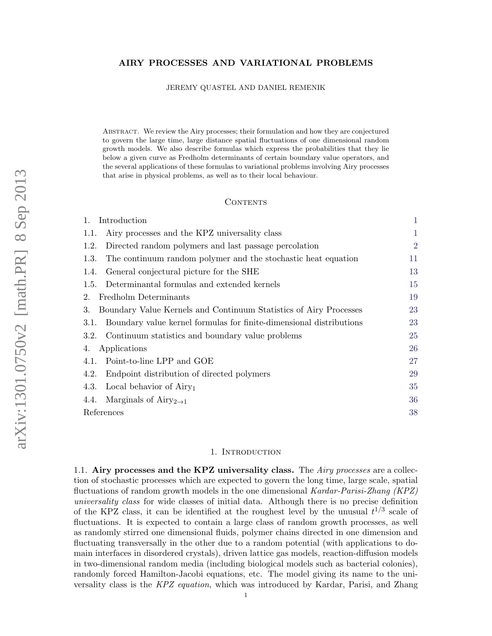## AIRY PROCESSES AND VARIATIONAL PROBLEMS

JEREMY QUASTEL AND DANIEL REMENIK

Abstract. We review the Airy processes; their formulation and how they are conjectured to govern the large time, large distance spatial fluctuations of one dimensional random growth models. We also describe formulas which express the probabilities that they lie below a given curve as Fredholm determinants of certain boundary value operators, and the several applications of these formulas to variational problems involving Airy processes that arise in physical problems, as well as to their local behaviour.

### CONTENTS

| 1.<br>Introduction                                                          | 1              |
|-----------------------------------------------------------------------------|----------------|
| Airy processes and the KPZ universality class<br>1.1.                       | 1              |
| Directed random polymers and last passage percolation<br>1.2.               | $\overline{2}$ |
| The continuum random polymer and the stochastic heat equation<br>1.3.       | 11             |
| General conjectural picture for the SHE<br>1.4.                             | 13             |
| Determinantal formulas and extended kernels<br>1.5.                         | 15             |
| Fredholm Determinants<br>2.                                                 | 19             |
| 3.<br>Boundary Value Kernels and Continuum Statistics of Airy Processes     | 23             |
| Boundary value kernel formulas for finite-dimensional distributions<br>3.1. | 23             |
| Continuum statistics and boundary value problems<br>3.2.                    | 25             |
| Applications<br>4.                                                          | 26             |
| Point-to-line LPP and GOE<br>4.1.                                           | 27             |
| Endpoint distribution of directed polymers<br>4.2.                          | 29             |
| Local behavior of $Airy_1$<br>4.3.                                          | 35             |
| Marginals of Airy <sub>2<math>\rightarrow</math>1</sub><br>4.4.             | 36             |
| References                                                                  | 38             |

#### 1. INTRODUCTION

<span id="page-0-1"></span><span id="page-0-0"></span>1.1. Airy processes and the KPZ universality class. The  $Airy$  processes are a collection of stochastic processes which are expected to govern the long time, large scale, spatial fluctuations of random growth models in the one dimensional Kardar-Parisi-Zhang (KPZ) universality class for wide classes of initial data. Although there is no precise definition of the KPZ class, it can be identified at the roughest level by the unusual  $t^{1/3}$  scale of fluctuations. It is expected to contain a large class of random growth processes, as well as randomly stirred one dimensional fluids, polymer chains directed in one dimension and fluctuating transversally in the other due to a random potential (with applications to domain interfaces in disordered crystals), driven lattice gas models, reaction-diffusion models in two-dimensional random media (including biological models such as bacterial colonies), randomly forced Hamilton-Jacobi equations, etc. The model giving its name to the universality class is the KPZ equation, which was introduced by Kardar, Parisi, and Zhang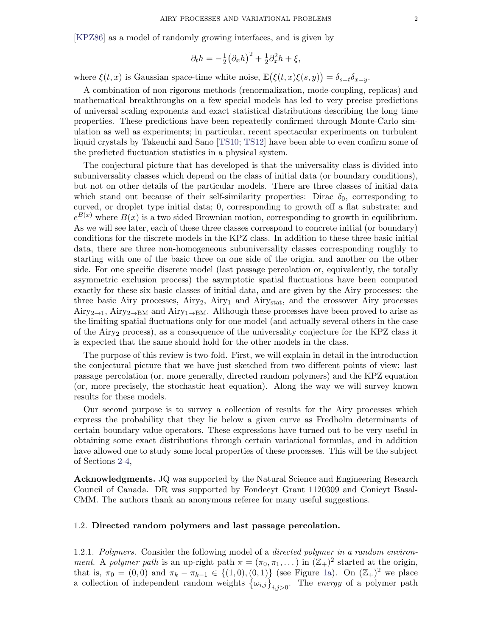[\[KPZ86\]](#page-39-0) as a model of randomly growing interfaces, and is given by

$$
\partial_t h = -\frac{1}{2} (\partial_x h)^2 + \frac{1}{2} \partial_x^2 h + \xi,
$$

where  $\xi(t,x)$  is Gaussian space-time white noise,  $\mathbb{E}(\xi(t,x)\xi(s,y)) = \delta_{s=t}\delta_{x=y}$ .

A combination of non-rigorous methods (renormalization, mode-coupling, replicas) and mathematical breakthroughs on a few special models has led to very precise predictions of universal scaling exponents and exact statistical distributions describing the long time properties. These predictions have been repeatedly confirmed through Monte-Carlo simulation as well as experiments; in particular, recent spectacular experiments on turbulent liquid crystals by Takeuchi and Sano [\[TS10;](#page-40-0) [TS12\]](#page-40-1) have been able to even confirm some of the predicted fluctuation statistics in a physical system.

The conjectural picture that has developed is that the universality class is divided into subuniversality classes which depend on the class of initial data (or boundary conditions), but not on other details of the particular models. There are three classes of initial data which stand out because of their self-similarity properties: Dirac  $\delta_0$ , corresponding to curved, or droplet type initial data; 0, corresponding to growth off a flat substrate; and  $e^{B(x)}$  where  $B(x)$  is a two sided Brownian motion, corresponding to growth in equilibrium. As we will see later, each of these three classes correspond to concrete initial (or boundary) conditions for the discrete models in the KPZ class. In addition to these three basic initial data, there are three non-homogeneous subuniversality classes corresponding roughly to starting with one of the basic three on one side of the origin, and another on the other side. For one specific discrete model (last passage percolation or, equivalently, the totally asymmetric exclusion process) the asymptotic spatial fluctuations have been computed exactly for these six basic classes of initial data, and are given by the Airy processes: the three basic Airy processes,  $Airy_2$ ,  $Airy_1$  and  $Airy_{stat}$ , and the crossover Airy processes  $Airy_{2\rightarrow1}$ , Airy<sub>2→BM</sub> and Airy<sub>1→BM</sub>. Although these processes have been proved to arise as the limiting spatial fluctuations only for one model (and actually several others in the case of the Airy<sub>2</sub> process), as a consequence of the universality conjecture for the KPZ class it is expected that the same should hold for the other models in the class.

The purpose of this review is two-fold. First, we will explain in detail in the introduction the conjectural picture that we have just sketched from two different points of view: last passage percolation (or, more generally, directed random polymers) and the KPZ equation (or, more precisely, the stochastic heat equation). Along the way we will survey known results for these models.

Our second purpose is to survey a collection of results for the Airy processes which express the probability that they lie below a given curve as Fredholm determinants of certain boundary value operators. These expressions have turned out to be very useful in obtaining some exact distributions through certain variational formulas, and in addition have allowed one to study some local properties of these processes. This will be the subject of Sections [2-](#page-18-0)[4,](#page-25-0)

Acknowledgments. JQ was supported by the Natural Science and Engineering Research Council of Canada. DR was supported by Fondecyt Grant 1120309 and Conicyt Basal-CMM. The authors thank an anonymous referee for many useful suggestions.

## <span id="page-1-0"></span>1.2. Directed random polymers and last passage percolation.

1.2.1. Polymers. Consider the following model of a directed polymer in a random environment. A polymer path is an up-right path  $\pi = (\pi_0, \pi_1, \dots)$  in  $(\mathbb{Z}_+)^2$  started at the origin, that is,  $\pi_0 = (0,0)$  and  $\pi_k - \pi_{k-1} \in \{(1,0), (0,1)\}$  (see Figure [1a\)](#page-5-0). On  $(\mathbb{Z}_{+})^2$  we place a collection of independent random weights  $\{\omega_{i,j}\}_{i,j>0}$ . The *energy* of a polymer path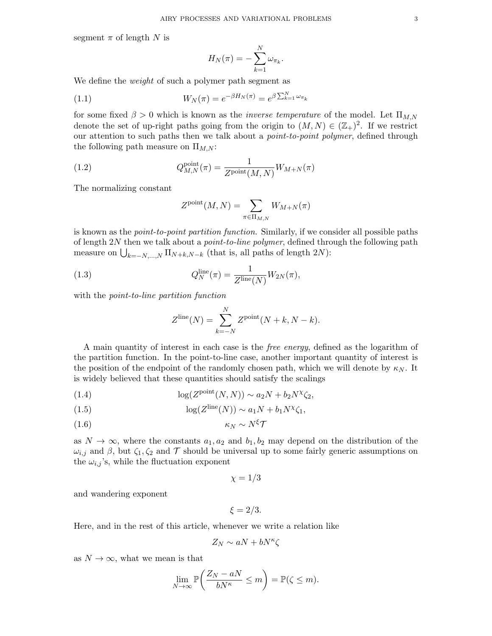segment  $\pi$  of length N is

$$
H_N(\pi) = -\sum_{k=1}^N \omega_{\pi_k}
$$

.

We define the *weight* of such a polymer path segment as

<span id="page-2-4"></span>(1.1) 
$$
W_N(\pi) = e^{-\beta H_N(\pi)} = e^{\beta \sum_{k=1}^N \omega_{\pi_k}}
$$

for some fixed  $\beta > 0$  which is known as the *inverse temperature* of the model. Let  $\Pi_{M,N}$ denote the set of up-right paths going from the origin to  $(M, N) \in (\mathbb{Z}_+)^2$ . If we restrict our attention to such paths then we talk about a *point-to-point polymer*, defined through the following path measure on  $\Pi_{M,N}$ :

<span id="page-2-0"></span>(1.2) 
$$
Q_{M,N}^{\text{point}}(\pi) = \frac{1}{Z^{\text{point}}(M,N)} W_{M+N}(\pi)
$$

The normalizing constant

$$
Z^{\rm point}(M,N)=\sum_{\pi\in\Pi_{M,N}}W_{M+N}(\pi)
$$

is known as the point-to-point partition function. Similarly, if we consider all possible paths of length  $2N$  then we talk about a *point-to-line polymer*, defined through the following path measure on  $\bigcup_{k=-N,\dots,N} \Pi_{N+k,N-k}$  (that is, all paths of length 2N):

<span id="page-2-1"></span>(1.3) 
$$
Q_N^{\text{line}}(\pi) = \frac{1}{Z^{\text{line}}(N)} W_{2N}(\pi),
$$

with the *point-to-line* partition function

$$
Z^{\text{line}}(N) = \sum_{k=-N}^{N} Z^{\text{point}}(N+k, N-k).
$$

A main quantity of interest in each case is the *free energy*, defined as the logarithm of the partition function. In the point-to-line case, another important quantity of interest is the position of the endpoint of the randomly chosen path, which we will denote by  $\kappa_N$ . It is widely believed that these quantities should satisfy the scalings

<span id="page-2-2"></span>(1.4) 
$$
\log(Z^{\text{point}}(N,N)) \sim a_2 N + b_2 N^{\chi} \zeta_2,
$$

<span id="page-2-3"></span>(1.5) 
$$
\log(Z^{\text{line}}(N)) \sim a_1 N + b_1 N^{\chi} \zeta_1,
$$

<span id="page-2-5"></span>
$$
\kappa_N \sim N^{\xi} \mathcal{T}
$$

as  $N \to \infty$ , where the constants  $a_1, a_2$  and  $b_1, b_2$  may depend on the distribution of the  $\omega_{i,j}$  and  $\beta$ , but  $\zeta_1, \zeta_2$  and  $\mathcal T$  should be universal up to some fairly generic assumptions on the  $\omega_{i,j}$ 's, while the fluctuation exponent

$$
\chi = 1/3
$$

and wandering exponent

$$
\xi = 2/3.
$$

Here, and in the rest of this article, whenever we write a relation like

$$
Z_N \sim a N + b N^\kappa \zeta
$$

as  $N \to \infty$ , what we mean is that

$$
\lim_{N \to \infty} \mathbb{P}\bigg(\frac{Z_N - aN}{bN^{\kappa}} \le m\bigg) = \mathbb{P}(\zeta \le m).
$$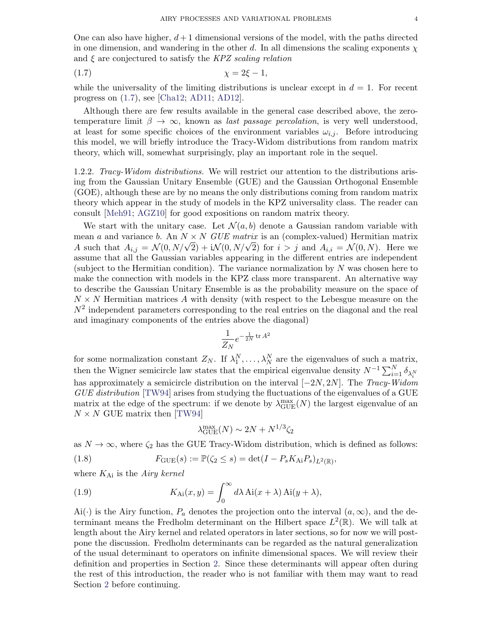One can also have higher,  $d+1$  dimensional versions of the model, with the paths directed in one dimension, and wandering in the other d. In all dimensions the scaling exponents  $\chi$ and  $\xi$  are conjectured to satisfy the KPZ scaling relation

<span id="page-3-0"></span>
$$
\chi = 2\xi - 1,
$$

while the universality of the limiting distributions is unclear except in  $d = 1$ . For recent progress on [\(1.7\)](#page-3-0), see [\[Cha12;](#page-38-0) [AD11;](#page-37-1) [AD12\]](#page-37-2).

Although there are few results available in the general case described above, the zerotemperature limit  $\beta \to \infty$ , known as *last passage percolation*, is very well understood, at least for some specific choices of the environment variables  $\omega_{i,j}$ . Before introducing this model, we will briefly introduce the Tracy-Widom distributions from random matrix theory, which will, somewhat surprisingly, play an important role in the sequel.

<span id="page-3-2"></span>1.2.2. Tracy-Widom distributions. We will restrict our attention to the distributions arising from the Gaussian Unitary Ensemble (GUE) and the Gaussian Orthogonal Ensemble (GOE), although these are by no means the only distributions coming from random matrix theory which appear in the study of models in the KPZ universality class. The reader can consult [\[Meh91;](#page-39-1) [AGZ10\]](#page-37-3) for good expositions on random matrix theory.

We start with the unitary case. Let  $\mathcal{N}(a, b)$  denote a Gaussian random variable with mean a and variance b. An  $N \times N$  GUE matrix is an (complex-valued) Hermitian matrix mean a and variance b. An  $N \times N$  GUE matrix is an (complex-valued) Hermitian matrix <br>A such that  $A_{i,j} = \mathcal{N}(0, N/\sqrt{2}) + i\mathcal{N}(0, N/\sqrt{2})$  for  $i > j$  and  $A_{i,i} = \mathcal{N}(0, N)$ . Here we assume that all the Gaussian variables appearing in the different entries are independent (subject to the Hermitian condition). The variance normalization by  $N$  was chosen here to make the connection with models in the KPZ class more transparent. An alternative way to describe the Gaussian Unitary Ensemble is as the probability measure on the space of  $N \times N$  Hermitian matrices A with density (with respect to the Lebesgue measure on the  $N^2$  independent parameters corresponding to the real entries on the diagonal and the real and imaginary components of the entries above the diagonal)

$$
\frac{1}{Z_N}e^{-\frac{1}{2N}\operatorname{tr} A^2}
$$

for some normalization constant  $Z_N$ . If  $\lambda_1^N, \ldots, \lambda_N^N$  are the eigenvalues of such a matrix, then the Wigner semicircle law states that the empirical eigenvalue density  $N^{-1} \sum_{i=1}^{N} \delta_{\lambda_i^N}$ has approximately a semicircle distribution on the interval  $[-2N, 2N]$ . The Tracy-Widom GUE distribution [\[TW94\]](#page-40-2) arises from studying the fluctuations of the eigenvalues of a GUE matrix at the edge of the spectrum: if we denote by  $\lambda_{\text{GUE}}^{\text{max}}(N)$  the largest eigenvalue of an  $N \times N$  GUE matrix then [\[TW94\]](#page-40-2)

$$
\lambda_{\text{GUE}}^{\text{max}}(N) \sim 2N + N^{1/3} \zeta_2
$$

as  $N \to \infty$ , where  $\zeta_2$  has the GUE Tracy-Widom distribution, which is defined as follows:

<span id="page-3-1"></span>(1.8) 
$$
F_{\text{GUE}}(s) := \mathbb{P}(\zeta_2 \le s) = \det(I - P_s K_{\text{Ai}} P_s)_{L^2(\mathbb{R})},
$$

where  $K_{\rm Ai}$  is the Airy kernel

<span id="page-3-3"></span>(1.9) 
$$
K_{\mathrm{Ai}}(x,y) = \int_0^\infty d\lambda \, \mathrm{Ai}(x+\lambda) \, \mathrm{Ai}(y+\lambda),
$$

Ai(·) is the Airy function,  $P_a$  denotes the projection onto the interval  $(a, \infty)$ , and the determinant means the Fredholm determinant on the Hilbert space  $L^2(\mathbb{R})$ . We will talk at length about the Airy kernel and related operators in later sections, so for now we will postpone the discussion. Fredholm determinants can be regarded as the natural generalization of the usual determinant to operators on infinite dimensional spaces. We will review their definition and properties in Section [2.](#page-18-0) Since these determinants will appear often during the rest of this introduction, the reader who is not familiar with them may want to read Section [2](#page-18-0) before continuing.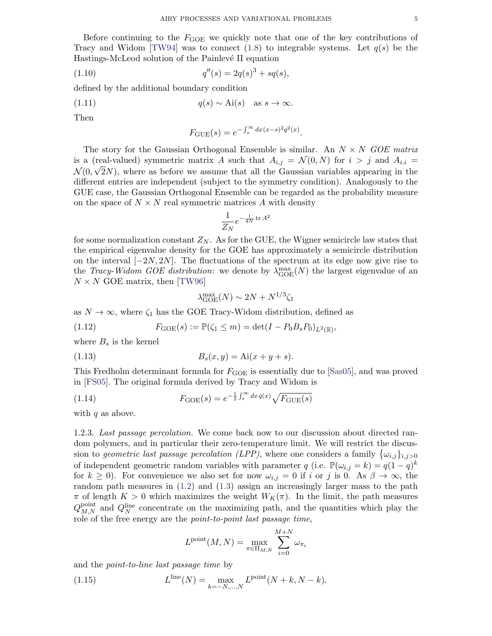Before continuing to the  $F_{GOE}$  we quickly note that one of the key contributions of Tracy and Widom [\[TW94\]](#page-40-2) was to connect [\(1.8\)](#page-3-1) to integrable systems. Let  $q(s)$  be the Hastings-McLeod solution of the Painlevé II equation

<span id="page-4-4"></span>(1.10) 
$$
q''(s) = 2q(s)^3 + sq(s),
$$

defined by the additional boundary condition

<span id="page-4-5"></span>(1.11) 
$$
q(s) \sim \text{Ai}(s) \quad \text{as } s \to \infty.
$$

Then

$$
F_{\text{GUE}}(s) = e^{-\int_s^\infty dx (x-s)^2 q^2(x)}.
$$

The story for the Gaussian Orthogonal Ensemble is similar. An  $N \times N$  GOE matrix is a (real-valued) symmetric matrix A such that  $A_{i,j} = \mathcal{N}(0, N)$  for  $i > j$  and  $A_{i,i} = \mathcal{N}(0, N)$  $\mathcal{N}(0,\sqrt{2N})$ , where as before we assume that all the Gaussian variables appearing in the different entries are independent (subject to the symmetry condition). Analogously to the GUE case, the Gaussian Orthogonal Ensemble can be regarded as the probability measure on the space of  $N \times N$  real symmetric matrices A with density

$$
\frac{1}{Z_N}e^{-\frac{1}{4N}\operatorname{tr} A^2}
$$

for some normalization constant  $Z_N$ . As for the GUE, the Wigner semicircle law states that the empirical eigenvalue density for the GOE has approximately a semicircle distribution on the interval  $[-2N, 2N]$ . The fluctuations of the spectrum at its edge now give rise to the *Tracy-Widom GOE distribution*: we denote by  $\lambda_{\text{GOE}}^{\text{max}}(N)$  the largest eigenvalue of an  $N \times N$  GOE matrix, then [\[TW96\]](#page-40-3)

$$
\lambda_{\rm GOE}^{\rm max}(N) \sim 2N + N^{1/3} \zeta_1
$$

as  $N \to \infty$ , where  $\zeta_1$  has the GOE Tracy-Widom distribution, defined as

(1.12) 
$$
F_{GOE}(s) := \mathbb{P}(\zeta_1 \leq m) = \det(I - P_0 B_s P_0)_{L^2(\mathbb{R})},
$$

where  $B_s$  is the kernel

<span id="page-4-0"></span>(1.13) 
$$
B_s(x, y) = Ai(x + y + s).
$$

This Fredholm determinant formula for  $F_{GOE}$  is essentially due to [\[Sas05\]](#page-40-4), and was proved in [\[FS05\]](#page-39-2). The original formula derived by Tracy and Widom is

<span id="page-4-3"></span>(1.14) 
$$
F_{\text{GOE}}(s) = e^{-\frac{1}{2}\int_s^{\infty} dx q(x)} \sqrt{F_{\text{GUE}}(s)}
$$

with  $q$  as above.

<span id="page-4-1"></span>1.2.3. Last passage percolation. We come back now to our discussion about directed random polymers, and in particular their zero-temperature limit. We will restrict the discussion to geometric last passage percolation (LPP), where one considers a family  $\{\omega_{i,j}\}_{i,j>0}$ of independent geometric random variables with parameter q (i.e.  $\mathbb{P}(\omega_{i,j} = k) = q(1-q)^k$ for  $k \geq 0$ ). For convenience we also set for now  $\omega_{i,j} = 0$  if i or j is 0. As  $\beta \to \infty$ , the random path measures in [\(1.2\)](#page-2-0) and [\(1.3\)](#page-2-1) assign an increasingly larger mass to the path  $\pi$  of length  $K > 0$  which maximizes the weight  $W_K(\pi)$ . In the limit, the path measures  $Q_{M,N}^{\text{point}}$  and  $Q_N^{\text{line}}$  concentrate on the maximizing path, and the quantities which play the role of the free energy are the point-to-point last passage time,

$$
L^{\text{point}}(M,N) = \max_{\pi \in \Pi_{M,N}} \sum_{i=0}^{M+N} \omega_{\pi_i}
$$

and the point-to-line last passage time by

<span id="page-4-2"></span>(1.15) 
$$
L^{\text{line}}(N) = \max_{k=-N,...,N} L^{\text{point}}(N+k, N-k).
$$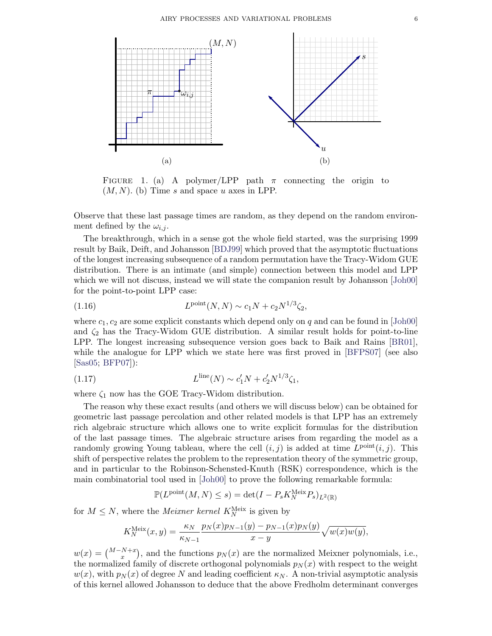<span id="page-5-0"></span>

FIGURE 1. (a) A polymer/LPP path  $\pi$  connecting the origin to  $(M, N)$ . (b) Time s and space u axes in LPP.

Observe that these last passage times are random, as they depend on the random environment defined by the  $\omega_{i,j}$ .

The breakthrough, which in a sense got the whole field started, was the surprising 1999 result by Baik, Deift, and Johansson [\[BDJ99\]](#page-37-4) which proved that the asymptotic fluctuations of the longest increasing subsequence of a random permutation have the Tracy-Widom GUE distribution. There is an intimate (and simple) connection between this model and LPP which we will not discuss, instead we will state the companion result by Johansson [\[Joh00\]](#page-39-3) for the point-to-point LPP case:

<span id="page-5-1"></span>(1.16) 
$$
L^{\text{point}}(N, N) \sim c_1 N + c_2 N^{1/3} \zeta_2,
$$

where  $c_1, c_2$  are some explicit constants which depend only on q and can be found in [\[Joh00\]](#page-39-3) and  $\zeta_2$  has the Tracy-Widom GUE distribution. A similar result holds for point-to-line LPP. The longest increasing subsequence version goes back to Baik and Rains [\[BR01\]](#page-37-5), while the analogue for LPP which we state here was first proved in [\[BFPS07\]](#page-38-1) (see also [\[Sas05;](#page-40-4) [BFP07\]](#page-38-2)):

<span id="page-5-2"></span>(1.17) 
$$
L^{\text{line}}(N) \sim c_1' N + c_2' N^{1/3} \zeta_1,
$$

where  $\zeta_1$  now has the GOE Tracy-Widom distribution.

The reason why these exact results (and others we will discuss below) can be obtained for geometric last passage percolation and other related models is that LPP has an extremely rich algebraic structure which allows one to write explicit formulas for the distribution of the last passage times. The algebraic structure arises from regarding the model as a randomly growing Young tableau, where the cell  $(i, j)$  is added at time  $L^{\text{point}}(i, j)$ . This shift of perspective relates the problem to the representation theory of the symmetric group, and in particular to the Robinson-Schensted-Knuth (RSK) correspondence, which is the main combinatorial tool used in [\[Joh00\]](#page-39-3) to prove the following remarkable formula:

$$
\mathbb{P}(L^{\text{point}}(M,N)\leq s)=\det(I-P_sK_N^{\text{Meix}}P_s)_{L^2(\mathbb{R})}
$$

for  $M \leq N$ , where the *Meixner kernel*  $K_N^{\text{Meix}}$  is given by

$$
K_N^{\text{Meix}}(x, y) = \frac{\kappa_N}{\kappa_{N-1}} \frac{p_N(x) p_{N-1}(y) - p_{N-1}(x) p_N(y)}{x - y} \sqrt{w(x) w(y)},
$$

 $w(x) = {M-N+x \choose x}$ , and the functions  $p_N(x)$  are the normalized Meixner polynomials, i.e., the normalized family of discrete orthogonal polynomials  $p_N(x)$  with respect to the weight  $w(x)$ , with  $p_N(x)$  of degree N and leading coefficient  $\kappa_N$ . A non-trivial asymptotic analysis of this kernel allowed Johansson to deduce that the above Fredholm determinant converges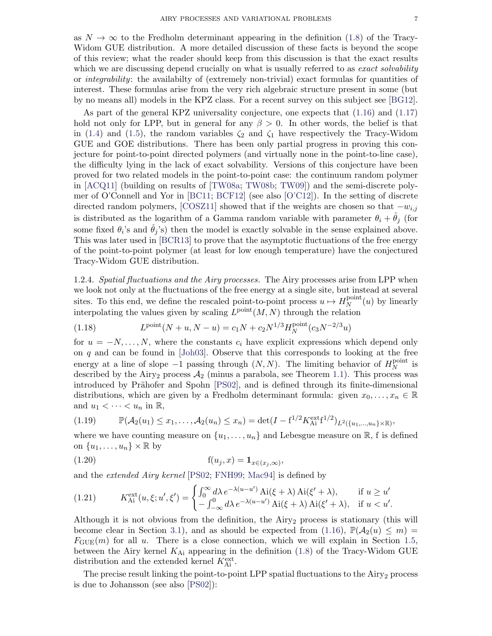as  $N \to \infty$  to the Fredholm determinant appearing in the definition [\(1.8\)](#page-3-1) of the Tracy-Widom GUE distribution. A more detailed discussion of these facts is beyond the scope of this review; what the reader should keep from this discussion is that the exact results which we are discussing depend crucially on what is usually referred to as *exact solvability* or integrability: the availabilty of (extremely non-trivial) exact formulas for quantities of interest. These formulas arise from the very rich algebraic structure present in some (but by no means all) models in the KPZ class. For a recent survey on this subject see [\[BG12\]](#page-37-6).

As part of the general KPZ universality conjecture, one expects that [\(1.16\)](#page-5-1) and [\(1.17\)](#page-5-2) hold not only for LPP, but in general for any  $\beta > 0$ . In other words, the belief is that in [\(1.4\)](#page-2-2) and [\(1.5\)](#page-2-3), the random variables  $\zeta_2$  and  $\zeta_1$  have respectively the Tracy-Widom GUE and GOE distributions. There has been only partial progress in proving this conjecture for point-to-point directed polymers (and virtually none in the point-to-line case), the difficulty lying in the lack of exact solvability. Versions of this conjecture have been proved for two related models in the point-to-point case: the continuum random polymer in [\[ACQ11\]](#page-37-7) (building on results of [\[TW08a;](#page-40-5) [TW08b;](#page-40-6) [TW09\]](#page-40-7)) and the semi-discrete polymer of O'Connell and Yor in [\[BC11;](#page-37-8) [BCF12\]](#page-37-9) (see also [\[O'C12\]](#page-39-4)). In the setting of discrete directed random polymers, [\[COSZ11\]](#page-38-3) showed that if the weights are chosen so that  $-w_{i,j}$ is distributed as the logarithm of a Gamma random variable with parameter  $\theta_i + \hat{\theta}_j$  (for some fixed  $\theta_i$ 's and  $\hat{\theta}_j$ 's) then the model is exactly solvable in the sense explained above. This was later used in [\[BCR13\]](#page-38-4) to prove that the asymptotic fluctuations of the free energy of the point-to-point polymer (at least for low enough temperature) have the conjectured Tracy-Widom GUE distribution.

<span id="page-6-2"></span>1.2.4. Spatial fluctuations and the Airy processes. The Airy processes arise from LPP when we look not only at the fluctuations of the free energy at a single site, but instead at several sites. To this end, we define the rescaled point-to-point process  $u \mapsto H_N^{\text{point}}$  $_{N}^{\text{point}}(u)$  by linearly interpolating the values given by scaling  $L^{point}(M, N)$  through the relation

<span id="page-6-4"></span>(1.18) 
$$
L^{\text{point}}(N+u, N-u) = c_1 N + c_2 N^{1/3} H_N^{\text{point}}(c_3 N^{-2/3} u)
$$

for  $u = -N, \ldots, N$ , where the constants  $c_i$  have explicit expressions which depend only on  $q$  and can be found in [\[Joh03\]](#page-39-5). Observe that this corresponds to looking at the free energy at a line of slope  $-1$  passing through  $(N, N)$ . The limiting behavior of  $H_N^{\text{point}}$  $\frac{\text{point}}{N}$  is described by the Airy<sub>2</sub> process  $A_2$  (minus a parabola, see Theorem [1.1\)](#page-7-0). This process was introduced by Prähofer and Spohn [\[PS02\]](#page-40-8), and is defined through its finite-dimensional distributions, which are given by a Fredholm determinant formula: given  $x_0, \ldots, x_n \in \mathbb{R}$ and  $u_1 < \cdots < u_n$  in  $\mathbb{R}$ ,

<span id="page-6-1"></span>
$$
(1.19) \qquad \mathbb{P}(\mathcal{A}_2(u_1) \leq x_1, \dots, \mathcal{A}_2(u_n) \leq x_n) = \det(I - f^{1/2} K_{\rm Ai}^{\rm ext} f^{1/2})_{L^2(\{u_1, \dots, u_n\} \times \mathbb{R})},
$$

where we have counting measure on  $\{u_1, \ldots, u_n\}$  and Lebesgue measure on  $\mathbb{R}$ , f is defined on  $\{u_1, \ldots, u_n\} \times \mathbb{R}$  by

<span id="page-6-0"></span>
$$
f(u_j, x) = \mathbf{1}_{x \in (x_j, \infty)},
$$

and the extended Airy kernel [\[PS02;](#page-40-8) [FNH99;](#page-39-6) [Mac94\]](#page-39-7) is defined by

<span id="page-6-3"></span>(1.21) 
$$
K_{\text{Ai}}^{\text{ext}}(u,\xi;u',\xi') = \begin{cases} \int_0^\infty d\lambda \, e^{-\lambda(u-u')} \, \text{Ai}(\xi+\lambda) \, \text{Ai}(\xi'+\lambda), & \text{if } u \ge u' \\ -\int_{-\infty}^0 d\lambda \, e^{-\lambda(u-u')} \, \text{Ai}(\xi+\lambda) \, \text{Ai}(\xi'+\lambda), & \text{if } u < u'. \end{cases}
$$

Although it is not obvious from the definition, the  $Airy<sub>2</sub>$  process is stationary (this will become clear in Section [3.1\)](#page-22-1), and as should be expected from [\(1.16\)](#page-5-1),  $\mathbb{P}(\mathcal{A}_2(u) \leq m)$  $F_{GUE}(m)$  for all u. There is a close connection, which we will explain in Section [1.5,](#page-14-0) between the Airy kernel  $K_{\text{Ai}}$  appearing in the definition [\(1.8\)](#page-3-1) of the Tracy-Widom GUE distribution and the extended kernel  $K_{\rm Ai}^{\rm ext}$ .

The precise result linking the point-to-point LPP spatial fluctuations to the  $Airy<sub>2</sub>$  process is due to Johansson (see also [\[PS02\]](#page-40-8)):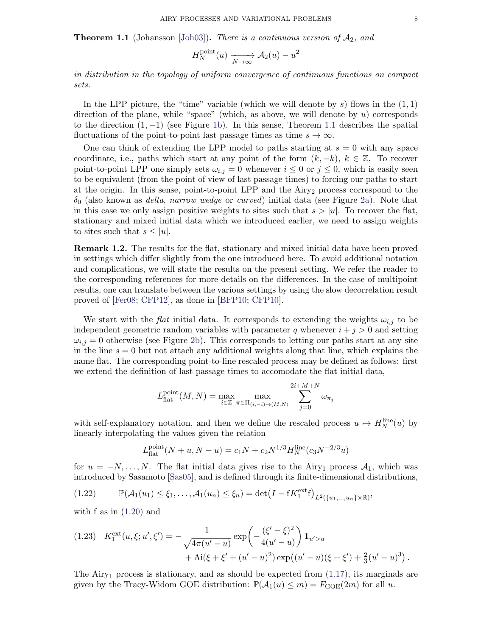<span id="page-7-0"></span>**Theorem 1.1** (Johansson [\[Joh03\]](#page-39-5)). There is a continuous version of  $A_2$ , and

$$
H_N^{\text{point}}(u) \xrightarrow[N \to \infty]{} A_2(u) - u^2
$$

in distribution in the topology of uniform convergence of continuous functions on compact sets.

In the LPP picture, the "time" variable (which we will denote by  $s$ ) flows in the  $(1, 1)$ direction of the plane, while "space" (which, as above, we will denote by  $u$ ) corresponds to the direction  $(1, -1)$  (see Figure [1b\)](#page-5-0). In this sense, Theorem [1.1](#page-7-0) describes the spatial fluctuations of the point-to-point last passage times as time  $s \to \infty$ .

One can think of extending the LPP model to paths starting at  $s = 0$  with any space coordinate, i.e., paths which start at any point of the form  $(k, -k)$ ,  $k \in \mathbb{Z}$ . To recover point-to-point LPP one simply sets  $\omega_{i,j} = 0$  whenever  $i \leq 0$  or  $j \leq 0$ , which is easily seen to be equivalent (from the point of view of last passage times) to forcing our paths to start at the origin. In this sense, point-to-point LPP and the  $Airy<sub>2</sub>$  process correspond to the  $\delta_0$  (also known as *delta, narrow wedge* or *curved*) initial data (see Figure [2a\)](#page-8-0). Note that in this case we only assign positive weights to sites such that  $s > |u|$ . To recover the flat, stationary and mixed initial data which we introduced earlier, we need to assign weights to sites such that  $s \leq |u|$ .

<span id="page-7-1"></span>Remark 1.2. The results for the flat, stationary and mixed initial data have been proved in settings which differ slightly from the one introduced here. To avoid additional notation and complications, we will state the results on the present setting. We refer the reader to the corresponding references for more details on the differences. In the case of multipoint results, one can translate between the various settings by using the slow decorrelation result proved of [\[Fer08;](#page-39-8) [CFP12\]](#page-38-5), as done in [\[BFP10;](#page-37-10) [CFP10\]](#page-38-6).

We start with the *flat* initial data. It corresponds to extending the weights  $\omega_{i,j}$  to be independent geometric random variables with parameter q whenever  $i + j > 0$  and setting  $\omega_{i,j} = 0$  otherwise (see Figure [2b\)](#page-8-0). This corresponds to letting our paths start at any site in the line  $s = 0$  but not attach any additional weights along that line, which explains the name flat. The corresponding point-to-line rescaled process may be defined as follows: first we extend the definition of last passage times to accomodate the flat initial data,

$$
L_{\text{flat}}^{\text{point}}(M, N) = \max_{i \in \mathbb{Z}} \max_{\pi \in \Pi_{(i, -i) \to (M, N)}} \sum_{j=0}^{2i + M + N} \omega_{\pi_j}
$$

with self-explanatory notation, and then we define the rescaled process  $u \mapsto H_N^{\text{line}}(u)$  by linearly interpolating the values given the relation

$$
L_{\text{flat}}^{\text{point}}(N+u, N-u) = c_1 N + c_2 N^{1/3} H_N^{\text{line}}(c_3 N^{-2/3} u)
$$

for  $u = -N, \ldots, N$ . The flat initial data gives rise to the Airy<sub>1</sub> process  $\mathcal{A}_1$ , which was introduced by Sasamoto [\[Sas05\]](#page-40-4), and is defined through its finite-dimensional distributions,

<span id="page-7-2"></span>
$$
(1.22) \qquad \mathbb{P}(\mathcal{A}_1(u_1) \leq \xi_1, \ldots, \mathcal{A}_1(u_n) \leq \xi_n) = \det(I - fK_1^{\text{ext}}f)_{L^2(\{u_1, \ldots, u_n\} \times \mathbb{R})},
$$

with f as in  $(1.20)$  and

<span id="page-7-3"></span>
$$
(1.23) \quad K_1^{\text{ext}}(u,\xi;u',\xi') = -\frac{1}{\sqrt{4\pi(u'-u)}} \exp\left(-\frac{(\xi'-\xi)^2}{4(u'-u)}\right) \mathbf{1}_{u'>u} + \text{Ai}(\xi+\xi'+(u'-u)^2) \exp\left((u'-u)(\xi+\xi') + \frac{2}{3}(u'-u)^3\right).
$$

The Airy<sub>1</sub> process is stationary, and as should be expected from  $(1.17)$ , its marginals are given by the Tracy-Widom GOE distribution:  $\mathbb{P}(\mathcal{A}_1(u) \leq m) = F_{GOE}(2m)$  for all u.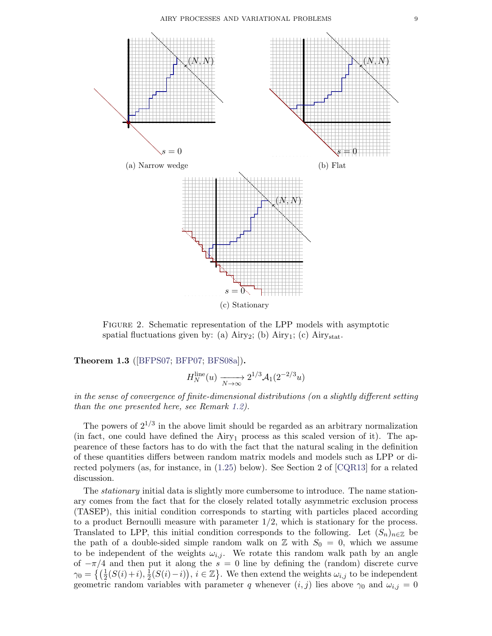<span id="page-8-0"></span>

Figure 2. Schematic representation of the LPP models with asymptotic spatial fluctuations given by: (a)  $Airy_2$ ; (b)  $Airy_1$ ; (c)  $Airy_{stat}$ .

Theorem 1.3 ([\[BFPS07;](#page-38-1) [BFP07;](#page-38-2) [BFS08a\]](#page-38-7)).

$$
H_N^{\text{line}}(u) \xrightarrow[N \to \infty]{} 2^{1/3} \mathcal{A}_1(2^{-2/3}u)
$$

in the sense of convergence of finite-dimensional distributions (on a slightly different setting than the one presented here, see Remark [1.2\)](#page-7-1).

The powers of  $2^{1/3}$  in the above limit should be regarded as an arbitrary normalization (in fact, one could have defined the  $Airy_1$  process as this scaled version of it). The appearence of these factors has to do with the fact that the natural scaling in the definition of these quantities differs between random matrix models and models such as LPP or directed polymers (as, for instance, in [\(1.25\)](#page-10-1) below). See Section 2 of [\[CQR13\]](#page-38-8) for a related discussion.

The *stationary* initial data is slightly more cumbersome to introduce. The name stationary comes from the fact that for the closely related totally asymmetric exclusion process (TASEP), this initial condition corresponds to starting with particles placed according to a product Bernoulli measure with parameter  $1/2$ , which is stationary for the process. Translated to LPP, this initial condition corresponds to the following. Let  $(S_n)_{n\in\mathbb{Z}}$  be the path of a double-sided simple random walk on  $\mathbb Z$  with  $S_0 = 0$ , which we assume to be independent of the weights  $\omega_{i,j}$ . We rotate this random walk path by an angle of  $-\pi/4$  and then put it along the s = 0 line by defining the (random) discrete curve  $\gamma_0 = \left\{ \left( \frac{1}{2}(S(i)+i), \frac{1}{2} \right) \right\}$  $\frac{1}{2}(S(i)-i)$ ,  $i \in \mathbb{Z}$ . We then extend the weights  $\omega_{i,j}$  to be independent geometric random variables with parameter q whenever  $(i, j)$  lies above  $\gamma_0$  and  $\omega_{i,j} = 0$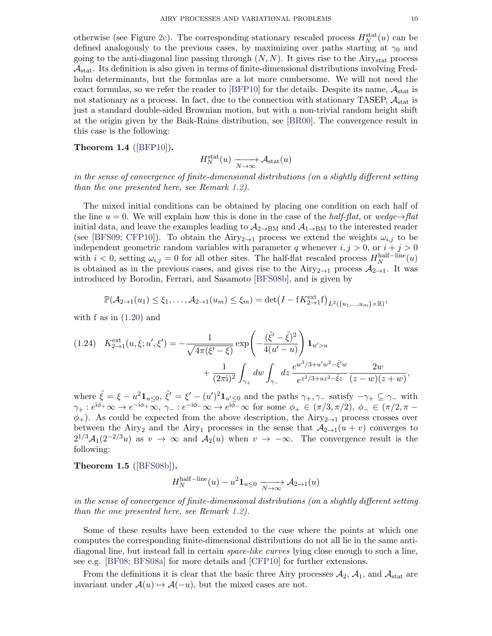otherwise (see Figure [2c\)](#page-8-0). The corresponding stationary rescaled process  $H_N^{\text{stat}}(u)$  can be defined analogously to the previous cases, by maximizing over paths starting at  $\gamma_0$  and going to the anti-diagonal line passing through  $(N, N)$ . It gives rise to the Airy<sub>stat</sub> process  $\mathcal{A}_{\text{stat}}$ . Its definition is also given in terms of finite-dimensional distributions involving Fredholm determinants, but the formulas are a lot more cumbersome. We will not need the exact formulas, so we refer the reader to [\[BFP10\]](#page-37-10) for the details. Despite its name,  $A_{\text{stat}}$  is not stationary as a process. In fact, due to the connection with stationary TASEP,  $A_{\text{stat}}$  is just a standard double-sided Brownian motion, but with a non-trivial random height shift at the origin given by the Baik-Rains distribution, see [\[BR00\]](#page-37-11). The convergence result in this case is the following:

Theorem 1.4 ([\[BFP10\]](#page-37-10)).

$$
H_N^{\rm stat}(u)\xrightarrow[N\to\infty]{} \mathcal{A}_{\rm stat}(u)
$$

in the sense of convergence of finite-dimensional distributions (on a slightly different setting than the one presented here, see Remark [1.2\)](#page-7-1).

The mixed initial conditions can be obtained by placing one condition on each half of the line  $u = 0$ . We will explain how this is done in the case of the *half-flat*, or wedge $\rightarrow$ *flat* initial data, and leave the examples leading to  $A_{2\to BM}$  and  $A_{1\to BM}$  to the interested reader (see [\[BFS09;](#page-38-9) [CFP10\]](#page-38-6)). To obtain the Airy<sub>2→1</sub> process we extend the weights  $\omega_{i,j}$  to be independent geometric random variables with parameter q whenever  $i, j > 0$ , or  $i + j > 0$ with  $i < 0$ , setting  $\omega_{i,j} = 0$  for all other sites. The half-flat rescaled process  $H_N^{\text{half-line}}$  $N^{\text{half-line}}(u)$ is obtained as in the previous cases, and gives rise to the Airy<sub>2→1</sub> process  $\mathcal{A}_{2\to 1}$ . It was introduced by Borodin, Ferrari, and Sasamoto [\[BFS08b\]](#page-38-10), and is given by

$$
\mathbb{P}(\mathcal{A}_{2\to 1}(u_1)\leq \xi_1,\ldots,\mathcal{A}_{2\to 1}(u_m)\leq \xi_m)=\det\left(I-fK_{2\to 1}^{\text{ext}}f\right)_{L^2(\{u_1,\ldots,u_m\}\times\mathbb{R})},
$$

with f as in  $(1.20)$  and

<span id="page-9-0"></span>
$$
(1.24) \quad K_{2\to 1}^{\text{ext}}(u,\xi;u',\xi') = -\frac{1}{\sqrt{4\pi(\xi'-\xi)}} \exp\left(-\frac{(\tilde{\xi}'-\tilde{\xi})^2}{4(u'-u)}\right) \mathbf{1}_{u'>u} + \frac{1}{(2\pi i)^2} \int_{\gamma_+} dw \int_{\gamma_-} dz \frac{e^{w^3/3+u'w^2-\tilde{\xi}'w}}{e^{z^3/3+uz^2-\tilde{\xi}z}} \frac{2w}{(z-w)(z+w)},
$$

where  $\tilde{\xi} = \xi - u^2 \mathbf{1}_{u \leq 0}$ ,  $\tilde{\xi}' = \xi' - (u')^2 \mathbf{1}_{u' \leq 0}$  and the paths  $\gamma_+, \gamma_-$  satisfy  $-\gamma_+ \subseteq \gamma_-$  with  $\gamma_+ : e^{i\phi_+}\infty \to e^{-i\phi_+}\infty$ ,  $\gamma_- : e^{-i\phi_-}\infty \to e^{i\phi_-}\infty$  for some  $\phi_+ \in (\pi/3, \pi/2)$ ,  $\phi_- \in (\pi/2, \pi-1)$  $\phi_+$ ). As could be expected from the above description, the Airy<sub>2→1</sub> process crosses over between the Airy<sub>2</sub> and the Airy<sub>1</sub> processes in the sense that  $A_{2\to1}(u + v)$  converges to  $2^{1/3}A_1(2^{-2/3}u)$  as  $v \to \infty$  and  $A_2(u)$  when  $v \to -\infty$ . The convergence result is the following:

Theorem 1.5 ([\[BFS08b\]](#page-38-10)).

$$
H_N^{\text{half-line}}(u) - u^2 \mathbf{1}_{u \le 0} \xrightarrow[N \to \infty]{} \mathcal{A}_{2 \to 1}(u)
$$

in the sense of convergence of finite-dimensional distributions (on a slightly different setting than the one presented here, see Remark [1.2\)](#page-7-1).

Some of these results have been extended to the case where the points at which one computes the corresponding finite-dimensional distributions do not all lie in the same antidiagonal line, but instead fall in certain *space-like curves* lying close enough to such a line, see e.g. [\[BF08;](#page-38-11) [BFS08a\]](#page-38-7) for more details and [\[CFP10\]](#page-38-6) for further extensions.

From the definitions it is clear that the basic three Airy processes  $A_2$ ,  $A_1$ , and  $A_{stat}$  are invariant under  $\mathcal{A}(u) \mapsto \mathcal{A}(-u)$ , but the mixed cases are not.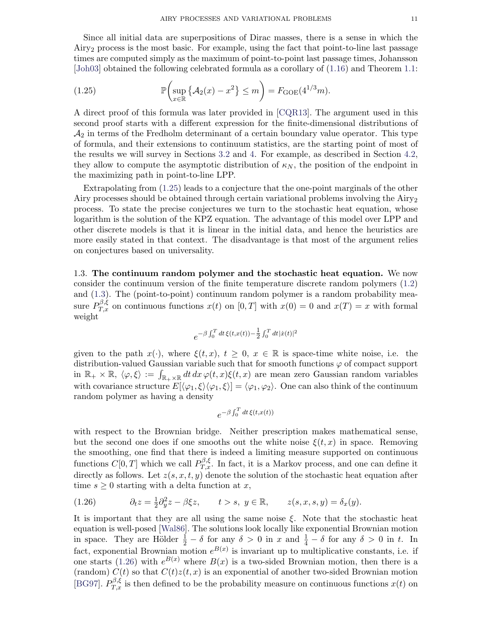Since all initial data are superpositions of Dirac masses, there is a sense in which the Airy<sup>2</sup> process is the most basic. For example, using the fact that point-to-line last passage times are computed simply as the maximum of point-to-point last passage times, Johansson [\[Joh03\]](#page-39-5) obtained the following celebrated formula as a corollary of [\(1.16\)](#page-5-1) and Theorem [1.1:](#page-7-0)

<span id="page-10-1"></span>(1.25) 
$$
\mathbb{P}\left(\sup_{x \in \mathbb{R}} \{A_2(x) - x^2\} \le m\right) = F_{\text{GOE}}(4^{1/3}m).
$$

A direct proof of this formula was later provided in [\[CQR13\]](#page-38-8). The argument used in this second proof starts with a different expression for the finite-dimensional distributions of  $\mathcal{A}_2$  in terms of the Fredholm determinant of a certain boundary value operator. This type of formula, and their extensions to continuum statistics, are the starting point of most of the results we will survey in Sections [3.2](#page-24-0) and [4.](#page-25-0) For example, as described in Section [4.2,](#page-28-0) they allow to compute the asymptotic distribution of  $\kappa_N$ , the position of the endpoint in the maximizing path in point-to-line LPP.

Extrapolating from [\(1.25\)](#page-10-1) leads to a conjecture that the one-point marginals of the other Airy processes should be obtained through certain variational problems involving the  $Airy<sub>2</sub>$ process. To state the precise conjectures we turn to the stochastic heat equation, whose logarithm is the solution of the KPZ equation. The advantage of this model over LPP and other discrete models is that it is linear in the initial data, and hence the heuristics are more easily stated in that context. The disadvantage is that most of the argument relies on conjectures based on universality.

<span id="page-10-0"></span>1.3. The continuum random polymer and the stochastic heat equation. We now consider the continuum version of the finite temperature discrete random polymers [\(1.2\)](#page-2-0) and [\(1.3\)](#page-2-1). The (point-to-point) continuum random polymer is a random probability measure  $P_{T,x}^{\beta,\xi}$  on continuous functions  $x(t)$  on  $[0,T]$  with  $x(0) = 0$  and  $x(T) = x$  with formal weight

$$
e^{-\beta \int_0^T dt \, \xi(t, x(t)) - \frac{1}{2} \int_0^T dt \, |\dot{x}(t)|^2}
$$

given to the path  $x(\cdot)$ , where  $\xi(t, x)$ ,  $t \geq 0$ ,  $x \in \mathbb{R}$  is space-time white noise, i.e. the distribution-valued Gaussian variable such that for smooth functions  $\varphi$  of compact support in  $\mathbb{R}_+ \times \mathbb{R}$ ,  $\langle \varphi, \xi \rangle := \int_{\mathbb{R}_+ \times \mathbb{R}} dt \, dx \, \varphi(t, x) \xi(t, x)$  are mean zero Gaussian random variables with covariance structure  $E[\langle\varphi_1,\xi\rangle\langle\varphi_1,\xi\rangle]=\langle\varphi_1,\varphi_2\rangle$ . One can also think of the continuum random polymer as having a density

$$
e^{-\beta \int_0^T dt \,\xi(t,x(t))}
$$

with respect to the Brownian bridge. Neither prescription makes mathematical sense, but the second one does if one smooths out the white noise  $\xi(t, x)$  in space. Removing the smoothing, one find that there is indeed a limiting measure supported on continuous functions  $C[0,T]$  which we call  $P_{T,x}^{\beta,\xi}$ . In fact, it is a Markov process, and one can define it directly as follows. Let  $z(s, x, t, y)$  denote the solution of the stochastic heat equation after time  $s \geq 0$  starting with a delta function at x,

<span id="page-10-2"></span>(1.26) 
$$
\partial_t z = \frac{1}{2} \partial_y^2 z - \beta \xi z, \qquad t > s, \ y \in \mathbb{R}, \qquad z(s, x, s, y) = \delta_x(y).
$$

It is important that they are all using the same noise  $\xi$ . Note that the stochastic heat equation is well-posed [\[Wal86\]](#page-41-0). The solutions look locally like exponential Brownian motion in space. They are Hölder  $\frac{1}{2} - \delta$  for any  $\delta > 0$  in x and  $\frac{1}{4} - \delta$  for any  $\delta > 0$  in t. In fact, exponential Brownian motion  $e^{B(x)}$  is invariant up to multiplicative constants, i.e. if one starts [\(1.26\)](#page-10-2) with  $e^{B(x)}$  where  $B(x)$  is a two-sided Brownian motion, then there is a (random)  $C(t)$  so that  $C(t)z(t, x)$  is an exponential of another two-sided Brownian motion [\[BG97\]](#page-37-12).  $P_{T,x}^{\beta,\xi}$  is then defined to be the probability measure on continuous functions  $x(t)$  on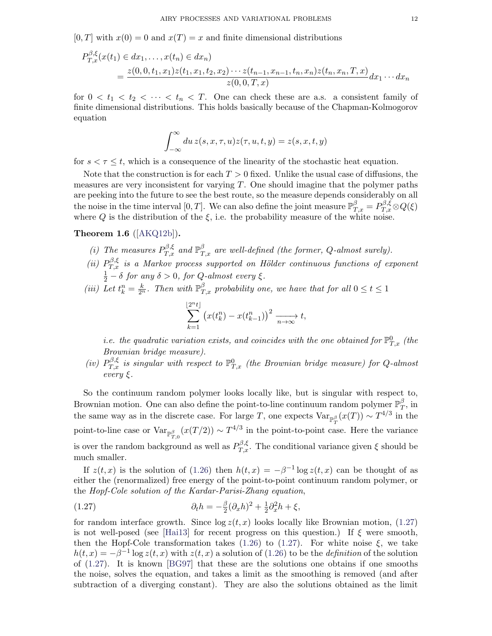$[0, T]$  with  $x(0) = 0$  and  $x(T) = x$  and finite dimensional distributions

$$
P_{T,x}^{\beta,\xi}(x(t_1) \in dx_1, \dots, x(t_n) \in dx_n)
$$
  
= 
$$
\frac{z(0,0,t_1,x_1)z(t_1,x_1,t_2,x_2)\cdots z(t_{n-1},x_{n-1},t_n,x_n)z(t_n,x_n,T,x)}{z(0,0,T,x)}dx_1\cdots dx_n
$$

for  $0 < t_1 < t_2 < \cdots < t_n < T$ . One can check these are a.s. a consistent family of finite dimensional distributions. This holds basically because of the Chapman-Kolmogorov equation

$$
\int_{-\infty}^{\infty} du \, z(s, x, \tau, u) z(\tau, u, t, y) = z(s, x, t, y)
$$

for  $s < \tau \leq t$ , which is a consequence of the linearity of the stochastic heat equation.

Note that the construction is for each  $T > 0$  fixed. Unlike the usual case of diffusions, the measures are very inconsistent for varying  $T$ . One should imagine that the polymer paths are peeking into the future to see the best route, so the measure depends considerably on all the noise in the time interval  $[0, T]$ . We can also define the joint measure  $\mathbb{P}^{\beta}_{T,x} = P^{\beta,\xi}_{T,x} \otimes Q(\xi)$ where Q is the distribution of the  $\xi$ , i.e. the probability measure of the white noise.

# Theorem 1.6 ([\[AKQ12b\]](#page-37-13)).

- (i) The measures  $P_{T,x}^{\beta,\xi}$  and  $\mathbb{P}_{T,x}^{\beta}$  are well-defined (the former, Q-almost surely).
- (ii)  $P_{T,x}^{\beta,\xi}$  is a Markov process supported on Hölder continuous functions of exponent  $\frac{1}{2} - \delta$  for any  $\delta > 0$ , for Q-almost every  $\xi$ .
- (iii) Let  $t_k^n = \frac{k}{2^n}$ . Then with  $\mathbb{P}^{\beta}_{T,x}$  probability one, we have that for all  $0 \le t \le 1$

$$
\sum_{k=1}^{\lfloor 2^n t \rfloor} \left( x(t_k^n) - x(t_{k-1}^n) \right)^2 \xrightarrow[n \to \infty]{} t,
$$

*i.e.* the quadratic variation exists, and coincides with the one obtained for  $\mathbb{P}^0_{T,x}$  (the Brownian bridge measure).

(iv)  $P_{T,x}^{\beta,\xi}$  is singular with respect to  $\mathbb{P}_{T,x}^0$  (the Brownian bridge measure) for Q-almost every ξ.

So the continuum random polymer looks locally like, but is singular with respect to, Brownian motion. One can also define the point-to-line continuum random polymer  $\mathbb{P}^{\beta}_{\mathcal{I}}$  $_T^\rho$ , in the same way as in the discrete case. For large T, one expects  $Var_{\mathbb{P}^{\beta}_{T}}(x(T)) \sim T^{4/3}$  in the point-to-line case or  $Var_{\mathbb{P}_{T,0}^{\beta}}(x(T/2)) \sim T^{4/3}$  in the point-to-point case. Here the variance is over the random background as well as  $P_{T,x}^{\beta,\xi}$ . The conditional variance given  $\xi$  should be much smaller.

If  $z(t, x)$  is the solution of [\(1.26\)](#page-10-2) then  $h(t, x) = -\beta^{-1} \log z(t, x)$  can be thought of as either the (renormalized) free energy of the point-to-point continuum random polymer, or the Hopf-Cole solution of the Kardar-Parisi-Zhang equation,

<span id="page-11-0"></span>(1.27) 
$$
\partial_t h = -\frac{\beta}{2} (\partial_x h)^2 + \frac{1}{2} \partial_x^2 h + \xi,
$$

for random interface growth. Since  $log z(t, x)$  looks locally like Brownian motion, [\(1.27\)](#page-11-0) is not well-posed (see [\[Hai13\]](#page-39-9) for recent progress on this question.) If  $\xi$  were smooth, then the Hopf-Cole transformation takes [\(1.26\)](#page-10-2) to [\(1.27\)](#page-11-0). For white noise  $\xi$ , we take  $h(t,x) = -\beta^{-1} \log z(t,x)$  with  $z(t,x)$  a solution of [\(1.26\)](#page-10-2) to be the *definition* of the solution of [\(1.27\)](#page-11-0). It is known [\[BG97\]](#page-37-12) that these are the solutions one obtains if one smooths the noise, solves the equation, and takes a limit as the smoothing is removed (and after subtraction of a diverging constant). They are also the solutions obtained as the limit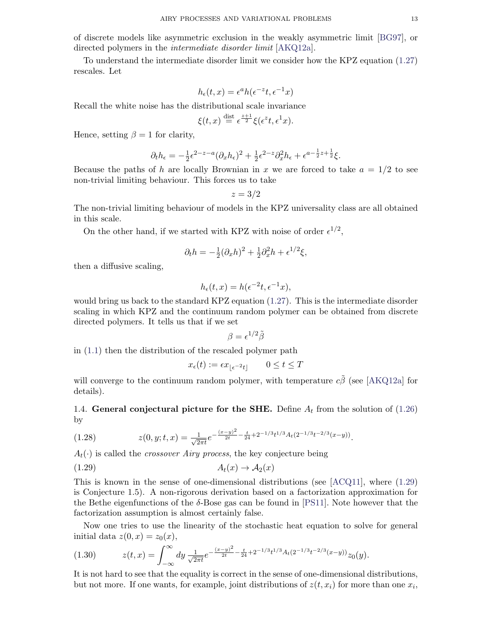of discrete models like asymmetric exclusion in the weakly asymmetric limit [\[BG97\]](#page-37-12), or directed polymers in the intermediate disorder limit [\[AKQ12a\]](#page-37-14).

To understand the intermediate disorder limit we consider how the KPZ equation [\(1.27\)](#page-11-0) rescales. Let

$$
h_{\epsilon}(t,x) = \epsilon^a h(\epsilon^{-z}t, \epsilon^{-1}x)
$$

Recall the white noise has the distributional scale invariance

$$
\xi(t,x) \stackrel{\text{dist}}{=} \epsilon^{\frac{z+1}{2}} \xi(\epsilon^z t, \epsilon^1 x).
$$

Hence, setting  $\beta = 1$  for clarity,

$$
\partial_t h_{\epsilon} = -\frac{1}{2} \epsilon^{2-z-a} (\partial_x h_{\epsilon})^2 + \frac{1}{2} \epsilon^{2-z} \partial_x^2 h_{\epsilon} + \epsilon^{a-\frac{1}{2}z+\frac{1}{2}} \xi.
$$

Because the paths of h are locally Brownian in x we are forced to take  $a = 1/2$  to see non-trivial limiting behaviour. This forces us to take

$$
z = 3/2
$$

The non-trivial limiting behaviour of models in the KPZ universality class are all obtained in this scale.

On the other hand, if we started with KPZ with noise of order  $\epsilon^{1/2}$ ,

$$
\partial_t h = -\frac{1}{2} (\partial_x h)^2 + \frac{1}{2} \partial_x^2 h + \epsilon^{1/2} \xi,
$$

then a diffusive scaling,

$$
h_{\epsilon}(t,x) = h(\epsilon^{-2}t, \epsilon^{-1}x),
$$

would bring us back to the standard KPZ equation [\(1.27\)](#page-11-0). This is the intermediate disorder scaling in which KPZ and the continuum random polymer can be obtained from discrete directed polymers. It tells us that if we set

$$
\beta = \epsilon^{1/2} \tilde{\beta}
$$

in [\(1.1\)](#page-2-4) then the distribution of the rescaled polymer path

$$
x_{\epsilon}(t) := \epsilon x_{\lfloor \epsilon^{-2} t \rfloor} \qquad 0 \le t \le T
$$

will converge to the continuum random polymer, with temperature  $c\tilde{\beta}$  (see [\[AKQ12a\]](#page-37-14) for details).

<span id="page-12-0"></span>1.4. General conjectural picture for the SHE. Define  $A_t$  from the solution of [\(1.26\)](#page-10-2) by

<span id="page-12-2"></span>(1.28) 
$$
z(0, y; t, x) = \frac{1}{\sqrt{2\pi t}} e^{-\frac{(x-y)^2}{2t} - \frac{t}{24} + 2^{-1/3}t^{1/3}A_t(2^{-1/3}t^{-2/3}(x-y))}.
$$

 $A_t(\cdot)$  is called the *crossover Airy process*, the key conjecture being

<span id="page-12-1"></span>
$$
(1.29) \t\t A_t(x) \to \mathcal{A}_2(x)
$$

This is known in the sense of one-dimensional distributions (see [\[ACQ11\]](#page-37-7), where [\(1.29\)](#page-12-1) is Conjecture 1.5). A non-rigorous derivation based on a factorization approximation for the Bethe eigenfunctions of the  $\delta$ -Bose gas can be found in [\[PS11\]](#page-40-9). Note however that the factorization assumption is almost certainly false.

Now one tries to use the linearity of the stochastic heat equation to solve for general initial data  $z(0, x) = z_0(x)$ ,

<span id="page-12-3"></span>
$$
(1.30) \t z(t,x) = \int_{-\infty}^{\infty} dy \, \frac{1}{\sqrt{2\pi t}} e^{-\frac{(x-y)^2}{2t} - \frac{t}{24} + 2^{-1/3}t^{1/3}A_t(2^{-1/3}t^{-2/3}(x-y))} z_0(y).
$$

It is not hard to see that the equality is correct in the sense of one-dimensional distributions, but not more. If one wants, for example, joint distributions of  $z(t, x_i)$  for more than one  $x_i$ ,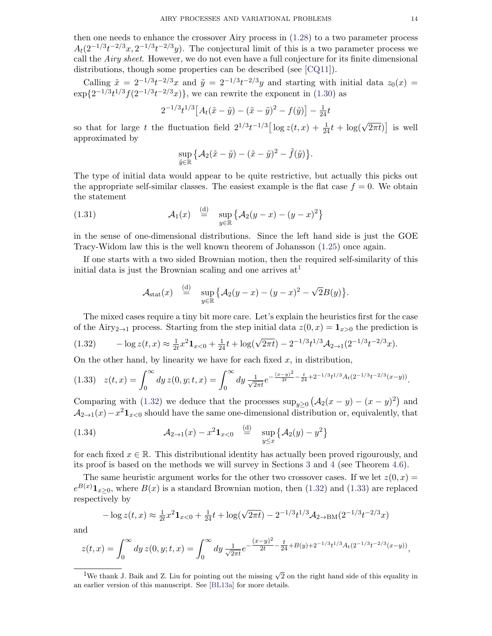then one needs to enhance the crossover Airy process in [\(1.28\)](#page-12-2) to a two parameter process  $A_t(2^{-1/3}t^{-2/3}x, 2^{-1/3}t^{-2/3}y)$ . The conjectural limit of this is a two parameter process we call the Airy sheet. However, we do not even have a full conjecture for its finite dimensional distributions, though some properties can be described (see [\[CQ11\]](#page-38-12)).

Calling  $\tilde{x} = 2^{-1/3}t^{-2/3}x$  and  $\tilde{y} = 2^{-1/3}t^{-2/3}y$  and starting with initial data  $z_0(x) =$  $\exp\{2^{-1/3}t^{1/3}f(2^{-1/3}t^{-2/3}x)\}\,$ , we can rewrite the exponent in [\(1.30\)](#page-12-3) as

$$
2^{-1/3}t^{1/3}[A_t(\tilde{x}-\tilde{y})-(\tilde{x}-\tilde{y})^2-f(\tilde{y})]-\frac{1}{24}t
$$

so that for large t the fluctuation field  $2^{1/3}t^{-1/3}[\log z(t,x) + \frac{1}{24}t + \log(\sqrt{2\pi t})]$  is well approximated by

$$
\sup_{\tilde{y}\in\mathbb{R}}\left\{\mathcal{A}_2(\tilde{x}-\tilde{y})-(\tilde{x}-\tilde{y})^2-\tilde{f}(\tilde{y})\right\}.
$$

The type of initial data would appear to be quite restrictive, but actually this picks out the appropriate self-similar classes. The easiest example is the flat case  $f = 0$ . We obtain the statement

(1.31) 
$$
\mathcal{A}_1(x) \stackrel{\text{(d)}}{=} \sup_{y \in \mathbb{R}} \left\{ \mathcal{A}_2(y-x) - (y-x)^2 \right\}
$$

in the sense of one-dimensional distributions. Since the left hand side is just the GOE Tracy-Widom law this is the well known theorem of Johansson [\(1.25\)](#page-10-1) once again.

If one starts with a two sided Brownian motion, then the required self-similarity of this initial data is just the Brownian scaling and one arrives  $at<sup>1</sup>$  $at<sup>1</sup>$  $at<sup>1</sup>$ 

$$
\mathcal{A}_{\text{stat}}(x) \stackrel{\text{(d)}}{=} \sup_{y \in \mathbb{R}} \left\{ \mathcal{A}_2(y-x) - (y-x)^2 - \sqrt{2}B(y) \right\}.
$$

The mixed cases require a tiny bit more care. Let's explain the heuristics first for the case of the Airy<sub>2→1</sub> process. Starting from the step initial data  $z(0, x) = \mathbf{1}_{x>0}$  the prediction is

<span id="page-13-1"></span>
$$
(1.32) \qquad -\log z(t,x) \approx \frac{1}{2t}x^2 \mathbf{1}_{x<0} + \frac{1}{24}t + \log(\sqrt{2\pi t}) - 2^{-1/3}t^{1/3} \mathcal{A}_{2\to 1}(2^{-1/3}t^{-2/3}x).
$$

On the other hand, by linearity we have for each fixed  $x$ , in distribution,

<span id="page-13-2"></span>
$$
(1.33) \quad z(t,x) = \int_0^\infty dy \, z(0,y;t,x) = \int_0^\infty dy \, \frac{1}{\sqrt{2\pi t}} e^{-\frac{(x-y)^2}{2t} - \frac{t}{24} + 2^{-1/3}t^{1/3}A_t(2^{-1/3}t^{-2/3}(x-y))}.
$$

Comparing with [\(1.32\)](#page-13-1) we deduce that the processes  $\sup_{y\geq 0} (\mathcal{A}_2(x-y) - (x-y)^2)$  and  $\mathcal{A}_{2\to1}(x) - x^2 \mathbf{1}_{x<0}$  should have the same one-dimensional distribution or, equivalently, that

<span id="page-13-3"></span>(1.34) 
$$
\mathcal{A}_{2\to 1}(x) - x^2 \mathbf{1}_{x<0} \stackrel{\text{(d)}}{=} \sup_{y \leq x} \{ \mathcal{A}_2(y) - y^2 \}
$$

for each fixed  $x \in \mathbb{R}$ . This distributional identity has actually been proved rigourously, and its proof is based on the methods we will survey in Sections [3](#page-22-0) and [4](#page-25-0) (see Theorem [4.6\)](#page-35-1).

The same heuristic argument works for the other two crossover cases. If we let  $z(0, x) =$  $e^{B(x)}\mathbf{1}_{x\geq0}$ , where  $B(x)$  is a standard Brownian motion, then [\(1.32\)](#page-13-1) and [\(1.33\)](#page-13-2) are replaced respectively by

$$
-\log z(t,x) \approx \frac{1}{2t}x^2\mathbf{1}_{x<0} + \frac{1}{24}t + \log(\sqrt{2\pi t}) - 2^{-1/3}t^{1/3}A_{2\to\text{BM}}(2^{-1/3}t^{-2/3}x)
$$

and

$$
z(t,x) = \int_0^\infty dy \, z(0,y;t,x) = \int_0^\infty dy \, \frac{1}{\sqrt{2\pi t}} e^{-\frac{(x-y)^2}{2t} - \frac{t}{24} + B(y) + 2^{-1/3}t^{1/3}A_t(2^{-1/3}t^{-2/3}(x-y))},
$$

<span id="page-13-0"></span> $\overline{1_{\text{We thank J. Baik and Z. Liu for pointing out the missing }\sqrt{2}}}$  on the right hand side of this equality in an earlier version of this manuscript. See [\[BL13a\]](#page-37-15) for more details.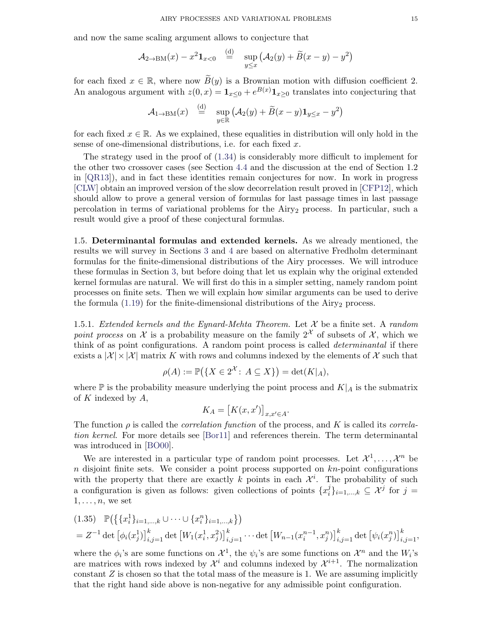and now the same scaling argument allows to conjecture that

$$
\mathcal{A}_{2\to\mathrm{BM}}(x) - x^2 \mathbf{1}_{x<0} \stackrel{\text{(d)}}{=} \sup_{y\leq x} \left(\mathcal{A}_2(y) + \widetilde{B}(x-y) - y^2\right)
$$

for each fixed  $x \in \mathbb{R}$ , where now  $\widetilde{B}(y)$  is a Brownian motion with diffusion coefficient 2. An analogous argument with  $z(0, x) = \mathbf{1}_{x \leq 0} + e^{B(x)} \mathbf{1}_{x \geq 0}$  translates into conjecturing that

$$
\mathcal{A}_{1\to \mathrm{BM}}(x) \stackrel{\text{(d)}}{=} \sup_{y\in \mathbb{R}} \left( \mathcal{A}_2(y) + \widetilde{B}(x-y) \mathbf{1}_{y\leq x} - y^2 \right)
$$

for each fixed  $x \in \mathbb{R}$ . As we explained, these equalities in distribution will only hold in the sense of one-dimensional distributions, i.e. for each fixed  $x$ .

The strategy used in the proof of [\(1.34\)](#page-13-3) is considerably more difficult to implement for the other two crossover cases (see Section [4.4](#page-35-0) and the discussion at the end of Section 1.2 in [\[QR13\]](#page-40-10)), and in fact these identities remain conjectures for now. In work in progress [\[CLW\]](#page-38-13) obtain an improved version of the slow decorrelation result proved in [\[CFP12\]](#page-38-5), which should allow to prove a general version of formulas for last passage times in last passage percolation in terms of variational problems for the  $Airy<sub>2</sub>$  process. In particular, such a result would give a proof of these conjectural formulas.

<span id="page-14-0"></span>1.5. Determinantal formulas and extended kernels. As we already mentioned, the results we will survey in Sections [3](#page-22-0) and [4](#page-25-0) are based on alternative Fredholm determinant formulas for the finite-dimensional distributions of the Airy processes. We will introduce these formulas in Section [3,](#page-22-0) but before doing that let us explain why the original extended kernel formulas are natural. We will first do this in a simpler setting, namely random point processes on finite sets. Then we will explain how similar arguments can be used to derive the formula  $(1.19)$  for the finite-dimensional distributions of the Airy<sub>2</sub> process.

<span id="page-14-2"></span>1.5.1. Extended kernels and the Eynard-Mehta Theorem. Let  $\mathcal X$  be a finite set. A random point process on X is a probability measure on the family  $2^{\mathcal{X}}$  of subsets of X, which we think of as point configurations. A random point process is called *determinantal* if there exists a  $|\mathcal{X}| \times |\mathcal{X}|$  matrix K with rows and columns indexed by the elements of X such that

$$
\rho(A) := \mathbb{P}(\{X \in 2^{\mathcal{X}} \colon A \subseteq X\}) = \det(K|_A),
$$

where  $\mathbb P$  is the probability measure underlying the point process and  $K|_A$  is the submatrix of K indexed by  $A$ ,

$$
K_A = [K(x, x')]_{x, x' \in A}.
$$

The function  $\rho$  is called the *correlation function* of the process, and K is called its *correla*tion kernel. For more details see [\[Bor11\]](#page-37-16) and references therein. The term determinantal was introduced in [\[BO00\]](#page-38-14).

We are interested in a particular type of random point processes. Let  $\mathcal{X}^1, \ldots, \mathcal{X}^n$  be  $n$  disjoint finite sets. We consider a point process supported on  $kn$ -point configurations with the property that there are exactly k points in each  $\mathcal{X}^i$ . The probability of such a configuration is given as follows: given collections of points  $\{x_i^j\}$  $\{e^{j}\}_{i=1,\ldots,k} \subseteq \mathcal{X}^{j}$  for  $j =$  $1, \ldots, n$ , we set

<span id="page-14-1"></span>
$$
(1.35) \mathbb{P}(\lbrace \lbrace x_i^1 \rbrace_{i=1,\dots,k} \cup \cdots \cup \lbrace x_i^n \rbrace_{i=1,\dots,k} \rbrace)
$$
  
=  $Z^{-1}$  det  $[\phi_i(x_j^1)]_{i,j=1}^k$  det  $[W_1(x_i^1, x_j^2)]_{i,j=1}^k \cdots$  det  $[W_{n-1}(x_i^{n-1}, x_j^n)]_{i,j=1}^k$  det  $[\psi_i(x_j^n)]_{i,j=1}^k$ ,

where the  $\phi_i$ 's are some functions on  $\mathcal{X}^1$ , the  $\psi_i$ 's are some functions on  $\mathcal{X}^n$  and the  $W_i$ 's are matrices with rows indexed by  $\mathcal{X}^i$  and columns indexed by  $\mathcal{X}^{i+1}$ . The normalization constant  $Z$  is chosen so that the total mass of the measure is 1. We are assuming implicitly that the right hand side above is non-negative for any admissible point configuration.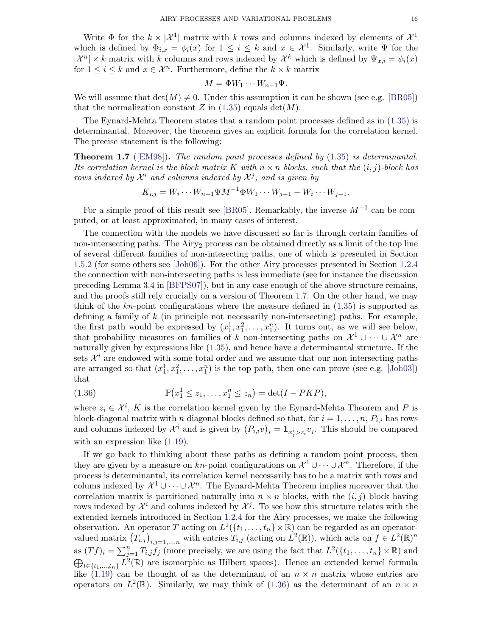Write  $\Phi$  for the  $k \times |\mathcal{X}^1|$  matrix with k rows and columns indexed by elements of  $\mathcal{X}^1$ which is defined by  $\Phi_{i,x} = \phi_i(x)$  for  $1 \leq i \leq k$  and  $x \in \mathcal{X}^1$ . Similarly, write  $\Psi$  for the  $|\mathcal{X}^n| \times k$  matrix with k columns and rows indexed by  $\mathcal{X}^k$  which is defined by  $\Psi_{x,i} = \psi_i(x)$ for  $1 \leq i \leq k$  and  $x \in \mathcal{X}^n$ . Furthermore, define the  $k \times k$  matrix

$$
M = \Phi W_1 \cdots W_{n-1} \Psi.
$$

We will assume that  $\det(M) \neq 0$ . Under this assumption it can be shown (see e.g. [\[BR05\]](#page-38-15)) that the normalization constant Z in  $(1.35)$  equals det $(M)$ .

The Eynard-Mehta Theorem states that a random point processes defined as in [\(1.35\)](#page-14-1) is determinantal. Moreover, the theorem gives an explicit formula for the correlation kernel. The precise statement is the following:

<span id="page-15-0"></span>**Theorem 1.7** ([\[EM98\]](#page-38-16)). The random point processes defined by  $(1.35)$  is determinantal. Its correlation kernel is the block matrix K with  $n \times n$  blocks, such that the  $(i, j)$ -block has rows indexed by  $\mathcal{X}^i$  and columns indexed by  $\mathcal{X}^j$ , and is given by

$$
K_{i,j} = W_i \cdots W_{n-1} \Psi M^{-1} \Phi W_1 \cdots W_{j-1} - W_i \cdots W_{j-1}.
$$

For a simple proof of this result see [\[BR05\]](#page-38-15). Remarkably, the inverse  $M^{-1}$  can be computed, or at least approximated, in many cases of interest.

The connection with the models we have discussed so far is through certain families of non-intersecting paths. The Airy<sub>2</sub> process can be obtained directly as a limit of the top line of several different families of non-intesecting paths, one of which is presented in Section [1.5.2](#page-16-0) (for some others see [\[Joh06\]](#page-39-10)). For the other Airy processes presented in Section [1.2.4](#page-6-2) the connection with non-intersecting paths is less immediate (see for instance the discussion preceding Lemma 3.4 in [\[BFPS07\]](#page-38-1)), but in any case enough of the above structure remains, and the proofs still rely crucially on a version of Theorem [1.7.](#page-15-0) On the other hand, we may think of the kn-point configurations where the measure defined in  $(1.35)$  is supported as defining a family of k (in principle not necessarily non-intersecting) paths. For example, the first path would be expressed by  $(x_1^1, x_1^2, \ldots, x_1^n)$ . It turns out, as we will see below, that probability measures on families of k non-intersecting paths on  $\mathcal{X}^1 \cup \cdots \cup \mathcal{X}^n$  are naturally given by expressions like [\(1.35\)](#page-14-1), and hence have a determinantal structure. If the sets  $\mathcal{X}^i$  are endowed with some total order and we assume that our non-intersecting paths are arranged so that  $(x_1^1, x_1^2, \ldots, x_1^n)$  is the top path, then one can prove (see e.g. [\[Joh03\]](#page-39-5)) that

<span id="page-15-1"></span>(1.36) 
$$
\mathbb{P}(x_1^1 \leq z_1, ..., x_1^n \leq z_n) = \det(I - PKP),
$$

where  $z_i \in \mathcal{X}^i$ , K is the correlation kernel given by the Eynard-Mehta Theorem and P is block-diagonal matrix with n diagonal blocks defined so that, for  $i = 1, \ldots, n$ ,  $P_{i,i}$  has rows and columns indexed by  $\mathcal{X}^i$  and is given by  $(P_{i,i}v)_j = \mathbf{1}_{x^i_j > z_i} v_j$ . This should be compared with an expression like [\(1.19\)](#page-6-1).

If we go back to thinking about these paths as defining a random point process, then they are given by a measure on kn-point configurations on  $\mathcal{X}^1 \cup \cdots \cup \mathcal{X}^n$ . Therefore, if the process is determinantal, its correlation kernel necessarily has to be a matrix with rows and colums indexed by  $\mathcal{X}^1 \cup \cdots \cup \mathcal{X}^n$ . The Eynard-Mehta Theorem implies moreover that the correlation matrix is partitioned naturally into  $n \times n$  blocks, with the  $(i, j)$  block having rows indexed by  $\mathcal{X}^i$  and colums indexed by  $\mathcal{X}^j$ . To see how this structure relates with the extended kernels introduced in Section [1.2.4](#page-6-2) for the Airy processes, we make the following observation. An operator T acting on  $L^2(\{t_1,\ldots,t_n\}\times\mathbb{R})$  can be regarded as an operatorvalued matrix  $(T_{i,j})_{i,j=1,\dots,n}$  with entries  $T_{i,j}$  (acting on  $L^2(\mathbb{R})$ ), which acts on  $f \in L^2(\mathbb{R})^n$ as  $(Tf)_i = \sum_{j=1}^n T_{i,j} f_j$  (more precisely, we are using the fact that  $L^2({t_1, \ldots, t_n} \times \mathbb{R})$  and  $\bigoplus_{t\in\{t_1,\ldots,t_n\}} L^2(\mathbb{R})$  are isomorphic as Hilbert spaces). Hence an extended kernel formula like  $(1.19)$  can be thought of as the determinant of an  $n \times n$  matrix whose entries are operators on  $L^2(\mathbb{R})$ . Similarly, we may think of [\(1.36\)](#page-15-1) as the determinant of an  $n \times n$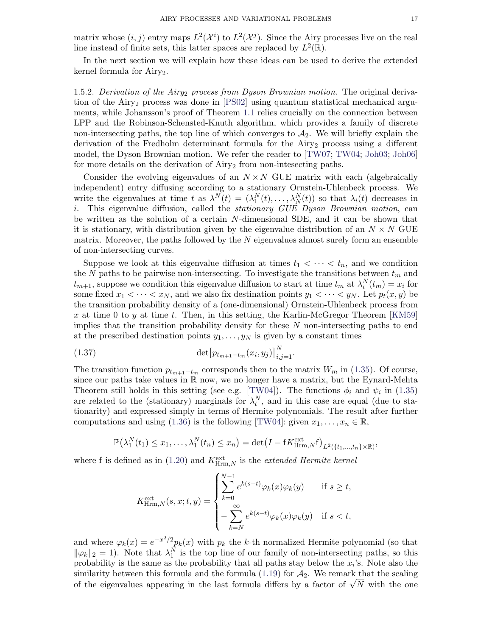matrix whose  $(i, j)$  entry maps  $L^2(\mathcal{X}^i)$  to  $L^2(\mathcal{X}^j)$ . Since the Airy processes live on the real line instead of finite sets, this latter spaces are replaced by  $L^2(\mathbb{R})$ .

In the next section we will explain how these ideas can be used to derive the extended kernel formula for  $Airy<sub>2</sub>$ .

<span id="page-16-0"></span>1.5.2. Derivation of the Airy<sub>2</sub> process from Dyson Brownian motion. The original derivation of the Airy<sub>2</sub> process was done in  $[PS02]$  using quantum statistical mechanical arguments, while Johansson's proof of Theorem [1.1](#page-7-0) relies crucially on the connection between LPP and the Robinson-Schensted-Knuth algorithm, which provides a family of discrete non-intersecting paths, the top line of which converges to  $A_2$ . We will briefly explain the derivation of the Fredholm determinant formula for the Airy<sub>2</sub> process using a different model, the Dyson Brownian motion. We refer the reader to [\[TW07;](#page-40-11) [TW04;](#page-40-12) [Joh03;](#page-39-5) [Joh06\]](#page-39-10) for more details on the derivation of Airy<sub>2</sub> from non-intesecting paths.

Consider the evolving eigenvalues of an  $N \times N$  GUE matrix with each (algebraically independent) entry diffusing according to a stationary Ornstein-Uhlenbeck process. We write the eigenvalues at time t as  $\lambda^N(t) = (\lambda_1^N(t), \dots, \lambda_N^N(t))$  so that  $\lambda_i(t)$  decreases in i. This eigenvalue diffusion, called the *stationary GUE Dyson Brownian motion*, can be written as the solution of a certain N-dimensional SDE, and it can be shown that it is stationary, with distribution given by the eigenvalue distribution of an  $N \times N$  GUE matrix. Moreover, the paths followed by the  $N$  eigenvalues almost surely form an ensemble of non-intersecting curves.

Suppose we look at this eigenvalue diffusion at times  $t_1 < \cdots < t_n$ , and we condition the N paths to be pairwise non-intersecting. To investigate the transitions between  $t_m$  and  $t_{m+1}$ , suppose we condition this eigenvalue diffusion to start at time  $t_m$  at  $\lambda_i^N(t_m) = x_i$  for some fixed  $x_1 < \cdots < x_N$ , and we also fix destination points  $y_1 < \cdots < y_N$ . Let  $p_t(x, y)$  be the transition probability density of a (one-dimensional) Ornstein-Uhlenbeck process from x at time 0 to y at time t. Then, in this setting, the Karlin-McGregor Theorem [\[KM59\]](#page-39-11) implies that the transition probability density for these  $N$  non-intersecting paths to end at the prescribed destination points  $y_1, \ldots, y_N$  is given by a constant times

<span id="page-16-1"></span>(1.37) 
$$
\det [p_{t_{m+1}-t_m}(x_i, y_j)]_{i,j=1}^N.
$$

The transition function  $p_{t_{m+1}-t_m}$  corresponds then to the matrix  $W_m$  in [\(1.35\)](#page-14-1). Of course, since our paths take values in  $\mathbb R$  now, we no longer have a matrix, but the Eynard-Mehta Theorem still holds in this setting (see e.g. [\[TW04\]](#page-40-12)). The functions  $\phi_i$  and  $\psi_i$  in [\(1.35\)](#page-14-1) are related to the (stationary) marginals for  $\lambda_t^N$ , and in this case are equal (due to stationarity) and expressed simply in terms of Hermite polynomials. The result after further computations and using [\(1.36\)](#page-15-1) is the following [\[TW04\]](#page-40-12): given  $x_1, \ldots, x_n \in \mathbb{R}$ ,

$$
\mathbb{P}(\lambda_1^N(t_1)\leq x_1,\ldots,\lambda_1^N(t_n)\leq x_n)=\det(I-fK_{\text{Hrm},N}^{\text{ext}}f)_{L^2(\{t_1,\ldots,t_n\}\times\mathbb{R})},
$$

where f is defined as in [\(1.20\)](#page-6-0) and  $K_{\text{Hrm,}N}^{\text{ext}}$  is the *extended Hermite kernel* 

$$
K_{\text{Hrm},N}^{\text{ext}}(s,x;t,y) = \begin{cases} \sum_{k=0}^{N-1} e^{k(s-t)} \varphi_k(x) \varphi_k(y) & \text{if } s \ge t, \\ -\sum_{k=N}^{\infty} e^{k(s-t)} \varphi_k(x) \varphi_k(y) & \text{if } s < t, \end{cases}
$$

and where  $\varphi_k(x) = e^{-x^2/2} p_k(x)$  with  $p_k$  the k-th normalized Hermite polynomial (so that  $\|\varphi_k\|_2 = 1$ ). Note that  $\lambda_1^N$  is the top line of our family of non-intersecting paths, so this probability is the same as the probability that all paths stay below the  $x_i$ 's. Note also the similarity between this formula and the formula  $(1.19)$  for  $\mathcal{A}_2$ . We remark that the scaling similarity between this formula and the formula  $(1.19)$  for  $\mathcal{A}_2$ . We remark that the scaling of the eigenvalues appearing in the last formula differs by a factor of  $\sqrt{N}$  with the one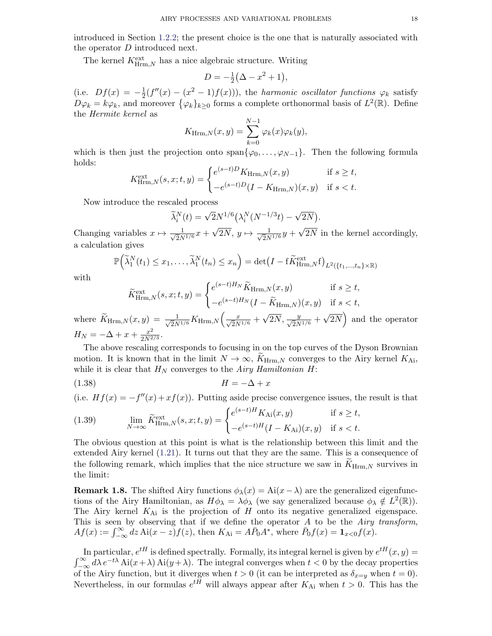introduced in Section [1.2.2;](#page-3-2) the present choice is the one that is naturally associated with the operator D introduced next.

The kernel  $K^{\text{ext}}_{\text{Hrm},N}$  has a nice algebraic structure. Writing

$$
D = -\frac{1}{2}(\Delta - x^2 + 1),
$$

(i.e.  $Df(x) = -\frac{1}{2}$  $\frac{1}{2}(f''(x)-(x^2-1)f(x)))$ , the *harmonic oscillator functions*  $\varphi_k$  satisfy  $D\varphi_k = k\varphi_k$ , and moreover  $\{\varphi_k\}_{k\geq 0}$  forms a complete orthonormal basis of  $L^2(\mathbb{R})$ . Define the Hermite kernel as

$$
K_{\mathrm{Hrm},N}(x,y) = \sum_{k=0}^{N-1} \varphi_k(x) \varphi_k(y),
$$

which is then just the projection onto span $\{\varphi_0, \ldots, \varphi_{N-1}\}$ . Then the following formula holds:

$$
K_{\text{Hrm},N}^{\text{ext}}(s,x;t,y) = \begin{cases} e^{(s-t)D} K_{\text{Hrm},N}(x,y) & \text{if } s \ge t, \\ -e^{(s-t)D} (I - K_{\text{Hrm},N})(x,y) & \text{if } s < t. \end{cases}
$$

Now introduce the rescaled process

$$
\widetilde{\lambda}_i^N(t) = \sqrt{2}N^{1/6}(\lambda_i^N(N^{-1/3}t) - \sqrt{2N}).
$$

Changing variables  $x \mapsto \frac{1}{\sqrt{2}N^{1/6}}x +$  $\overline{2N}, y \mapsto \frac{1}{\sqrt{2N}}$  $\frac{1}{2N^{1/6}}y +$ 2N in the kernel accordingly, a calculation gives

$$
\mathbb{P}\Big(\widetilde{\lambda}_1^N(t_1)\leq x_1,\ldots,\widetilde{\lambda}_1^N(t_n)\leq x_n\Big)=\det\big(I-\widetilde{\mathrm{K}}_{\mathrm{Hrm},N}^{\mathrm{ext}}\mathrm{f}\big)_{L^2(\{t_1,\ldots,t_n\}\times\mathbb{R})}
$$

with

$$
\widetilde{K}_{\text{Hrm},N}^{\text{ext}}(s,x;t,y) = \begin{cases} e^{(s-t)H_N} \widetilde{K}_{\text{Hrm},N}(x,y) & \text{if } s \ge t, \\ -e^{(s-t)H_N} (I - \widetilde{K}_{\text{Hrm},N})(x,y) & \text{if } s < t, \end{cases}
$$

where  $\widetilde{K}_{\text{Hrm},N}(x,y) = \frac{1}{\sqrt{2}N^{1/6}} K_{\text{Hrm},N} \left( \frac{x}{\sqrt{2}N^{1/6}} + \right)$  $\sqrt{2N}, \frac{y}{\sqrt{2}N^{1/6}} +$  $\overline{2N}$  and the operator  $H_N = -\Delta + x + \frac{x^2}{2N^2}$  $\frac{x^2}{2N^{2/3}}.$ 

The above rescaling corresponds to focusing in on the top curves of the Dyson Brownian motion. It is known that in the limit  $N \to \infty$ ,  $K_{\text{Hrm,}N}$  converges to the Airy kernel  $K_{\text{Ai}}$ , while it is clear that  $H_N$  converges to the Airy Hamiltonian  $H$ :

<span id="page-17-1"></span>
$$
(1.38)\t\t\t H = -\Delta + x
$$

(i.e.  $Hf(x) = -f''(x) + xf(x)$ ). Putting aside precise convergence issues, the result is that

<span id="page-17-2"></span>(1.39) 
$$
\lim_{N \to \infty} \widetilde{K}_{\text{Hrm},N}^{\text{ext}}(s,x;t,y) = \begin{cases} e^{(s-t)H} K_{\text{Ai}}(x,y) & \text{if } s \ge t, \\ -e^{(s-t)H} (I - K_{\text{Ai}})(x,y) & \text{if } s < t. \end{cases}
$$

The obvious question at this point is what is the relationship between this limit and the extended Airy kernel [\(1.21\)](#page-6-3). It turns out that they are the same. This is a consequence of the following remark, which implies that the nice structure we saw in  $K_{\text{Hrm}}N$  survives in the limit:

<span id="page-17-0"></span>**Remark 1.8.** The shifted Airy functions  $\phi_{\lambda}(x) = Ai(x - \lambda)$  are the generalized eigenfunctions of the Airy Hamiltonian, as  $H\phi_{\lambda} = \lambda \phi_{\lambda}$  (we say generalized because  $\phi_{\lambda} \notin L^2(\mathbb{R})$ ). The Airy kernel  $K_{\rm Ai}$  is the projection of H onto its negative generalized eigenspace. This is seen by observing that if we define the operator  $A$  to be the  $Airy$  transform,  $Af(x) := \int_{-\infty}^{\infty} dz \,\mathrm{Ai}(x-z)f(z)$ , then  $K_{\mathrm{Ai}} = A\overline{P}_0A^*$ , where  $\overline{P}_0f(x) = \mathbf{1}_{x<0}f(x)$ .

In particular,  $e^{tH}$  is defined spectrally. Formally, its integral kernel is given by  $e^{tH}(x,y)$  =  $\int_{-\infty}^{\infty} d\lambda e^{-t\lambda} \text{Ai}(x+\lambda) \text{Ai}(y+\lambda)$ . The integral converges when  $t < 0$  by the decay properties of the Airy function, but it diverges when  $t > 0$  (it can be interpreted as  $\delta_{x=y}$  when  $t = 0$ ). Nevertheless, in our formulas  $e^{tH}$  will always appear after  $K_{\rm Ai}$  when  $t > 0$ . This has the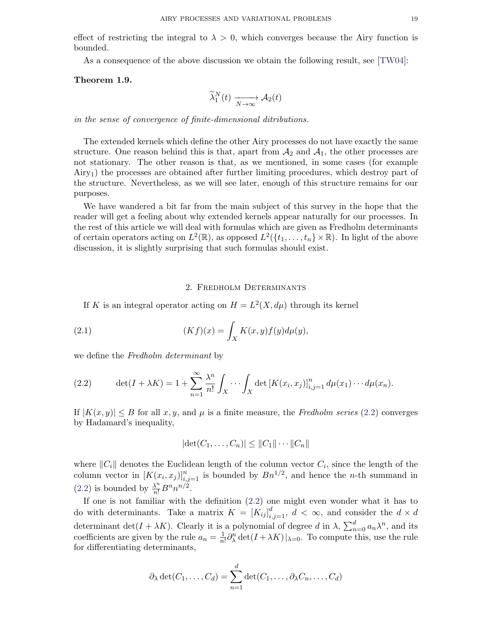effect of restricting the integral to  $\lambda > 0$ , which converges because the Airy function is bounded.

As a consequence of the above discussion we obtain the following result, see [\[TW04\]](#page-40-12):

## Theorem 1.9.

$$
\widetilde{\lambda}_1^N(t) \xrightarrow[N \to \infty]{} A_2(t)
$$

in the sense of convergence of finite-dimensional ditributions.

The extended kernels which define the other Airy processes do not have exactly the same structure. One reason behind this is that, apart from  $A_2$  and  $A_1$ , the other processes are not stationary. The other reason is that, as we mentioned, in some cases (for example Airy1) the processes are obtained after further limiting procedures, which destroy part of the structure. Nevertheless, as we will see later, enough of this structure remains for our purposes.

We have wandered a bit far from the main subject of this survey in the hope that the reader will get a feeling about why extended kernels appear naturally for our processes. In the rest of this article we will deal with formulas which are given as Fredholm determinants of certain operators acting on  $L^2(\mathbb{R})$ , as opposed  $L^2(\{t_1,\ldots,t_n\}\times\mathbb{R})$ . In light of the above discussion, it is slightly surprising that such formulas should exist.

## 2. Fredholm Determinants

<span id="page-18-0"></span>If K is an integral operator acting on  $H = L^2(X, d\mu)$  through its kernel

<span id="page-18-2"></span>(2.1) 
$$
(Kf)(x) = \int_X K(x,y)f(y)d\mu(y),
$$

we define the Fredholm determinant by

<span id="page-18-1"></span>(2.2) 
$$
\det(I + \lambda K) = 1 + \sum_{n=1}^{\infty} \frac{\lambda^n}{n!} \int_X \cdots \int_X \det [K(x_i, x_j)]_{i,j=1}^n d\mu(x_1) \cdots d\mu(x_n).
$$

If  $|K(x, y)| \leq B$  for all x, y, and  $\mu$  is a finite measure, the Fredholm series [\(2.2\)](#page-18-1) converges by Hadamard's inequality,

$$
|\det(C_1,\ldots,C_n)| \leq ||C_1||\cdots||C_n||
$$

where  $||C_i||$  denotes the Euclidean length of the column vector  $C_i$ , since the length of the column vector in  $[K(x_i, x_j)]_{i,j=1}^n$  is bounded by  $Bn^{1/2}$ , and hence the *n*-th summand in [\(2.2\)](#page-18-1) is bounded by  $\frac{\lambda^n}{n!} B^n n^{n/2}$ .

If one is not familiar with the definition [\(2.2\)](#page-18-1) one might even wonder what it has to do with determinants. Take a matrix  $K = [K_{ij}]_{i,j=1}^d$ ,  $d < \infty$ , and consider the  $d \times d$ determinant det( $I + \lambda K$ ). Clearly it is a polynomial of degree d in  $\lambda$ ,  $\sum_{n=0}^{d} a_n \lambda^n$ , and its coefficients are given by the rule  $a_n = \frac{1}{n}$  $\frac{1}{n!} \partial_{\lambda}^{n} \det(I + \lambda K)|_{\lambda=0}$ . To compute this, use the rule for differentiating determinants,

$$
\partial_{\lambda} \det(C_1, ..., C_d) = \sum_{n=1}^d \det(C_1, ..., \partial_{\lambda} C_n, ..., C_d)
$$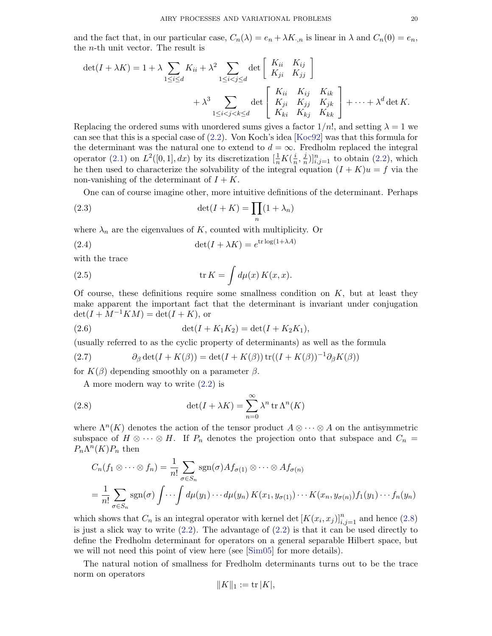and the fact that, in our particular case,  $C_n(\lambda) = e_n + \lambda K_{n,n}$  is linear in  $\lambda$  and  $C_n(0) = e_n$ , the n-th unit vector. The result is

$$
\det(I + \lambda K) = 1 + \lambda \sum_{1 \le i \le d} K_{ii} + \lambda^2 \sum_{1 \le i < j \le d} \det \begin{bmatrix} K_{ii} & K_{ij} \\ K_{ji} & K_{jj} \end{bmatrix} + \lambda^3 \sum_{1 \le i < j < k \le d} \det \begin{bmatrix} K_{ii} & K_{ij} & K_{ik} \\ K_{ji} & K_{jj} & K_{jk} \\ K_{ki} & K_{kj} & K_{kk} \end{bmatrix} + \dots + \lambda^d \det K.
$$

Replacing the ordered sums with unordered sums gives a factor  $1/n!$ , and setting  $\lambda = 1$  we can see that this is a special case of [\(2.2\)](#page-18-1). Von Koch's idea [\[Koc92\]](#page-39-12) was that this formula for the determinant was the natural one to extend to  $d = \infty$ . Fredholm replaced the integral operator [\(2.1\)](#page-18-2) on  $L^2([0,1], dx)$  by its discretization  $\left[\frac{1}{n}K(\frac{i}{n}\right]$  $\frac{i}{n}, \frac{j}{n}$  $(\frac{j}{n})]_{i,j=1}^n$  to obtain  $(2.2)$ , which he then used to characterize the solvability of the integral equation  $(I + K)u = f$  via the non-vanishing of the determinant of  $I + K$ .

One can of course imagine other, more intuitive definitions of the determinant. Perhaps

<span id="page-19-2"></span>(2.3) 
$$
\det(I + K) = \prod_n (1 + \lambda_n)
$$

where  $\lambda_n$  are the eigenvalues of K, counted with multiplicity. Or

<span id="page-19-3"></span>(2.4) 
$$
\det(I + \lambda K) = e^{\text{tr}\log(1 + \lambda A)}
$$

with the trace

<span id="page-19-1"></span>(2.5) 
$$
\operatorname{tr} K = \int d\mu(x) K(x, x).
$$

Of course, these definitions require some smallness condition on  $K$ , but at least they make apparent the important fact that the determinant is invariant under conjugation  $\det(I + M^{-1}KM) = \det(I + K)$ , or

<span id="page-19-4"></span>(2.6) 
$$
\det(I + K_1 K_2) = \det(I + K_2 K_1),
$$

(usually referred to as the cyclic property of determinants) as well as the formula

<span id="page-19-5"></span>(2.7) 
$$
\partial_{\beta} \det(I + K(\beta)) = \det(I + K(\beta)) \operatorname{tr}((I + K(\beta))^{-1} \partial_{\beta} K(\beta))
$$

for  $K(\beta)$  depending smoothly on a parameter  $\beta$ .

A more modern way to write [\(2.2\)](#page-18-1) is

<span id="page-19-0"></span>(2.8) 
$$
\det(I + \lambda K) = \sum_{n=0}^{\infty} \lambda^n \operatorname{tr} \Lambda^n(K)
$$

where  $\Lambda^{n}(K)$  denotes the action of the tensor product  $A \otimes \cdots \otimes A$  on the antisymmetric subspace of  $H \otimes \cdots \otimes H$ . If  $P_n$  denotes the projection onto that subspace and  $C_n =$  $P_n\Lambda^n(K)P_n$  then

$$
C_n(f_1 \otimes \cdots \otimes f_n) = \frac{1}{n!} \sum_{\sigma \in S_n} \text{sgn}(\sigma) A f_{\sigma(1)} \otimes \cdots \otimes A f_{\sigma(n)}
$$
  
= 
$$
\frac{1}{n!} \sum_{\sigma \in S_n} \text{sgn}(\sigma) \int \cdots \int d\mu(y_1) \cdots d\mu(y_n) K(x_1, y_{\sigma(1)}) \cdots K(x_n, y_{\sigma(n)}) f_1(y_1) \cdots f_n(y_n)
$$

which shows that  $C_n$  is an integral operator with kernel det  $[K(x_i, x_j)]_{i,j=1}^n$  and hence [\(2.8\)](#page-19-0) is just a slick way to write  $(2.2)$ . The advantage of  $(2.2)$  is that it can be used directly to define the Fredholm determinant for operators on a general separable Hilbert space, but we will not need this point of view here (see [\[Sim05\]](#page-40-13) for more details).

The natural notion of smallness for Fredholm determinants turns out to be the trace norm on operators

$$
||K||_1 := \operatorname{tr}|K|,
$$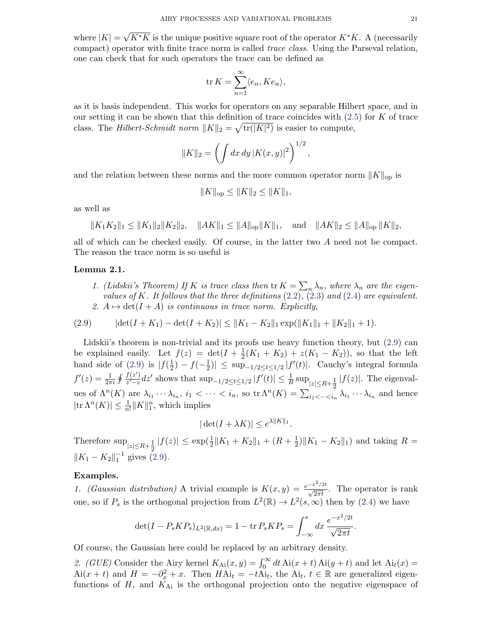where  $|K| =$  $\sqrt{K*K}$  is the unique positive square root of the operator  $K*K$ . A (necessarily compact) operator with finite trace norm is called *trace class*. Using the Parseval relation, one can check that for such operators the trace can be defined as

$$
\operatorname{tr} K = \sum_{n=1}^{\infty} \langle e_n, Ke_n \rangle,
$$

as it is basis independent. This works for operators on any separable Hilbert space, and in our setting it can be shown that this definition of trace coincides with  $(2.5)$  for K of trace class. The *Hilbert-Schmidt norm*  $||K||_2 = \sqrt{\text{tr}(|K|^2)}$  is easier to compute,

$$
||K||_2 = \left(\int dx\,dy\,|K(x,y)|^2\right)^{1/2},\,
$$

and the relation between these norms and the more common operator norm  $\|K\|_{\text{op}}$  is

$$
||K||_{\text{op}} \le ||K||_2 \le ||K||_1,
$$

as well as

$$
||K_1K_2||_1 \le ||K_1||_2||K_2||_2
$$
,  $||AK||_1 \le ||A||_{op}||K||_1$ , and  $||AK||_2 \le ||A||_{op}||K||_2$ ,

all of which can be checked easily. Of course, in the latter two A need not be compact. The reason the trace norm is so useful is

## Lemma 2.1.

1. (Lidskii's Theorem) If K is trace class then  $tr K = \sum_n \lambda_n$ , where  $\lambda_n$  are the eigenvalues of K. It follows that the three definitions  $(2.2)$ ,  $(2.3)$  and  $(2.4)$  are equivalent. 2.  $A \mapsto \det(I + A)$  is continuous in trace norm. Explicitly,

<span id="page-20-0"></span>
$$
(2.9) \qquad |\det(I + K_1) - \det(I + K_2)| \leq \|K_1 - K_2\|_1 \exp(\|K_1\|_1 + \|K_2\|_1 + 1).
$$

Lidskii's theorem is non-trivial and its proofs use heavy function theory, but  $(2.9)$  can be explained easily. Let  $f(z) = \det(I + \frac{1}{2})$  $\frac{1}{2}(K_1 + K_2) + z(K_1 - K_2)$ , so that the left hand side of [\(2.9\)](#page-20-0) is  $|f(\frac{1}{2})|$  $(\frac{1}{2}) - f(-\frac{1}{2})$  $\left|\frac{1}{2}\right| \le \sup_{-1/2 \le t \le 1/2} |f'(t)|$ . Cauchy's integral formula  $f'(z) = \frac{1}{2\pi i} \oint \frac{f(z')}{z'-z}$  $\frac{f(z')}{z'-z}dz'$  shows that  $\sup_{-1/2 \le t \le 1/2} |f'(t)| \le \frac{1}{R} \sup_{|z| \le R + \frac{1}{2}}$ 2  $|f(z)|$ . The eigenvalues of  $\Lambda^n(K)$  are  $\lambda_{i_1} \cdots \lambda_{i_n}$ ,  $i_1 < \cdots < i_n$ , so  $\text{tr } \Lambda^n(K) = \sum_{i_1 < \cdots < i_n} \lambda_{i_1} \cdots \lambda_{i_n}$  and hence  $|\text{tr }\Lambda^n(K)| \leq \frac{1}{n!} ||K||_1^n$ , which implies

$$
|\det(I + \lambda K)| \le e^{\lambda ||K||_1}.
$$

Therefore  $\sup_{|z|\leq R+\frac{1}{2}}$  $\overline{2}$  $|f(z)| \le \exp(\frac{1}{2} ||K_1 + K_2||_1 + (R + \frac{1}{2})$  $(\frac{1}{2})$ || $K_1 - K_2$ ||<sub>1</sub>) and taking  $R =$  $||K_1 - K_2||_1^{-1}$  gives [\(2.9\)](#page-20-0).

## Examples.

1. (Gaussian distribution) A trivial example is  $K(x,y) = \frac{e^{-x^2/2t}}{\sqrt{2\pi t}}$ . The operator is rank one, so if  $P_s$  is the orthogonal projection from  $L^2(\mathbb{R}) \to L^2(s,\infty)$  then by [\(2.4\)](#page-19-3) we have

$$
\det(I - P_s K P_s)_{L^2(\mathbb{R},dx)} = 1 - \operatorname{tr} P_s K P_s = \int_{-\infty}^s dx \, \frac{e^{-x^2/2t}}{\sqrt{2\pi t}}.
$$

Of course, the Gaussian here could be replaced by an arbitrary density.

2. (GUE) Consider the Airy kernel  $K_{\text{Ai}}(x, y) = \int_0^\infty dt \,\text{Ai}(x + t) \,\text{Ai}(y + t)$  and let  $\text{Ai}_t(x) =$ Ai $(x + t)$  and  $H = -\partial_x^2 + x$ . Then  $H A i_t = -t A i_t$ , the  $A i_t$ ,  $t \in \mathbb{R}$  are generalized eigenfunctions of  $H$ , and  $K_{\text{Ai}}$  is the orthogonal projection onto the negative eigenspace of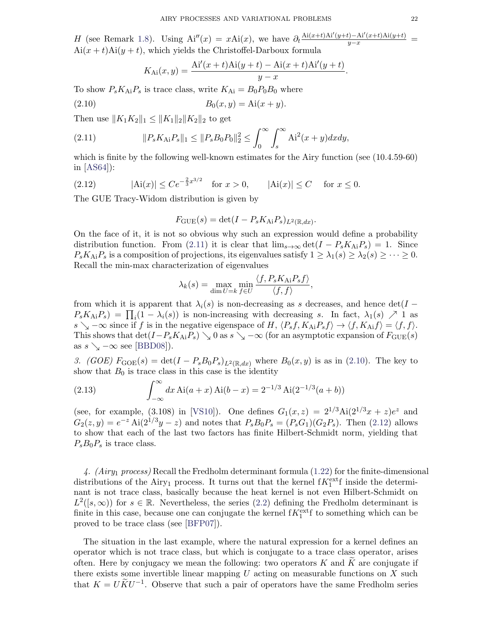H (see Remark [1.8\)](#page-17-0). Using  $Ai''(x) = xAi(x)$ , we have  $\partial_t \frac{Ai(x+t)Ai'(y+t) - Ai'(x+t)Ai(y+t)}{y-x}$  $Ai(x + t)Ai(y + t)$ , which yields the Christoffel-Darboux formula

$$
K_{\text{Ai}}(x, y) = \frac{\text{Ai}'(x+t)\text{Ai}(y+t) - \text{Ai}(x+t)\text{Ai}'(y+t)}{y-x}.
$$

To show  $P_s K_{\rm Ai}P_s$  is trace class, write  $K_{\rm Ai} = B_0 P_0 B_0$  where

<span id="page-21-1"></span>(2.10) 
$$
B_0(x, y) = Ai(x + y).
$$

Then use  $||K_1K_2||_1 \leq ||K_1||_2||K_2||_2$  to get

<span id="page-21-0"></span>(2.11) 
$$
||P_s K_{Ai} P_s||_1 \leq ||P_s B_0 P_0||_2^2 \leq \int_0^\infty \int_s^\infty Ai^2(x+y)dxdy,
$$

which is finite by the following well-known estimates for the Airy function (see  $(10.4.59-60)$ ) in [\[AS64\]](#page-37-17)):

<span id="page-21-2"></span>(2.12) 
$$
|\text{Ai}(x)| \le Ce^{-\frac{2}{3}x^{3/2}} \text{ for } x > 0, \qquad |\text{Ai}(x)| \le C \quad \text{ for } x \le 0.
$$

The GUE Tracy-Widom distribution is given by

$$
F_{\rm GUE}(s) = \det(I - P_s K_{\rm Ai} P_s)_{L^2(\mathbb{R},dx)}.
$$

On the face of it, it is not so obvious why such an expression would define a probability distribution function. From [\(2.11\)](#page-21-0) it is clear that  $\lim_{s\to\infty} \det(I - P_s K_{Ai} P_s) = 1$ . Since  $P_sK_{\text{Ai}}P_s$  is a composition of projections, its eigenvalues satisfy  $1 \geq \lambda_1(s) \geq \lambda_2(s) \geq \cdots \geq 0$ . Recall the min-max characterization of eigenvalues

$$
\lambda_k(s) = \max_{\dim U = k} \min_{f \in U} \frac{\langle f, P_s K_{\text{Ai}} P_s f \rangle}{\langle f, f \rangle},
$$

from which it is apparent that  $\lambda_i(s)$  is non-decreasing as s decreases, and hence  $\det(I P_s K_{\text{Ai}} P_s$  =  $\prod_i (1 - \lambda_i(s))$  is non-increasing with decreasing s. In fact,  $\lambda_1(s) \nearrow 1$  as  $s \searrow -\infty$  since if f is in the negative eigenspace of H,  $\langle P_s f, K_{Ai} P_s f \rangle \rightarrow \langle f, K_{Ai} f \rangle = \langle f, f \rangle$ . This shows that  $\det(I-P_sK_{\rm Ai}P_s) \searrow 0$  as  $s \searrow -\infty$  (for an asymptotic expansion of  $F_{\rm GUE}(s)$ ) as  $s \searrow -\infty$  see [\[BBD08\]](#page-37-18)).

3. (GOE)  $F_{GOE}(s) = det(I - P_s B_0 P_s)_{L^2(\mathbb{R},dx)}$  where  $B_0(x, y)$  is as in [\(2.10\)](#page-21-1). The key to show that  $B_0$  is trace class in this case is the identity

<span id="page-21-3"></span>(2.13) 
$$
\int_{-\infty}^{\infty} dx \operatorname{Ai}(a+x) \operatorname{Ai}(b-x) = 2^{-1/3} \operatorname{Ai}(2^{-1/3}(a+b))
$$

(see, for example, (3.108) in [\[VS10\]](#page-40-14)). One defines  $G_1(x, z) = 2^{1/3} \text{Ai}(2^{1/3}x + z)e^z$  and  $G_2(z, y) = e^{-z} \text{Ai}(2^{1/3}y - z)$  and notes that  $P_s B_0 P_s = (P_s G_1)(G_2 P_s)$ . Then [\(2.12\)](#page-21-2) allows to show that each of the last two factors has finite Hilbert-Schmidt norm, yielding that  $P_sB_0P_s$  is trace class.

4. (Airy<sub>1</sub> process) Recall the Fredholm determinant formula  $(1.22)$  for the finite-dimensional distributions of the Airy<sub>1</sub> process. It turns out that the kernel  $fK_1^{\text{ext}}f$  inside the determinant is not trace class, basically because the heat kernel is not even Hilbert-Schmidt on  $L^2([s,\infty))$  for  $s \in \mathbb{R}$ . Nevertheless, the series [\(2.2\)](#page-18-1) defining the Fredholm determinant is finite in this case, because one can conjugate the kernel  $fK_1^{\text{ext}}f$  to something which can be proved to be trace class (see [\[BFP07\]](#page-38-2)).

The situation in the last example, where the natural expression for a kernel defines an operator which is not trace class, but which is conjugate to a trace class operator, arises often. Here by conjugacy we mean the following: two operators  $K$  and  $K$  are conjugate if there exists some invertible linear mapping  $U$  acting on measurable functions on  $X$  such that  $K = U\tilde{K}U^{-1}$ . Observe that such a pair of operators have the same Fredholm series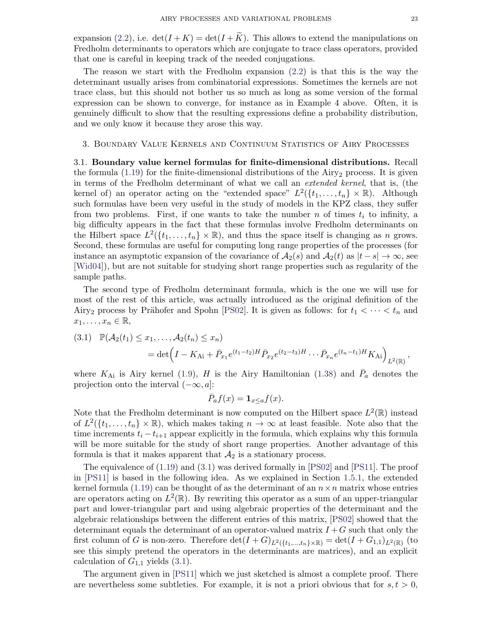expansion [\(2.2\)](#page-18-1), i.e.  $\det(I + K) = \det(I + K)$ . This allows to extend the manipulations on Fredholm determinants to operators which are conjugate to trace class operators, provided that one is careful in keeping track of the needed conjugations.

The reason we start with the Fredholm expansion [\(2.2\)](#page-18-1) is that this is the way the determinant usually arises from combinatorial expressions. Sometimes the kernels are not trace class, but this should not bother us so much as long as some version of the formal expression can be shown to converge, for instance as in Example 4 above. Often, it is genuinely difficult to show that the resulting expressions define a probability distribution, and we only know it because they arose this way.

## <span id="page-22-0"></span>3. Boundary Value Kernels and Continuum Statistics of Airy Processes

<span id="page-22-1"></span>3.1. Boundary value kernel formulas for finite-dimensional distributions. Recall the formula  $(1.19)$  for the finite-dimensional distributions of the Airy<sub>2</sub> process. It is given in terms of the Fredholm determinant of what we call an extended kernel, that is, (the kernel of) an operator acting on the "extended space"  $L^2({t_1,\ldots,t_n} \times \mathbb{R})$ . Although such formulas have been very useful in the study of models in the KPZ class, they suffer from two problems. First, if one wants to take the number n of times  $t_i$  to infinity, a big difficulty appears in the fact that these formulas involve Fredholm determinants on the Hilbert space  $L^2({t_1,\ldots,t_n}\times\mathbb{R})$ , and thus the space itself is changing as n grows. Second, these formulas are useful for computing long range properties of the processes (for instance an asymptotic expansion of the covariance of  $A_2(s)$  and  $A_2(t)$  as  $|t-s| \to \infty$ , see [\[Wid04\]](#page-41-1)), but are not suitable for studying short range properties such as regularity of the sample paths.

The second type of Fredholm determinant formula, which is the one we will use for most of the rest of this article, was actually introduced as the original definition of the Airy<sub>2</sub> process by Prähofer and Spohn [\[PS02\]](#page-40-8). It is given as follows: for  $t_1 < \cdots < t_n$  and  $x_1, \ldots, x_n \in \mathbb{R},$ 

<span id="page-22-2"></span>
$$
(3.1) \mathbb{P}(\mathcal{A}_2(t_1) \leq x_1, \dots, \mathcal{A}_2(t_n) \leq x_n)
$$
  
= det  $\left(I - K_{\text{Ai}} + \bar{P}_{x_1}e^{(t_1 - t_2)H} \bar{P}_{x_2}e^{(t_2 - t_3)H} \dots \bar{P}_{x_n}e^{(t_n - t_1)H} K_{\text{Ai}}\right)_{L^2(\mathbb{R})},$ 

where  $K_{\text{Ai}}$  is Airy kernel [\(1.9\)](#page-3-3), H is the Airy Hamiltonian [\(1.38\)](#page-17-1) and  $\bar{P}_a$  denotes the projection onto the interval  $(-\infty, a]$ :

$$
\bar{P}_a f(x) = \mathbf{1}_{x \le a} f(x).
$$

Note that the Fredholm determinant is now computed on the Hilbert space  $L^2(\mathbb{R})$  instead of  $L^2(\{t_1,\ldots,t_n\}\times\mathbb{R})$ , which makes taking  $n\to\infty$  at least feasible. Note also that the time increments  $t_i - t_{i+1}$  appear explicitly in the formula, which explains why this formula will be more suitable for the study of short range properties. Another advantage of this formula is that it makes apparent that  $A_2$  is a stationary process.

The equivalence of [\(1.19\)](#page-6-1) and [\(3.1\)](#page-22-2) was derived formally in [\[PS02\]](#page-40-8) and [\[PS11\]](#page-40-9). The proof in [\[PS11\]](#page-40-9) is based in the following idea. As we explained in Section [1.5.1,](#page-14-2) the extended kernel formula [\(1.19\)](#page-6-1) can be thought of as the determinant of an  $n \times n$  matrix whose entries are operators acting on  $L^2(\mathbb{R})$ . By rewriting this operator as a sum of an upper-triangular part and lower-triangular part and using algebraic properties of the determinant and the algebraic relationships between the different entries of this matrix, [\[PS02\]](#page-40-8) showed that the determinant equals the determinant of an operator-valued matrix  $I + G$  such that only the first column of G is non-zero. Therefore  $\det(I+G)_{L^2(\{t_1,\ldots,t_n\}\times\mathbb{R})} = \det(I+G_{1,1})_{L^2(\mathbb{R})}$  (to see this simply pretend the operators in the determinants are matrices), and an explicit calculation of  $G_{1,1}$  yields  $(3.1)$ .

The argument given in [\[PS11\]](#page-40-9) which we just sketched is almost a complete proof. There are nevertheless some subtleties. For example, it is not a priori obvious that for  $s, t > 0$ ,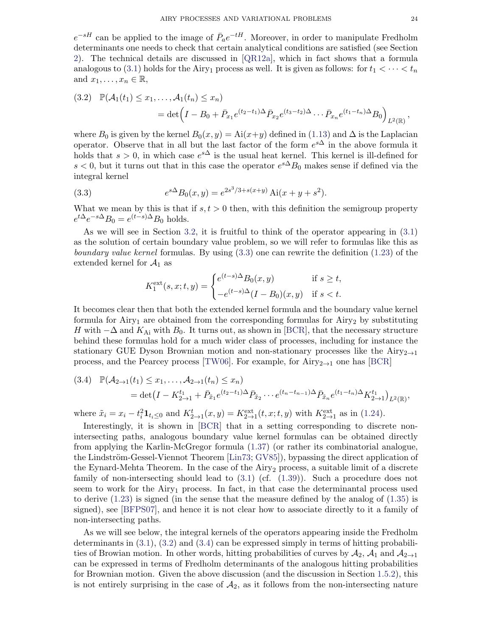$e^{-sH}$  can be applied to the image of  $\bar{P}_a e^{-tH}$ . Moreover, in order to manipulate Fredholm determinants one needs to check that certain analytical conditions are satisfied (see Section [2\)](#page-18-0). The technical details are discussed in [\[QR12a\]](#page-40-15), which in fact shows that a formula analogous to [\(3.1\)](#page-22-2) holds for the Airy<sub>1</sub> process as well. It is given as follows: for  $t_1 < \cdots < t_n$ and  $x_1, \ldots, x_n \in \mathbb{R}$ ,

<span id="page-23-1"></span>
$$
(3.2) \mathbb{P}(\mathcal{A}_1(t_1) \le x_1, ..., \mathcal{A}_1(t_n) \le x_n)
$$
  
= det  $\left(I - B_0 + \bar{P}_{x_1}e^{(t_2 - t_1)\Delta}\bar{P}_{x_2}e^{(t_3 - t_2)\Delta} \cdots \bar{P}_{x_n}e^{(t_1 - t_n)\Delta}B_0\right)_{L^2(\mathbb{R})}$ 

where  $B_0$  is given by the kernel  $B_0(x, y) = Ai(x+y)$  defined in [\(1.13\)](#page-4-0) and  $\Delta$  is the Laplacian operator. Observe that in all but the last factor of the form  $e^{s\Delta}$  in the above formula it holds that  $s > 0$ , in which case  $e^{s\Delta}$  is the usual heat kernel. This kernel is ill-defined for  $s < 0$ , but it turns out that in this case the operator  $e^{s\Delta}B_0$  makes sense if defined via the integral kernel

<span id="page-23-0"></span>(3.3) 
$$
e^{s\Delta}B_0(x,y) = e^{2s^3/3 + s(x+y)} \text{Ai}(x+y+s^2).
$$

What we mean by this is that if  $s, t > 0$  then, with this definition the semigroup property  $e^{t\Delta}e^{-s\Delta}B_0 = e^{(t-s)\Delta}B_0$  holds.

As we will see in Section [3.2,](#page-24-0) it is fruitful to think of the operator appearing in [\(3.1\)](#page-22-2) as the solution of certain boundary value problem, so we will refer to formulas like this as boundary value kernel formulas. By using [\(3.3\)](#page-23-0) one can rewrite the definition [\(1.23\)](#page-7-3) of the extended kernel for  $\mathcal{A}_1$  as

$$
K_1^{\text{ext}}(s, x; t, y) = \begin{cases} e^{(t-s)\Delta} B_0(x, y) & \text{if } s \ge t, \\ -e^{(t-s)\Delta} (I - B_0)(x, y) & \text{if } s < t. \end{cases}
$$

It becomes clear then that both the extended kernel formula and the boundary value kernel formula for Airy<sub>1</sub> are obtained from the corresponding formulas for Airy<sub>2</sub> by substituting H with  $-\Delta$  and  $K_{\text{Ai}}$  with  $B_0$ . It turns out, as shown in [\[BCR\]](#page-37-19), that the necessary structure behind these formulas hold for a much wider class of processes, including for instance the stationary GUE Dyson Brownian motion and non-stationary processes like the Airy<sub>2→1</sub> process, and the Pearcey process [\[TW06\]](#page-40-16). For example, for  $Airy_{2\rightarrow1}$  one has [\[BCR\]](#page-37-19)

<span id="page-23-2"></span>
$$
(3.4) \mathbb{P}(\mathcal{A}_{2\to1}(t_1) \leq x_1, \dots, \mathcal{A}_{2\to1}(t_n) \leq x_n)
$$
  
= det  $(I - K_{2\to1}^{t_1} + \bar{P}_{\tilde{x}_1}e^{(t_2 - t_1)\Delta}\bar{P}_{\tilde{x}_2} \cdots e^{(t_n - t_{n-1})\Delta}\bar{P}_{\tilde{x}_n}e^{(t_1 - t_n)\Delta}K_{2\to1}^{t_1})_{L^2(\mathbb{R})},$ 

where  $\tilde{x}_i = x_i - t_i^2 \mathbf{1}_{t_i \leq 0}$  and  $K_{2 \to 1}^t(x, y) = K_{2 \to 1}^{\text{ext}}(t, x; t, y)$  with  $K_{2 \to 1}^{\text{ext}}$  as in [\(1.24\)](#page-9-0).

Interestingly, it is shown in [\[BCR\]](#page-37-19) that in a setting corresponding to discrete nonintersecting paths, analogous boundary value kernel formulas can be obtained directly from applying the Karlin-McGregor formula [\(1.37\)](#page-16-1) (or rather its combinatorial analogue, the Lindström-Gessel-Viennot Theorem  $\vert$ Lin73; GV85 $\vert$ ), bypassing the direct application of the Eynard-Mehta Theorem. In the case of the Airy<sub>2</sub> process, a suitable limit of a discrete family of non-intersecting should lead to [\(3.1\)](#page-22-2) (cf. [\(1.39\)](#page-17-2)). Such a procedure does not seem to work for the  $Airy_1$  process. In fact, in that case the determinantal process used to derive [\(1.23\)](#page-7-3) is signed (in the sense that the measure defined by the analog of [\(1.35\)](#page-14-1) is signed), see [\[BFPS07\]](#page-38-1), and hence it is not clear how to associate directly to it a family of non-intersecting paths.

As we will see below, the integral kernels of the operators appearing inside the Fredholm determinants in [\(3.1\)](#page-22-2), [\(3.2\)](#page-23-1) and [\(3.4\)](#page-23-2) can be expressed simply in terms of hitting probabilities of Browian motion. In other words, hitting probabilities of curves by  $\mathcal{A}_2$ ,  $\mathcal{A}_1$  and  $\mathcal{A}_{2\to 1}$ can be expressed in terms of Fredholm determinants of the analogous hitting probabilities for Brownian motion. Given the above discussion (and the discussion in Section [1.5.2\)](#page-16-0), this is not entirely surprising in the case of  $A_2$ , as it follows from the non-intersecting nature

,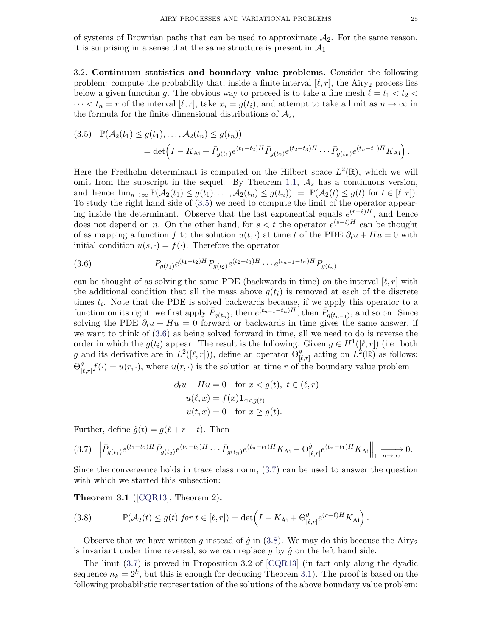of systems of Brownian paths that can be used to approximate  $A_2$ . For the same reason, it is surprising in a sense that the same structure is present in  $A_1$ .

<span id="page-24-0"></span>3.2. Continuum statistics and boundary value problems. Consider the following problem: compute the probability that, inside a finite interval  $[\ell, r]$ , the Airy<sub>2</sub> process lies below a given function g. The obvious way to proceed is to take a fine mesh  $\ell = t_1 < t_2$  $\cdots < t_n = r$  of the interval  $[\ell, r]$ , take  $x_i = g(t_i)$ , and attempt to take a limit as  $n \to \infty$  in the formula for the finite dimensional distributions of  $A_2$ ,

<span id="page-24-1"></span>
$$
(3.5) \mathbb{P}(\mathcal{A}_2(t_1) \leq g(t_1), \dots, \mathcal{A}_2(t_n) \leq g(t_n))
$$
  
= det  $\left(I - K_{\mathrm{Ai}} + \bar{P}_{g(t_1)} e^{(t_1 - t_2)H} \bar{P}_{g(t_2)} e^{(t_2 - t_3)H} \cdots \bar{P}_{g(t_n)} e^{(t_n - t_1)H} K_{\mathrm{Ai}}\right).$ 

Here the Fredholm determinant is computed on the Hilbert space  $L^2(\mathbb{R})$ , which we will omit from the subscript in the sequel. By Theorem [1.1,](#page-7-0)  $A_2$  has a continuous version, and hence  $\lim_{n\to\infty} \mathbb{P}(\mathcal{A}_2(t_1)\leq g(t_1),\ldots,\mathcal{A}_2(t_n)\leq g(t_n)) = \mathbb{P}(\mathcal{A}_2(t)\leq g(t) \text{ for } t\in [\ell,r]).$ To study the right hand side of [\(3.5\)](#page-24-1) we need to compute the limit of the operator appearing inside the determinant. Observe that the last exponential equals  $e^{(r-\ell)H}$ , and hence does not depend on n. On the other hand, for  $s < t$  the operator  $e^{(s-t)H}$  can be thought of as mapping a function f to the solution  $u(t, \cdot)$  at time t of the PDE  $\partial_t u + Hu = 0$  with initial condition  $u(s, \cdot) = f(\cdot)$ . Therefore the operator

<span id="page-24-2"></span>(3.6) 
$$
\bar{P}_{g(t_1)}e^{(t_1-t_2)H}\bar{P}_{g(t_2)}e^{(t_2-t_3)H}\cdots e^{(t_{n-1}-t_n)H}\bar{P}_{g(t_n)}
$$

can be thought of as solving the same PDE (backwards in time) on the interval  $[\ell, r]$  with the additional condition that all the mass above  $g(t_i)$  is removed at each of the discrete times  $t_i$ . Note that the PDE is solved backwards because, if we apply this operator to a function on its right, we first apply  $\bar{P}_{g(t_n)}$ , then  $e^{(t_{n-1}-t_n)H}$ , then  $\bar{P}_{g(t_{n-1})}$ , and so on. Since solving the PDE  $\partial_t u + H u = 0$  forward or backwards in time gives the same answer, if we want to think of [\(3.6\)](#page-24-2) as being solved forward in time, all we need to do is reverse the order in which the  $g(t_i)$  appear. The result is the following. Given  $g \in H^1([\ell, r])$  (i.e. both g and its derivative are in  $L^2([\ell, r]))$ , define an operator  $\Theta_{[\ell, r]}^g$  acting on  $L^2(\mathbb{R})$  as follows:  $\Theta^g_{\scriptscriptstyle \text{L}}$  $\int_{[\ell,r]}^g f(\cdot) = u(r, \cdot),$  where  $u(r, \cdot)$  is the solution at time r of the boundary value problem

$$
\partial_t u + Hu = 0 \quad \text{for } x < g(t), \ t \in (\ell, r)
$$
\n
$$
u(\ell, x) = f(x) \mathbf{1}_{x < g(\ell)}
$$
\n
$$
u(t, x) = 0 \quad \text{for } x \ge g(t).
$$

Further, define  $\hat{g}(t) = g(\ell + r - t)$ . Then

<span id="page-24-3"></span>
$$
(3.7) \left\| \bar{P}_{g(t_1)} e^{(t_1-t_2)H} \bar{P}_{g(t_2)} e^{(t_2-t_3)H} \cdots \bar{P}_{g(t_n)} e^{(t_n-t_1)H} K_{\mathrm{Ai}} - \Theta^{\hat{g}}_{[\ell,r]} e^{(t_n-t_1)H} K_{\mathrm{Ai}} \right\|_1 \xrightarrow[n \to \infty]{} 0.
$$

Since the convergence holds in trace class norm, [\(3.7\)](#page-24-3) can be used to answer the question with which we started this subsection:

<span id="page-24-5"></span>**Theorem 3.1** ( $[CQR13]$ , Theorem 2).

<span id="page-24-4"></span>(3.8) 
$$
\mathbb{P}(\mathcal{A}_2(t) \leq g(t) \text{ for } t \in [\ell, r]) = \det \left(I - K_{\mathrm{Ai}} + \Theta_{[\ell, r]}^g e^{(r-\ell)H} K_{\mathrm{Ai}}\right).
$$

Observe that we have written q instead of  $\hat{q}$  in [\(3.8\)](#page-24-4). We may do this because the Airy<sub>2</sub> is invariant under time reversal, so we can replace g by  $\hat{g}$  on the left hand side.

The limit [\(3.7\)](#page-24-3) is proved in Proposition 3.2 of [\[CQR13\]](#page-38-8) (in fact only along the dyadic sequence  $n_k = 2^k$ , but this is enough for deducing Theorem [3.1\)](#page-24-5). The proof is based on the following probabilistic representation of the solutions of the above boundary value problem: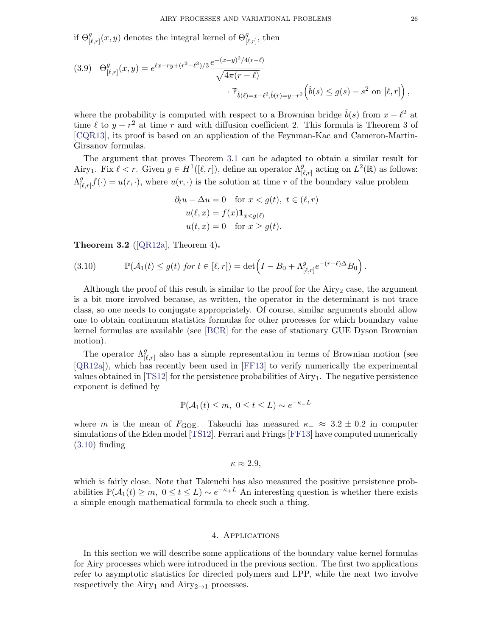if  $\Theta_{[\ell,r]}^g(x,y)$  denotes the integral kernel of  $\Theta_{[\ell,r]}^g$ , then

<span id="page-25-2"></span>
$$
(3.9) \quad \Theta_{[\ell,r]}^g(x,y) = e^{\ell x - ry + (r^3 - \ell^3)/3} \frac{e^{-(x-y)^2/4(r-\ell)}}{\sqrt{4\pi(r-\ell)}} \cdot \mathbb{P}_{\hat{b}(\ell)=x-\ell^2,\hat{b}(r)=y-r^2} \left(\hat{b}(s) \le g(s) - s^2 \text{ on } [\ell,r]\right),
$$

where the probability is computed with respect to a Brownian bridge  $\hat{b}(s)$  from  $x - \ell^2$  at time  $\ell$  to  $y - r^2$  at time r and with diffusion coefficient 2. This formula is Theorem 3 of [\[CQR13\]](#page-38-8), its proof is based on an application of the Feynman-Kac and Cameron-Martin-Girsanov formulas.

The argument that proves Theorem [3.1](#page-24-5) can be adapted to obtain a similar result for Airy<sub>1</sub>. Fix  $\ell < r$ . Given  $g \in H^1([\ell, r])$ , define an operator  $\Lambda^g_{[\ell, r]}$  acting on  $L^2(\mathbb{R})$  as follows:  $\Lambda^g_{\rm b}$  $\int_{[\ell,r]}^g f(\cdot) = u(r, \cdot),$  where  $u(r, \cdot)$  is the solution at time r of the boundary value problem

$$
\partial_t u - \Delta u = 0 \quad \text{for } x < g(t), \ t \in (\ell, r)
$$
\n
$$
u(\ell, x) = f(x) \mathbf{1}_{x < g(\ell)}
$$
\n
$$
u(t, x) = 0 \quad \text{for } x \ge g(t).
$$

**Theorem 3.2** ([\[QR12a\]](#page-40-15), Theorem 4).

<span id="page-25-1"></span>(3.10) 
$$
\mathbb{P}(\mathcal{A}_1(t) \leq g(t) \text{ for } t \in [\ell, r]) = \det \left(I - B_0 + \Lambda_{[\ell, r]}^g e^{-(r-\ell)\Delta} B_0\right).
$$

Although the proof of this result is similar to the proof for the Airy<sub>2</sub> case, the argument is a bit more involved because, as written, the operator in the determinant is not trace class, so one needs to conjugate appropriately. Of course, similar arguments should allow one to obtain continuum statistics formulas for other processes for which boundary value kernel formulas are available (see [\[BCR\]](#page-37-19) for the case of stationary GUE Dyson Brownian motion).

The operator  $\Lambda^g_{[\ell,r]}$  also has a simple representation in terms of Brownian motion (see [\[QR12a\]](#page-40-15)), which has recently been used in [\[FF13\]](#page-39-15) to verify numerically the experimental values obtained in [\[TS12\]](#page-40-1) for the persistence probabilities of  $Airy_1$ . The negative persistence exponent is defined by

$$
\mathbb{P}(\mathcal{A}_1(t) \le m, \ 0 \le t \le L) \sim e^{-\kappa - L}
$$

where m is the mean of  $F_{GOE}$ . Takeuchi has measured  $\kappa_-\approx 3.2\pm 0.2$  in computer simulations of the Eden model [\[TS12\]](#page-40-1). Ferrari and Frings [\[FF13\]](#page-39-15) have computed numerically  $(3.10)$  finding

$$
\kappa \approx 2.9,
$$

which is fairly close. Note that Takeuchi has also measured the positive persistence probabilities  $\mathbb{P}(\mathcal{A}_1(t) \geq m, 0 \leq t \leq L) \sim e^{-\kappa + L}$  An interesting question is whether there exists a simple enough mathematical formula to check such a thing.

#### 4. Applications

<span id="page-25-0"></span>In this section we will describe some applications of the boundary value kernel formulas for Airy processes which were introduced in the previous section. The first two applications refer to asymptotic statistics for directed polymers and LPP, while the next two involve respectively the Airy<sub>1</sub> and Airy<sub>2→1</sub> processes.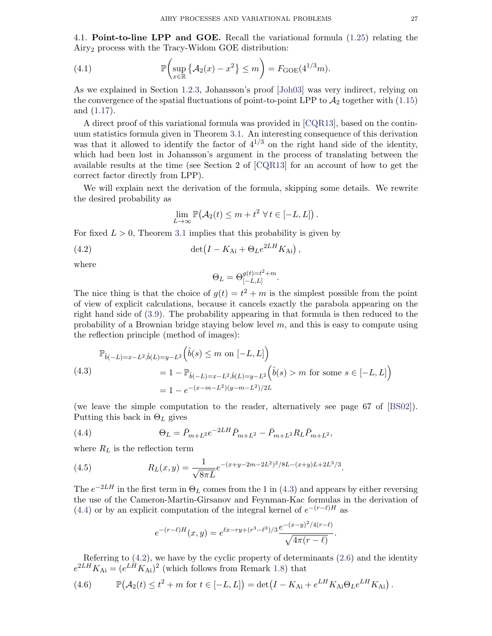<span id="page-26-0"></span>4.1. Point-to-line LPP and GOE. Recall the variational formula [\(1.25\)](#page-10-1) relating the Airy<sup>2</sup> process with the Tracy-Widom GOE distribution:

<span id="page-26-6"></span>(4.1) 
$$
\mathbb{P}\left(\sup_{x\in\mathbb{R}}\left\{\mathcal{A}_2(x)-x^2\right\}\leq m\right)=F_{\text{GOE}}(4^{1/3}m).
$$

As we explained in Section [1.2.3,](#page-4-1) Johansson's proof [\[Joh03\]](#page-39-5) was very indirect, relying on the convergence of the spatial fluctuations of point-to-point LPP to  $\mathcal{A}_2$  together with [\(1.15\)](#page-4-2) and [\(1.17\)](#page-5-2).

A direct proof of this variational formula was provided in [\[CQR13\]](#page-38-8), based on the continuum statistics formula given in Theorem [3.1.](#page-24-5) An interesting consequence of this derivation was that it allowed to identify the factor of  $4^{1/3}$  on the right hand side of the identity, which had been lost in Johansson's argument in the process of translating between the available results at the time (see Section 2 of [\[CQR13\]](#page-38-8) for an account of how to get the correct factor directly from LPP).

We will explain next the derivation of the formula, skipping some details. We rewrite the desired probability as

$$
\lim_{L\to\infty}\mathbb{P}(\mathcal{A}_2(t)\leq m+t^2\;\forall\,t\in[-L,L]\big)\,.
$$

For fixed  $L > 0$ , Theorem [3.1](#page-24-5) implies that this probability is given by

<span id="page-26-3"></span>(4.2) 
$$
\det(I - K_{\text{Ai}} + \Theta_L e^{2LH} K_{\text{Ai}}),
$$

where

$$
\Theta_L = \Theta_{[-L,L]}^{g(t)=t^2+m}.
$$

The nice thing is that the choice of  $g(t) = t^2 + m$  is the simplest possible from the point of view of explicit calculations, because it cancels exactly the parabola appearing on the right hand side of [\(3.9\)](#page-25-2). The probability appearing in that formula is then reduced to the probability of a Brownian bridge staying below level  $m$ , and this is easy to compute using the reflection principle (method of images):

<span id="page-26-1"></span>
$$
\mathbb{P}_{\hat{b}(-L)=x-L^2,\hat{b}(L)=y-L^2}(\hat{b}(s) \le m \text{ on } [-L,L])
$$
\n
$$
= 1 - \mathbb{P}_{\hat{b}(-L)=x-L^2,\hat{b}(L)=y-L^2}(\hat{b}(s) > m \text{ for some } s \in [-L,L])
$$
\n
$$
= 1 - e^{-(x-m-L^2)(y-m-L^2)/2L}
$$

(we leave the simple computation to the reader, alternatively see page 67 of [\[BS02\]](#page-38-17)). Putting this back in  $\Theta_L$  gives

<span id="page-26-2"></span>(4.4) 
$$
\Theta_L = \bar{P}_{m+L^2} e^{-2LH} \bar{P}_{m+L^2} - \bar{P}_{m+L^2} R_L \bar{P}_{m+L^2},
$$

where  $R_L$  is the reflection term

<span id="page-26-4"></span>(4.5) 
$$
R_L(x,y) = \frac{1}{\sqrt{8\pi L}}e^{-(x+y-2m-2L^2)^2/8L-(x+y)L+2L^3/3}.
$$

The  $e^{-2LH}$  in the first term in  $\Theta_L$  comes from the 1 in [\(4.3\)](#page-26-1) and appears by either reversing the use of the Cameron-Martin-Girsanov and Feynman-Kac formulas in the derivation of [\(4.4\)](#page-26-2) or by an explicit computation of the integral kernel of  $e^{-(r-\ell)H}$  as

$$
e^{-(r-\ell)H}(x,y) = e^{\ell x - ry + (r^3 - \ell^3)/3} \frac{e^{-(x-y)^2/4(r-\ell)}}{\sqrt{4\pi(r-\ell)}}
$$

.

Referring to [\(4.2\)](#page-26-3), we have by the cyclic property of determinants [\(2.6\)](#page-19-4) and the identity  $e^{2LH}K_{\text{Ai}} = (e^{LH}K_{\text{Ai}})^2$  (which follows from Remark [1.8\)](#page-17-0) that

<span id="page-26-5"></span>(4.6) 
$$
\mathbb{P}(\mathcal{A}_2(t) \le t^2 + m \text{ for } t \in [-L, L]) = \det(I - K_{\text{Ai}} + e^{LH} K_{\text{Ai}} \Theta_L e^{LH} K_{\text{Ai}}).
$$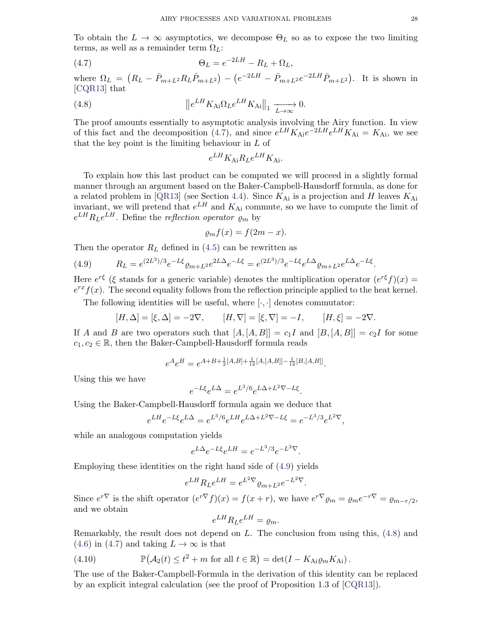To obtain the  $L \to \infty$  asymptotics, we decompose  $\Theta_L$  so as to expose the two limiting terms, as well as a remainder term  $\Omega_L$ :

<span id="page-27-0"></span>
$$
(4.7) \t\t \Theta_L = e^{-2LH} - R_L + \Omega_L,
$$

where  $\Omega_L = (R_L - \bar{P}_{m+L^2} R_L \bar{P}_{m+L^2}) - (e^{-2LH} - \bar{P}_{m+L^2} e^{-2LH} \bar{P}_{m+L^2})$ . It is shown in [\[CQR13\]](#page-38-8) that

<span id="page-27-2"></span>(4.8) 
$$
\|e^{LH}K_{\text{Ai}}\Omega_L e^{LH}K_{\text{Ai}}\|_1 \xrightarrow[L \to \infty]{} 0.
$$

The proof amounts essentially to asymptotic analysis involving the Airy function. In view of this fact and the decomposition [\(4.7\)](#page-27-0), and since  $e^{LH}K_{\text{Ai}}e^{-2LH}e^{LH}K_{\text{Ai}}=K_{\text{Ai}}$ , we see that the key point is the limiting behaviour in  $L$  of

$$
e^{LH}K_{\text{Ai}}R_{L}e^{LH}K_{\text{Ai}}.
$$

To explain how this last product can be computed we will proceed in a slightly formal manner through an argument based on the Baker-Campbell-Hausdorff formula, as done for a related problem in [\[QR13\]](#page-40-10) (see Section [4.4\)](#page-35-0). Since  $K_{\rm Ai}$  is a projection and H leaves  $K_{\rm Ai}$ invariant, we will pretend that  $e^{LH}$  and  $K_{\text{Ai}}$  commute, so we have to compute the limit of  $e^{LH}R_{L}e^{LH}$ . Define the reflection operator  $\varrho_{m}$  by

$$
\varrho_m f(x) = f(2m - x).
$$

Then the operator  $R_L$  defined in [\(4.5\)](#page-26-4) can be rewritten as

<span id="page-27-1"></span>(4.9) 
$$
R_L = e^{(2L^3)/3} e^{-L\xi} \varrho_{m+L^2} e^{2L\Delta} e^{-L\xi} = e^{(2L^3)/3} e^{-L\xi} e^{L\Delta} \varrho_{m+L^2} e^{L\Delta} e^{-L\xi}.
$$

Here  $e^{r\xi}$  ( $\xi$  stands for a generic variable) denotes the multiplication operator  $(e^{r\xi}f)(x)$  =  $e^{rx}f(x)$ . The second equality follows from the reflection principle applied to the heat kernel.

The following identities will be useful, where  $[\cdot, \cdot]$  denotes commutator:

$$
[H, \Delta] = [\xi, \Delta] = -2\nabla, \qquad [H, \nabla] = [\xi, \nabla] = -I, \qquad [H, \xi] = -2\nabla.
$$

If A and B are two operators such that  $[A, [A, B]] = c_1I$  and  $[B, [A, B]] = c_2I$  for some  $c_1, c_2 \in \mathbb{R}$ , then the Baker-Campbell-Hausdorff formula reads

$$
e^{A}e^{B} = e^{A+B+\frac{1}{2}[A,B]+\frac{1}{12}[A,[A,B]]-\frac{1}{12}[B,[A,B]]}.
$$

Using this we have

$$
e^{-L\xi}e^{L\Delta} = e^{L^3/6}e^{L\Delta + L^2\nabla - L\xi}.
$$

Using the Baker-Campbell-Hausdorff formula again we deduce that

$$
e^{LH}e^{-L\xi}e^{L\Delta} = e^{L^3/6}e^{LH}e^{L\Delta + L^2\nabla - L\xi} = e^{-L^3/3}e^{L^2\nabla},
$$

while an analogous computation yields

$$
e^{L\Delta}e^{-L\xi}e^{LH} = e^{-L^3/3}e^{-L^2\nabla}.
$$

Employing these identities on the right hand side of [\(4.9\)](#page-27-1) yields

$$
e^{LH}R_{L}e^{LH} = e^{L^{2}\nabla}\varrho_{m+L^{2}}e^{-L^{2}\nabla}.
$$

Since  $e^{r\nabla}$  is the shift operator  $(e^{r\nabla}f)(x) = f(x+r)$ , we have  $e^{r\nabla}\varrho_m = \varrho_m e^{-r\nabla} = \varrho_{m-r/2}$ , and we obtain

$$
e^{LH}R_{L}e^{LH} = \varrho_{m}.
$$

Remarkably, the result does not depend on  $L$ . The conclusion from using this,  $(4.8)$  and [\(4.6\)](#page-26-5) in [\(4.7\)](#page-27-0) and taking  $L \to \infty$  is that

<span id="page-27-3"></span>(4.10) 
$$
\mathbb{P}(\mathcal{A}_2(t) \le t^2 + m \text{ for all } t \in \mathbb{R}) = \det(I - K_{\text{Ai}}\varrho_m K_{\text{Ai}}).
$$

The use of the Baker-Campbell-Formula in the derivation of this identity can be replaced by an explicit integral calculation (see the proof of Proposition 1.3 of [\[CQR13\]](#page-38-8)).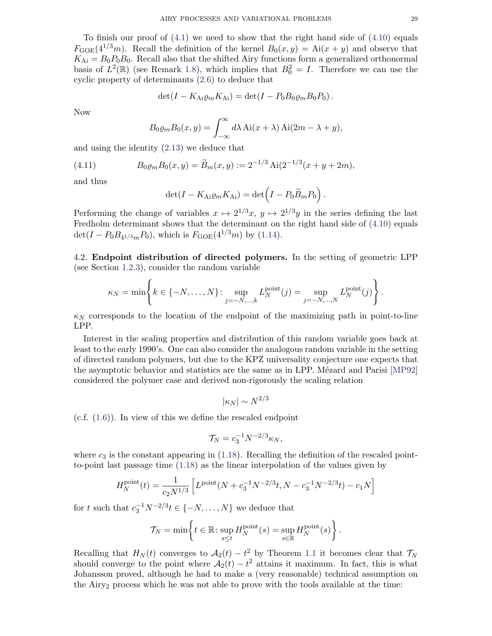To finish our proof of  $(4.1)$  we need to show that the right hand side of  $(4.10)$  equals  $F_{\text{GOE}}(4^{1/3}m)$ . Recall the definition of the kernel  $B_0(x, y) = Ai(x + y)$  and observe that  $K_{\rm Ai} = B_0 P_0 B_0$ . Recall also that the shifted Airy functions form a generalized orthonormal basis of  $L^2(\mathbb{R})$  (see Remark [1.8\)](#page-17-0), which implies that  $B_0^2 = I$ . Therefore we can use the cyclic property of determinants [\(2.6\)](#page-19-4) to deduce that

$$
\det(I - K_{\rm Ai}\varrho_m K_{\rm Ai}) = \det(I - P_0 B_0 \varrho_m B_0 P_0).
$$

Now

$$
B_0 \varrho_m B_0(x, y) = \int_{-\infty}^{\infty} d\lambda \operatorname{Ai}(x + \lambda) \operatorname{Ai}(2m - \lambda + y),
$$

and using the identity [\(2.13\)](#page-21-3) we deduce that

<span id="page-28-1"></span>(4.11) 
$$
B_0 \varrho_m B_0(x, y) = \widetilde{B}_m(x, y) := 2^{-1/3} \operatorname{Ai}(2^{-1/3}(x + y + 2m)),
$$

and thus

$$
\det(I - K_{\text{Ai}}\varrho_m K_{\text{Ai}}) = \det\left(I - P_0 \widetilde{B}_m P_0\right).
$$

Performing the change of variables  $x \mapsto 2^{1/3}x$ ,  $y \mapsto 2^{1/3}y$  in the series defining the last Fredholm determinant shows that the determinant on the right hand side of [\(4.10\)](#page-27-3) equals  $\det(I - P_0 B_{4^{1/3}m} P_0)$ , which is  $F_{\text{GOE}}(4^{1/3}m)$  by [\(1.14\)](#page-4-3).

<span id="page-28-0"></span>4.2. Endpoint distribution of directed polymers. In the setting of geometric LPP (see Section [1.2.3\)](#page-4-1), consider the random variable

$$
\kappa_N = \min \left\{ k \in \{-N, \dots, N\} \colon \sup_{j = -N, \dots, k} L_N^{\text{point}}(j) = \sup_{j = -N, \dots, N} L_N^{\text{point}}(j) \right\}.
$$

 $\kappa_N$  corresponds to the location of the endpoint of the maximizing path in point-to-line LPP.

Interest in the scaling properties and distribution of this random variable goes back at least to the early 1990's. One can also consider the analogous random variable in the setting of directed random polymers, but due to the KPZ universality conjecture one expects that the asymptotic behavior and statistics are the same as in LPP. Mézard and Parisi [\[MP92\]](#page-39-16) considered the polymer case and derived non-rigorously the scaling relation

$$
|\kappa_N| \sim N^{2/3}
$$

 $(c.f. (1.6))$  $(c.f. (1.6))$  $(c.f. (1.6))$ . In view of this we define the rescaled endpoint

$$
\mathcal{T}_N = c_3^{-1} N^{-2/3} \kappa_N,
$$

where  $c_3$  is the constant appearing in [\(1.18\)](#page-6-4). Recalling the definition of the rescaled pointto-point last passage time [\(1.18\)](#page-6-4) as the linear interpolation of the values given by

$$
H_N^{\text{point}}(t) = \frac{1}{c_2 N^{1/3}} \left[ L^{\text{point}}(N + c_3^{-1} N^{-2/3} t, N - c_3^{-1} N^{-2/3} t) - c_1 N \right]
$$

for t such that  $c_3^{-1}N^{-2/3}t \in \{-N, \ldots, N\}$  we deduce that

$$
\mathcal{T}_N = \min \left\{ t \in \mathbb{R} \colon \sup_{s \le t} H^{\text{point}}_N(s) = \sup_{s \in \mathbb{R}} H^{\text{point}}_N(s) \right\}.
$$

Recalling that  $H_N(t)$  converges to  $A_2(t) - t^2$  by Theorem [1.1](#page-7-0) it becomes clear that  $\mathcal{T}_N$ should converge to the point where  $A_2(t) - t^2$  attains it maximum. In fact, this is what Johansson proved, although he had to make a (very reasonable) technical assumption on the Airy<sup>2</sup> process which he was not able to prove with the tools available at the time: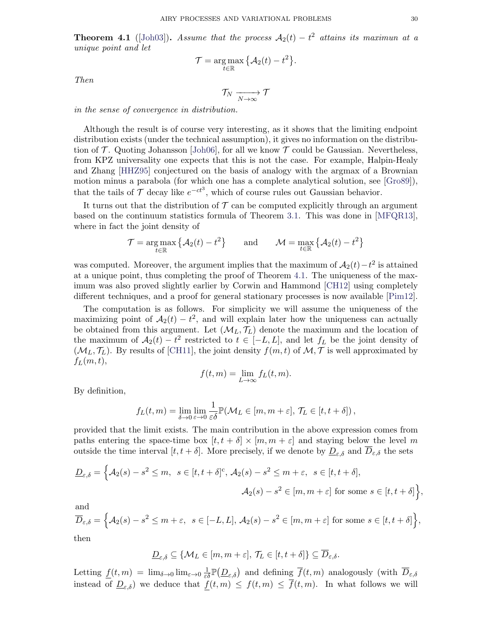<span id="page-29-0"></span>**Theorem 4.1** ([\[Joh03\]](#page-39-5)). Assume that the process  $A_2(t) - t^2$  attains its maximun at a unique point and let

$$
\mathcal{T} = \underset{t \in \mathbb{R}}{\arg \max} \left\{ \mathcal{A}_2(t) - t^2 \right\}.
$$

Then

$$
\mathcal{T}_N \xrightarrow[N \to \infty]{} \mathcal{T}
$$

in the sense of convergence in distribution.

Although the result is of course very interesting, as it shows that the limiting endpoint distribution exists (under the technical assumption), it gives no information on the distribution of  $\mathcal T$ . Quoting Johansson [\[Joh06\]](#page-39-10), for all we know  $\mathcal T$  could be Gaussian. Nevertheless, from KPZ universality one expects that this is not the case. For example, Halpin-Healy and Zhang [\[HHZ95\]](#page-39-17) conjectured on the basis of analogy with the argmax of a Brownian motion minus a parabola (for which one has a complete analytical solution, see [\[Gro89\]](#page-39-18)), that the tails of  $\mathcal T$  decay like  $e^{-ct^3}$ , which of course rules out Gaussian behavior.

It turns out that the distribution of  $\mathcal T$  can be computed explicitly through an argument based on the continuum statistics formula of Theorem [3.1.](#page-24-5) This was done in [\[MFQR13\]](#page-39-19), where in fact the joint density of

$$
\mathcal{T} = \underset{t \in \mathbb{R}}{\arg \max} \left\{ \mathcal{A}_2(t) - t^2 \right\} \quad \text{and} \quad \mathcal{M} = \underset{t \in \mathbb{R}}{\max} \left\{ \mathcal{A}_2(t) - t^2 \right\}
$$

was computed. Moreover, the argument implies that the maximum of  $\mathcal{A}_2(t) - t^2$  is attained at a unique point, thus completing the proof of Theorem [4.1.](#page-29-0) The uniqueness of the maximum was also proved slightly earlier by Corwin and Hammond [\[CH12\]](#page-38-18) using completely different techniques, and a proof for general stationary processes is now available [\[Pim12\]](#page-40-17).

The computation is as follows. For simplicity we will assume the uniqueness of the maximizing point of  $A_2(t) - t^2$ , and will explain later how the uniqueness can actually be obtained from this argument. Let  $(\mathcal{M}_L, \mathcal{T}_L)$  denote the maximum and the location of the maximum of  $A_2(t) - t^2$  restricted to  $t \in [-L, L]$ , and let  $f_L$  be the joint density of  $(\mathcal{M}_L, \mathcal{T}_L)$ . By results of [\[CH11\]](#page-38-19), the joint density  $f(m, t)$  of  $\mathcal{M}, \mathcal{T}$  is well approximated by  $f_L(m, t),$ 

$$
f(t, m) = \lim_{L \to \infty} f_L(t, m).
$$

By definition,

$$
f_L(t,m) = \lim_{\delta \to 0} \lim_{\varepsilon \to 0} \frac{1}{\varepsilon \delta} \mathbb{P}(\mathcal{M}_L \in [m, m + \varepsilon], \mathcal{T}_L \in [t, t + \delta]),
$$

provided that the limit exists. The main contribution in the above expression comes from paths entering the space-time box  $[t, t + \delta] \times [m, m + \varepsilon]$  and staying below the level m outside the time interval  $[t, t + \delta]$ . More precisely, if we denote by  $\underline{D}_{\varepsilon,\delta}$  and  $D_{\varepsilon,\delta}$  the sets

$$
\underline{D}_{\varepsilon,\delta} = \Big\{ \mathcal{A}_2(s) - s^2 \le m, \ \ s \in [t, t + \delta]^c, \ \mathcal{A}_2(s) - s^2 \le m + \varepsilon, \ \ s \in [t, t + \delta],
$$
  

$$
\mathcal{A}_2(s) - s^2 \in [m, m + \varepsilon] \text{ for some } s \in [t, t + \delta] \Big\},
$$

and

$$
\overline{D}_{\varepsilon,\delta} = \Big\{ \mathcal{A}_2(s) - s^2 \le m + \varepsilon, \ \ s \in [-L, L], \ \mathcal{A}_2(s) - s^2 \in [m, m + \varepsilon] \text{ for some } s \in [t, t + \delta] \Big\},\
$$

then

$$
\underline{D}_{\varepsilon,\delta}\subseteq\{\mathcal{M}_L\in[m,m+\varepsilon],\,\mathcal{T}_L\in[t,t+\delta]\}\subseteq\overline{D}_{\varepsilon,\delta}.
$$

Letting  $\underline{f}(t,m) = \lim_{\delta \to 0} \lim_{\varepsilon \to 0} \frac{1}{\varepsilon \delta} \mathbb{P}(\underline{D}_{\varepsilon,\delta})$  and defining  $\overline{f}(t,m)$  analogously (with  $\overline{D}_{\varepsilon,\delta}$ instead of  $\underline{D}_{\varepsilon,\delta}$ ) we deduce that  $\underline{f}(t, m) \leq f(t, m) \leq \overline{f}(t, m)$ . In what follows we will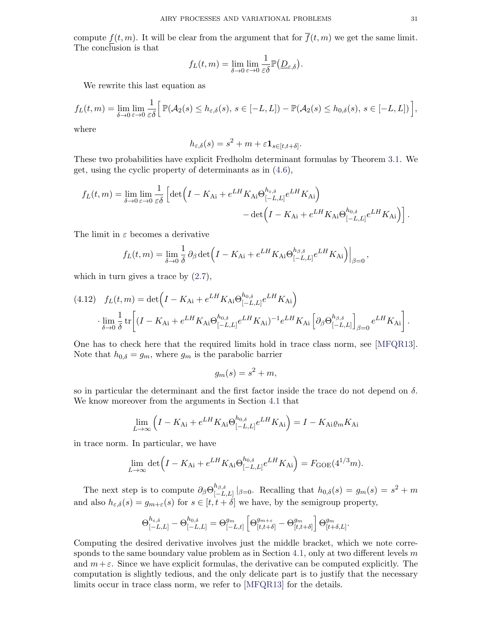compute  $f(t, m)$ . It will be clear from the argument that for  $\overline{f}(t, m)$  we get the same limit. The conclusion is that

$$
f_L(t,m) = \lim_{\delta \to 0} \lim_{\varepsilon \to 0} \frac{1}{\varepsilon \delta} \mathbb{P}(\underline{D}_{\varepsilon,\delta}).
$$

We rewrite this last equation as

$$
f_L(t,m) = \lim_{\delta \to 0} \lim_{\varepsilon \to 0} \frac{1}{\varepsilon \delta} \Big[ \mathbb{P}(\mathcal{A}_2(s) \le h_{\varepsilon,\delta}(s), s \in [-L,L]) - \mathbb{P}(\mathcal{A}_2(s) \le h_{0,\delta}(s), s \in [-L,L]) \Big],
$$

where

$$
h_{\varepsilon,\delta}(s) = s^2 + m + \varepsilon \mathbf{1}_{s \in [t,t+\delta]}.
$$

These two probabilities have explicit Fredholm determinant formulas by Theorem [3.1.](#page-24-5) We get, using the cyclic property of determinants as in [\(4.6\)](#page-26-5),

$$
f_L(t,m) = \lim_{\delta \to 0} \lim_{\varepsilon \to 0} \frac{1}{\varepsilon \delta} \left[ \det \left( I - K_{\text{Ai}} + e^{LH} K_{\text{Ai}} \Theta_{[-L,L]}^{h_{\varepsilon,\delta}} e^{LH} K_{\text{Ai}} \right) - \det \left( I - K_{\text{Ai}} + e^{LH} K_{\text{Ai}} \Theta_{[-L,L]}^{h_{0,\delta}} e^{LH} K_{\text{Ai}} \right) \right].
$$

The limit in  $\varepsilon$  becomes a derivative

$$
f_L(t,m) = \lim_{\delta \to 0} \frac{1}{\delta} \partial_\beta \det \Big( I - K_{\rm Ai} + e^{LH} K_{\rm Ai} \Theta_{[-L,L]}^{h_{\beta,\delta}} e^{LH} K_{\rm Ai} \Big) \Big|_{\beta=0},
$$

which in turn gives a trace by  $(2.7)$ ,

<span id="page-30-0"></span>(4.12) 
$$
f_L(t,m) = \det \left( I - K_{Ai} + e^{LH} K_{Ai} \Theta_{[-L,L]}^{h_{0,\delta}} e^{LH} K_{Ai} \right)
$$

$$
\lim_{\delta \to 0} \frac{1}{\delta} \operatorname{tr} \left[ (I - K_{Ai} + e^{LH} K_{Ai} \Theta_{[-L,L]}^{h_{0,\delta}} e^{LH} K_{Ai})^{-1} e^{LH} K_{Ai} \left[ \partial_{\beta} \Theta_{[-L,L]}^{h_{\beta,\delta}} \right]_{\beta=0} e^{LH} K_{Ai} \right].
$$

One has to check here that the required limits hold in trace class norm, see [\[MFQR13\]](#page-39-19). Note that  $h_{0,\delta} = g_m$ , where  $g_m$  is the parabolic barrier

$$
g_m(s) = s^2 + m,
$$

so in particular the determinant and the first factor inside the trace do not depend on  $\delta$ . We know moreover from the arguments in Section [4.1](#page-26-0) that

$$
\lim_{L \to \infty} \left( I - K_{\text{Ai}} + e^{LH} K_{\text{Ai}} \Theta_{[-L,L]}^{h_{0,\delta}} e^{LH} K_{\text{Ai}} \right) = I - K_{\text{Ai}} \varrho_m K_{\text{Ai}}
$$

in trace norm. In particular, we have

$$
\lim_{L \to \infty} \det \left( I - K_{\text{Ai}} + e^{LH} K_{\text{Ai}} \Theta_{[-L,L]}^{h_{0,\delta}} e^{LH} K_{\text{Ai}} \right) = F_{\text{GOE}}(4^{1/3} m).
$$

The next step is to compute  $\partial_{\beta} \Theta_{\substack{b,\beta,\delta\\b} L}^{h_{\beta,\delta}}$  $\int_{[-L,L]}^{h_{\beta,\delta}} |\beta=0$ . Recalling that  $h_{0,\delta}(s) = g_m(s) = s^2 + m$ and also  $h_{\varepsilon,\delta}(s) = g_{m+\varepsilon}(s)$  for  $s \in [t, t + \delta]$  we have, by the semigroup property,

$$
\Theta_{[-L,L]}^{h_{\varepsilon,\delta}}-\Theta_{[-L,L]}^{h_{0,\delta}}=\Theta_{[-L,t]}^{g_m}\left[\Theta_{[t,t+\delta]}^{g_{m+\varepsilon}}-\Theta_{[t,t+\delta]}^{g_m}\right]\Theta_{[t+\delta,L]}^{g_m}.
$$

Computing the desired derivative involves just the middle bracket, which we note corre-sponds to the same boundary value problem as in Section [4.1,](#page-26-0) only at two different levels  $m$ and  $m+\varepsilon$ . Since we have explicit formulas, the derivative can be computed explicitly. The computation is slightly tedious, and the only delicate part is to justify that the necessary limits occur in trace class norm, we refer to [\[MFQR13\]](#page-39-19) for the details.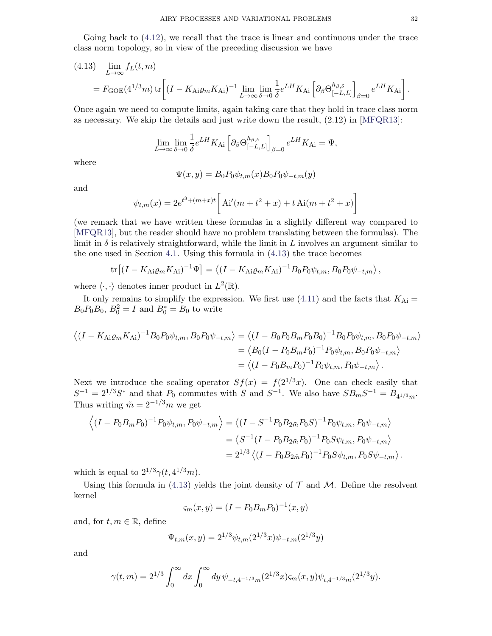Going back to [\(4.12\)](#page-30-0), we recall that the trace is linear and continuous under the trace class norm topology, so in view of the preceding discussion we have

<span id="page-31-0"></span>(4.13) 
$$
\lim_{L \to \infty} f_L(t,m)
$$
  
=  $F_{\text{GOE}}(4^{1/3}m) \text{tr} \left[ (I - K_{\text{Ai}} \varrho_m K_{\text{Ai}})^{-1} \lim_{L \to \infty} \lim_{\delta \to 0} \frac{1}{\delta} e^{LH} K_{\text{Ai}} \left[ \partial_\beta \Theta_{[-L,L]}^{h_{\beta,\delta}} \right]_{\beta=0} e^{LH} K_{\text{Ai}} \right].$ 

Once again we need to compute limits, again taking care that they hold in trace class norm as necessary. We skip the details and just write down the result, (2.12) in [\[MFQR13\]](#page-39-19):

$$
\lim_{L \to \infty} \lim_{\delta \to 0} \frac{1}{\delta} e^{LH} K_{\text{Ai}} \left[ \partial_{\beta} \Theta_{[-L,L]}^{h_{\beta,\delta}} \right]_{\beta=0} e^{LH} K_{\text{Ai}} = \Psi,
$$

where

$$
\Psi(x, y) = B_0 P_0 \psi_{t,m}(x) B_0 P_0 \psi_{-t,m}(y)
$$

and

$$
\psi_{t,m}(x) = 2e^{t^3 + (m+x)t} \left[ Ai'(m+t^2+x) + t Ai(m+t^2+x) \right]
$$

(we remark that we have written these formulas in a slightly different way compared to [\[MFQR13\]](#page-39-19), but the reader should have no problem translating between the formulas). The limit in  $\delta$  is relatively straightforward, while the limit in L involves an argument similar to the one used in Section [4.1.](#page-26-0) Using this formula in [\(4.13\)](#page-31-0) the trace becomes

$$
\text{tr}\left[(I-K_{\text{Ai}}\varrho_{m}K_{\text{Ai}})^{-1}\Psi\right] = \left\langle (I-K_{\text{Ai}}\varrho_{m}K_{\text{Ai}})^{-1}B_{0}P_{0}\psi_{t,m}, B_{0}P_{0}\psi_{-t,m}\right\rangle,
$$

where  $\langle \cdot, \cdot \rangle$  denotes inner product in  $L^2(\mathbb{R})$ .

It only remains to simplify the expression. We first use [\(4.11\)](#page-28-1) and the facts that  $K_{\rm Ai} =$  $B_0 P_0 B_0, B_0^2 = I$  and  $B_0^* = B_0$  to write

$$
\langle (I - K_{\text{Ai}}\varrho_m K_{\text{Ai}})^{-1} B_0 P_0 \psi_{t,m}, B_0 P_0 \psi_{-t,m} \rangle = \langle (I - B_0 P_0 B_m P_0 B_0)^{-1} B_0 P_0 \psi_{t,m}, B_0 P_0 \psi_{-t,m} \rangle
$$
  
=  $\langle B_0 (I - P_0 B_m P_0)^{-1} P_0 \psi_{t,m}, B_0 P_0 \psi_{-t,m} \rangle$   
=  $\langle (I - P_0 B_m P_0)^{-1} P_0 \psi_{t,m}, P_0 \psi_{-t,m} \rangle$ .

Next we introduce the scaling operator  $Sf(x) = f(2^{1/3}x)$ . One can check easily that  $S^{-1} = 2^{1/3} S^*$  and that  $P_0$  commutes with S and  $S^{-1}$ . We also have  $SB_m S^{-1} = B_{4^{1/3}m}$ . Thus writing  $\tilde{m} = 2^{-1/3}m$  we get

$$
\langle (I - P_0 B_m P_0)^{-1} P_0 \psi_{t,m}, P_0 \psi_{-t,m} \rangle = \langle (I - S^{-1} P_0 B_{2\tilde{m}} P_0 S)^{-1} P_0 \psi_{t,m}, P_0 \psi_{-t,m} \rangle
$$
  
=  $\langle S^{-1} (I - P_0 B_{2\tilde{m}} P_0)^{-1} P_0 S \psi_{t,m}, P_0 \psi_{-t,m} \rangle$   
=  $2^{1/3} \langle (I - P_0 B_{2\tilde{m}} P_0)^{-1} P_0 S \psi_{t,m}, P_0 S \psi_{-t,m} \rangle$ .

which is equal to  $2^{1/3}\gamma(t, 4^{1/3}m)$ .

Using this formula in [\(4.13\)](#page-31-0) yields the joint density of  $\mathcal T$  and  $\mathcal M$ . Define the resolvent kernel

$$
\varsigma_m(x, y) = (I - P_0 B_m P_0)^{-1}(x, y)
$$

and, for  $t, m \in \mathbb{R}$ , define

$$
\Psi_{t,m}(x,y) = 2^{1/3} \psi_{t,m}(2^{1/3}x) \psi_{-t,m}(2^{1/3}y)
$$

and

$$
\gamma(t,m) = 2^{1/3} \int_0^\infty dx \int_0^\infty dy \, \psi_{-t,4^{-1/3}m}(2^{1/3}x) \varsigma_m(x,y) \psi_{t,4^{-1/3}m}(2^{1/3}y).
$$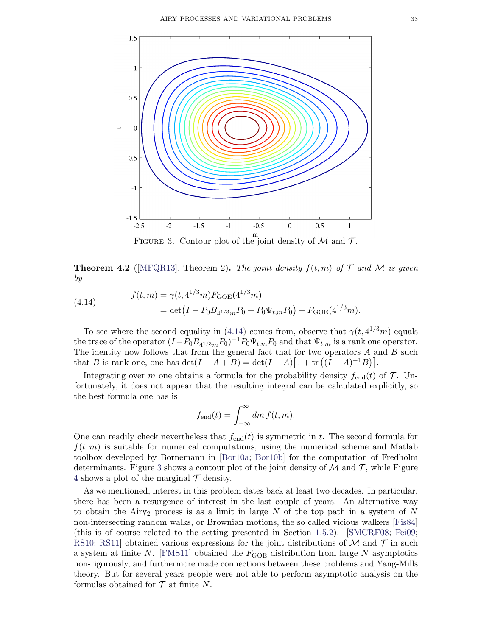<span id="page-32-1"></span>

<span id="page-32-2"></span>**Theorem 4.2** ([\[MFQR13\]](#page-39-19), Theorem 2). The joint density  $f(t, m)$  of  $\mathcal{T}$  and  $\mathcal{M}$  is given by

<span id="page-32-0"></span>(4.14) 
$$
f(t,m) = \gamma(t, 4^{1/3}m)F_{GOE}(4^{1/3}m)
$$

$$
= det(I - P_0B_{4^{1/3}m}P_0 + P_0\Psi_{t,m}P_0) - F_{GOE}(4^{1/3}m).
$$

To see where the second equality in [\(4.14\)](#page-32-0) comes from, observe that  $\gamma(t, 4^{1/3}m)$  equals the trace of the operator  $(I - P_0 B_{4^{1/3}m} P_0)^{-1} P_0 \Psi_{t,m} P_0$  and that  $\Psi_{t,m}$  is a rank one operator. The identity now follows that from the general fact that for two operators  $A$  and  $B$  such that B is rank one, one has  $\det(I - A + B) = \det(I - A)[1 + \text{tr}((I - A)^{-1}B)].$ 

Integrating over m one obtains a formula for the probability density  $f_{\text{end}}(t)$  of  $\mathcal{T}$ . Unfortunately, it does not appear that the resulting integral can be calculated explicitly, so the best formula one has is

$$
f_{\text{end}}(t) = \int_{-\infty}^{\infty} dm f(t, m).
$$

One can readily check nevertheless that  $f_{\text{end}}(t)$  is symmetric in t. The second formula for  $f(t, m)$  is suitable for numerical computations, using the numerical scheme and Matlab toolbox developed by Bornemann in [\[Bor10a;](#page-37-20) [Bor10b\]](#page-37-21) for the computation of Fredholm determinants. Figure [3](#page-32-1) shows a contour plot of the joint density of  $M$  and  $\mathcal{T}$ , while Figure [4](#page-33-0) shows a plot of the marginal  $\mathcal T$  density.

As we mentioned, interest in this problem dates back at least two decades. In particular, there has been a resurgence of interest in the last couple of years. An alternative way to obtain the Airy<sub>2</sub> process is as a limit in large  $N$  of the top path in a system of  $N$ non-intersecting random walks, or Brownian motions, the so called vicious walkers [\[Fis84\]](#page-39-20) (this is of course related to the setting presented in Section [1.5.2\)](#page-16-0). [\[SMCRF08;](#page-40-18) [Fei09;](#page-39-21) [RS10;](#page-40-19) [RS11\]](#page-40-20) obtained various expressions for the joint distributions of  $\mathcal M$  and  $\mathcal T$  in such a system at finite N. [\[FMS11\]](#page-39-22) obtained the  $F_{GOE}$  distribution from large N asymptotics non-rigorously, and furthermore made connections between these problems and Yang-Mills theory. But for several years people were not able to perform asymptotic analysis on the formulas obtained for  $\mathcal T$  at finite N.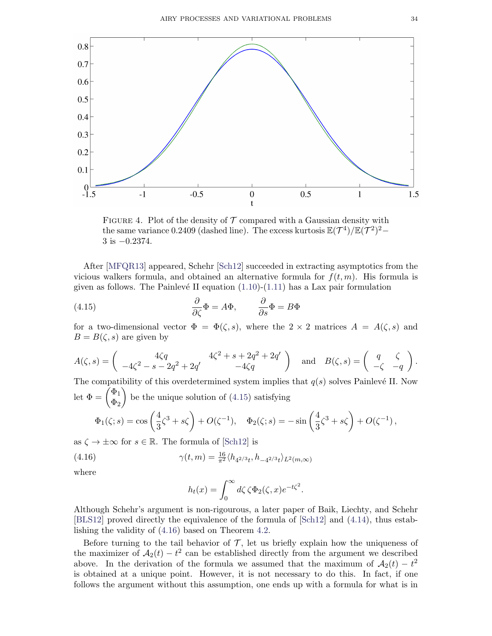<span id="page-33-0"></span>

FIGURE 4. Plot of the density of  $\mathcal T$  compared with a Gaussian density with the same variance 0.2409 (dashed line). The excess kurtosis  $\mathbb{E}(\mathcal{T}^4)/\mathbb{E}(\mathcal{T}^2)^2$ -3 is −0.2374.

After [\[MFQR13\]](#page-39-19) appeared, Schehr [\[Sch12\]](#page-40-21) succeeded in extracting asymptotics from the vicious walkers formula, and obtained an alternative formula for  $f(t, m)$ . His formula is given as follows. The Painlevé II equation  $(1.10)-(1.11)$  $(1.10)-(1.11)$  $(1.10)-(1.11)$  has a Lax pair formulation

<span id="page-33-1"></span>(4.15) 
$$
\frac{\partial}{\partial \zeta} \Phi = A \Phi, \qquad \frac{\partial}{\partial s} \Phi = B \Phi
$$

for a two-dimensional vector  $\Phi = \Phi(\zeta, s)$ , where the  $2 \times 2$  matrices  $A = A(\zeta, s)$  and  $B = B(\zeta, s)$  are given by

$$
A(\zeta,s) = \begin{pmatrix} 4\zeta q & 4\zeta^2 + s + 2q^2 + 2q' \\ -4\zeta^2 - s - 2q^2 + 2q' & -4\zeta q \end{pmatrix} \text{ and } B(\zeta,s) = \begin{pmatrix} q & \zeta \\ -\zeta & -q \end{pmatrix}.
$$

The compatibility of this overdetermined system implies that  $q(s)$  solves Painlevé II. Now let  $\Phi = \begin{pmatrix} \Phi_1 \\ \Phi_2 \end{pmatrix}$  $\Phi_2$ be the unique solution of  $(4.15)$  satisfying  $\Phi_1(\zeta;s) = \cos\left(\frac{1}{s}\right)$ 4 ζ  $3 + s\zeta$  $+ O(\zeta$ −1 ),  $\Phi_2(\zeta;s) = -\sin\left(\frac{1}{s}\right)$  $\sqrt{4}$ ζ  $3 + s\zeta$  $+ O(\zeta$ −1 ),

$$
\Phi_1(\zeta;s) = \cos\left(\frac{4}{3}\zeta^3 + s\zeta\right) + O(\zeta^{-1}), \quad \Phi_2(\zeta;s) = -\sin\left(\frac{4}{3}\zeta^3 + s\zeta\right) + O(\zeta^{-1}),
$$

as  $\zeta \to \pm \infty$  for  $s \in \mathbb{R}$ . The formula of [\[Sch12\]](#page-40-21) is

<span id="page-33-2"></span>(4.16) 
$$
\gamma(t,m) = \frac{16}{\pi^2} \langle h_{4^{2/3}t}, h_{-4^{2/3}t} \rangle_{L^2(m,\infty)}
$$

where

$$
h_t(x) = \int_0^\infty d\zeta \,\zeta \Phi_2(\zeta, x) e^{-t\zeta^2}.
$$

Although Schehr's argument is non-rigourous, a later paper of Baik, Liechty, and Schehr [\[BLS12\]](#page-37-22) proved directly the equivalence of the formula of [\[Sch12\]](#page-40-21) and [\(4.14\)](#page-32-0), thus establishing the validity of [\(4.16\)](#page-33-2) based on Theorem [4.2.](#page-32-2)

Before turning to the tail behavior of  $\mathcal T$ , let us briefly explain how the uniqueness of the maximizer of  $A_2(t) - t^2$  can be established directly from the argument we described above. In the derivation of the formula we assumed that the maximum of  $A_2(t) - t^2$ is obtained at a unique point. However, it is not necessary to do this. In fact, if one follows the argument without this assumption, one ends up with a formula for what is in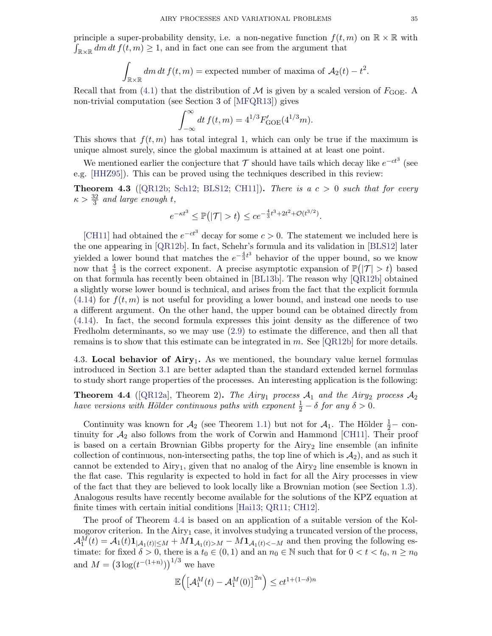principle a super-probability density, i.e. a non-negative function  $f(t, m)$  on  $\mathbb{R} \times \mathbb{R}$  with  $\int_{\mathbb{R}\times\mathbb{R}} dm dt f(t, m) \geq 1$ , and in fact one can see from the argument that

$$
\int_{\mathbb{R}\times\mathbb{R}} dm\,dt\,f(t,m) = \text{expected number of maxima of }\mathcal{A}_2(t) - t^2.
$$

Recall that from [\(4.1\)](#page-26-6) that the distribution of  $M$  is given by a scaled version of  $F_{GOE}$ . A non-trivial computation (see Section 3 of [\[MFQR13\]](#page-39-19)) gives

$$
\int_{-\infty}^{\infty} dt f(t, m) = 4^{1/3} F'_{\text{GOE}}(4^{1/3} m).
$$

This shows that  $f(t, m)$  has total integral 1, which can only be true if the maximum is unique almost surely, since the global maximum is attained at at least one point.

We mentioned earlier the conjecture that  $\mathcal T$  should have tails which decay like  $e^{-ct^3}$  (see e.g. [\[HHZ95\]](#page-39-17)). This can be proved using the techniques described in this review:

**Theorem 4.3** ([\[QR12b;](#page-40-22) [Sch12;](#page-40-21) [BLS12;](#page-37-22) [CH11\]](#page-38-19)). There is a  $c > 0$  such that for every  $\kappa > \frac{32}{3}$  and large enough t,

$$
e^{-\kappa t^3} \le \mathbb{P}(|\mathcal{T}| > t) \le ce^{-\frac{4}{3}t^3 + 2t^2 + \mathcal{O}(t^{3/2})}.
$$

[\[CH11\]](#page-38-19) had obtained the  $e^{-ct^3}$  decay for some  $c > 0$ . The statement we included here is the one appearing in [\[QR12b\]](#page-40-22). In fact, Schehr's formula and its validation in [\[BLS12\]](#page-37-22) later yielded a lower bound that matches the  $e^{-\frac{4}{3}t^3}$  behavior of the upper bound, so we know now that  $\frac{4}{3}$  is the correct exponent. A precise asymptotic expansion of  $\mathbb{P}(|\mathcal{T}| > t)$  based on that formula has recently been obtained in [\[BL13b\]](#page-38-20). The reason why [\[QR12b\]](#page-40-22) obtained a slightly worse lower bound is technical, and arises from the fact that the explicit formula  $(4.14)$  for  $f(t, m)$  is not useful for providing a lower bound, and instead one needs to use a different argument. On the other hand, the upper bound can be obtained directly from [\(4.14\)](#page-32-0). In fact, the second formula expresses this joint density as the difference of two Fredholm determinants, so we may use [\(2.9\)](#page-20-0) to estimate the difference, and then all that remains is to show that this estimate can be integrated in m. See  $[QR12b]$  for more details.

<span id="page-34-0"></span>4.3. Local behavior of  $Airy_1$ . As we mentioned, the boundary value kernel formulas introduced in Section [3.1](#page-22-1) are better adapted than the standard extended kernel formulas to study short range properties of the processes. An interesting application is the following:

<span id="page-34-1"></span>**Theorem 4.4** ([\[QR12a\]](#page-40-15), Theorem 2). The Airy<sub>1</sub> process  $A_1$  and the Airy<sub>2</sub> process  $A_2$ have versions with Hölder continuous paths with exponent  $\frac{1}{2} - \delta$  for any  $\delta > 0$ .

Continuity was known for  $\mathcal{A}_2$  (see Theorem [1.1\)](#page-7-0) but not for  $\mathcal{A}_1$ . The Hölder  $\frac{1}{2}$  – continuity for  $\mathcal{A}_2$  also follows from the work of Corwin and Hammond [\[CH11\]](#page-38-19). Their proof is based on a certain Brownian Gibbs property for the  $Airy<sub>2</sub>$  line ensemble (an infinite collection of continuous, non-intersecting paths, the top line of which is  $\mathcal{A}_2$ ), and as such it cannot be extended to Airy<sub>1</sub>, given that no analog of the Airy<sub>2</sub> line ensemble is known in the flat case. This regularity is expected to hold in fact for all the Airy processes in view of the fact that they are believed to look locally like a Brownian motion (see Section [1.3\)](#page-10-0). Analogous results have recently become available for the solutions of the KPZ equation at finite times with certain initial conditions [\[Hai13;](#page-39-9) [QR11;](#page-40-23) [CH12\]](#page-38-18).

The proof of Theorem [4.4](#page-34-1) is based on an application of a suitable version of the Kolmogorov criterion. In the Airy<sub>1</sub> case, it involves studying a truncated version of the process,  $\mathcal{A}_1^M(t) = \mathcal{A}_1(t) \mathbf{1}_{|\mathcal{A}_1(t)| \leq M} + M \mathbf{1}_{\mathcal{A}_1(t) > M} - M \mathbf{1}_{\mathcal{A}_1(t) < -M}$  and then proving the following estimate: for fixed  $\delta > 0$ , there is a  $t_0 \in (0,1)$  and an  $n_0 \in \mathbb{N}$  such that for  $0 < t < t_0$ ,  $n \ge n_0$ and  $M = (3 \log(t^{-(1+n)}))^{1/3}$  we have

$$
\mathbb{E}\Big(\big[\mathcal{A}_1^M(t) - \mathcal{A}_1^M(0)\big]^{2n}\Big) \le ct^{1 + (1 - \delta)n}
$$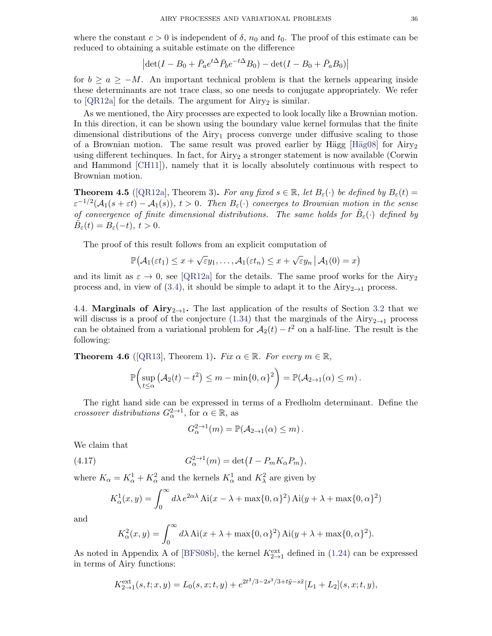where the constant  $c > 0$  is independent of  $\delta$ ,  $n_0$  and  $t_0$ . The proof of this estimate can be reduced to obtaining a suitable estimate on the difference

$$
\left| \det(I - B_0 + \bar{P}_a e^{t\Delta} \bar{P}_b e^{-t\Delta} B_0) - \det(I - B_0 + \bar{P}_a B_0) \right|
$$

for  $b \ge a \ge -M$ . An important technical problem is that the kernels appearing inside these determinants are not trace class, so one needs to conjugate appropriately. We refer to  $[QR12a]$  for the details. The argument for Airy<sub>2</sub> is similar.

As we mentioned, the Airy processes are expected to look locally like a Brownian motion. In this direction, it can be shown using the boundary value kernel formulas that the finite dimensional distributions of the  $Airy_1$  process converge under diffusive scaling to those of a Brownian motion. The same result was proved earlier by Hägg [Häg08] for Airy<sub>2</sub> using different techinques. In fact, for  $Airy<sub>2</sub>$  a stronger statement is now available (Corwin and Hammond [\[CH11\]](#page-38-19)), namely that it is locally absolutely continuous with respect to Brownian motion.

**Theorem 4.5** ([\[QR12a\]](#page-40-15), Theorem 3). For any fixed  $s \in \mathbb{R}$ , let  $B_{\varepsilon}(\cdot)$  be defined by  $B_{\varepsilon}(t)$  =  $\varepsilon^{-1/2}(\mathcal{A}_1(s+\varepsilon t)-\mathcal{A}_1(s)), t>0.$  Then  $B_{\varepsilon}(\cdot)$  converges to Brownian motion in the sense of convergence of finite dimensional distributions. The same holds for  $\tilde{B}_{\varepsilon}(\cdot)$  defined by  $\tilde{B}_{\varepsilon}(t) = B_{\varepsilon}(-t), t > 0.$ 

The proof of this result follows from an explicit computation of

$$
\mathbb{P}(\mathcal{A}_1(\varepsilon t_1) \leq x + \sqrt{\varepsilon}y_1, \ldots, \mathcal{A}_1(\varepsilon t_n) \leq x + \sqrt{\varepsilon}y_n \,|\, \mathcal{A}_1(0) = x)
$$

and its limit as  $\varepsilon \to 0$ , see [\[QR12a\]](#page-40-15) for the details. The same proof works for the Airy<sub>2</sub> process and, in view of [\(3.4\)](#page-23-2), it should be simple to adapt it to the Air $y_{2\to 1}$  process.

<span id="page-35-0"></span>4.4. **Marginals of Airy**<sub>2→1</sub>. The last application of the results of Section [3.2](#page-24-0) that we will discuss is a proof of the conjecture [\(1.34\)](#page-13-3) that the marginals of the  $Airy_{2\rightarrow1}$  process can be obtained from a variational problem for  $A_2(t) - t^2$  on a half-line. The result is the following:

<span id="page-35-1"></span>**Theorem 4.6** ([\[QR13\]](#page-40-10), Theorem 1). Fix  $\alpha \in \mathbb{R}$ . For every  $m \in \mathbb{R}$ ,

$$
\mathbb{P}\left(\sup_{t\leq\alpha}\left(\mathcal{A}_2(t)-t^2\right)\leq m-\min\{0,\alpha\}^2\right)=\mathbb{P}(\mathcal{A}_{2\to 1}(\alpha)\leq m).
$$

The right hand side can be expressed in terms of a Fredholm determinant. Define the crossover distributions  $G_{\alpha}^{2\to 1}$ , for  $\alpha \in \mathbb{R}$ , as

$$
G_{\alpha}^{2\to 1}(m) = \mathbb{P}(\mathcal{A}_{2\to 1}(\alpha) \leq m).
$$

We claim that

<span id="page-35-2"></span>(4.17) 
$$
G_{\alpha}^{2\to 1}(m) = \det(I - P_m K_{\alpha} P_m),
$$

where  $K_{\alpha} = K_{\alpha}^1 + K_{\alpha}^2$  and the kernels  $K_{\alpha}^1$  and  $K_{\lambda}^2$  are given by

$$
K_{\alpha}^{1}(x, y) = \int_{0}^{\infty} d\lambda e^{2\alpha\lambda} \text{Ai}(x - \lambda + \max\{0, \alpha\}^{2}) \text{Ai}(y + \lambda + \max\{0, \alpha\}^{2})
$$

and

$$
K_{\alpha}^{2}(x, y) = \int_{0}^{\infty} d\lambda \operatorname{Ai}(x + \lambda + \max\{0, \alpha\}^{2}) \operatorname{Ai}(y + \lambda + \max\{0, \alpha\}^{2}).
$$

As noted in Appendix A of [\[BFS08b\]](#page-38-10), the kernel  $K_{2\rightarrow 1}^{\text{ext}}$  defined in [\(1.24\)](#page-9-0) can be expressed in terms of Airy functions:

$$
K_{2\to 1}^{\text{ext}}(s,t;x,y) = L_0(s,x;t,y) + e^{2t^3/3 - 2s^3/3 + t\tilde{y} - s\tilde{x}}[L_1 + L_2](s,x;t,y),
$$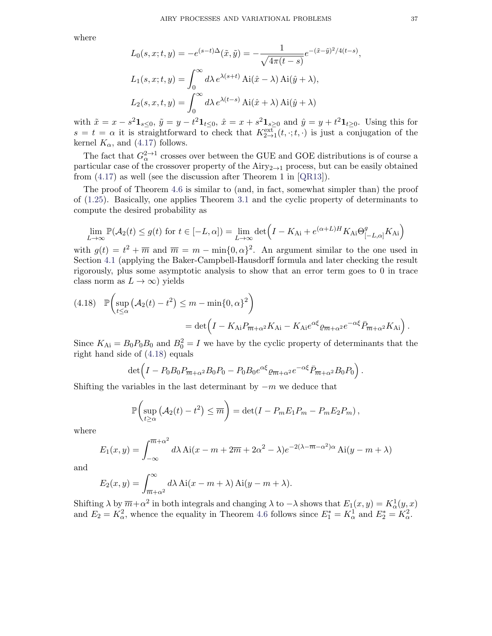where

$$
L_0(s, x; t, y) = -e^{(s-t)\Delta}(\tilde{x}, \tilde{y}) = -\frac{1}{\sqrt{4\pi(t-s)}}e^{-(\tilde{x}-\tilde{y})^2/4(t-s)}
$$

$$
L_1(s, x; t, y) = \int_0^\infty d\lambda \, e^{\lambda(s+t)} \, \text{Ai}(\hat{x} - \lambda) \, \text{Ai}(\hat{y} + \lambda),
$$

$$
L_2(s, x, t, y) = \int_0^\infty d\lambda \, e^{\lambda(t-s)} \, \text{Ai}(\hat{x} + \lambda) \, \text{Ai}(\hat{y} + \lambda)
$$

with  $\tilde{x} = x - s^2 \mathbf{1}_{s \leq 0}, \, \tilde{y} = y - t^2 \mathbf{1}_{t \leq 0}, \, \hat{x} = x + s^2 \mathbf{1}_{s \geq 0}$  and  $\hat{y} = y + t^2 \mathbf{1}_{t \geq 0}$ . Using this for  $s = t = \alpha$  it is straightforward to check that  $K_{2\to 1}^{\text{ext}}(t, \cdot; t, \cdot)$  is just a conjugation of the kernel  $K_{\alpha}$ , and [\(4.17\)](#page-35-2) follows.

The fact that  $G_{\alpha}^{2 \to 1}$  crosses over between the GUE and GOE distributions is of course a particular case of the crossover property of the  $Airy_{2\rightarrow1}$  process, but can be easily obtained from  $(4.17)$  as well (see the discussion after Theorem 1 in [\[QR13\]](#page-40-10)).

The proof of Theorem [4.6](#page-35-1) is similar to (and, in fact, somewhat simpler than) the proof of [\(1.25\)](#page-10-1). Basically, one applies Theorem [3.1](#page-24-5) and the cyclic property of determinants to compute the desired probability as

$$
\lim_{L \to \infty} \mathbb{P}(\mathcal{A}_2(t) \le g(t) \text{ for } t \in [-L, \alpha]) = \lim_{L \to \infty} \det \left( I - K_{\text{Ai}} + e^{(\alpha + L)H} K_{\text{Ai}} \Theta_{[-L, \alpha]}^g K_{\text{Ai}} \right)
$$

with  $g(t) = t^2 + \overline{m}$  and  $\overline{m} = m - \min\{0, \alpha\}^2$ . An argument similar to the one used in Section [4.1](#page-26-0) (applying the Baker-Campbell-Hausdorff formula and later checking the result rigorously, plus some asymptotic analysis to show that an error term goes to 0 in trace class norm as  $L \to \infty$ ) yields

<span id="page-36-0"></span>
$$
(4.18) \mathbb{P}\left(\sup_{t\le\alpha} (\mathcal{A}_2(t)-t^2) \le m - \min\{0,\alpha\}^2\right)
$$
  
= det  $\left(I - K_{\text{Ai}}P_{\overline{m}+\alpha^2}K_{\text{Ai}} - K_{\text{Ai}}e^{\alpha\xi} \varrho_{\overline{m}+\alpha^2}e^{-\alpha\xi}\overline{P}_{\overline{m}+\alpha^2}K_{\text{Ai}}\right).$ 

Since  $K_{\text{Ai}} = B_0 P_0 B_0$  and  $B_0^2 = I$  we have by the cyclic property of determinants that the right hand side of [\(4.18\)](#page-36-0) equals

$$
\det \left( I - P_0 B_0 P_{\overline{m} + \alpha^2} B_0 P_0 - P_0 B_0 e^{\alpha \xi} \varrho_{\overline{m} + \alpha^2} e^{-\alpha \xi} \overline{P}_{\overline{m} + \alpha^2} B_0 P_0 \right).
$$

Shifting the variables in the last determinant by  $-m$  we deduce that

$$
\mathbb{P}\left(\sup_{t\geq\alpha}\left(\mathcal{A}_2(t)-t^2\right)\leq\overline{m}\right)=\det(I-P_mE_1P_m-P_mE_2P_m),
$$

where

$$
E_1(x,y) = \int_{-\infty}^{\overline{m}+\alpha^2} d\lambda \operatorname{Ai}(x-m+2\overline{m}+2\alpha^2-\lambda)e^{-2(\lambda-\overline{m}-\alpha^2)\alpha} \operatorname{Ai}(y-m+\lambda)
$$

and

$$
E_2(x,y) = \int_{\overline{m} + \alpha^2}^{\infty} d\lambda \operatorname{Ai}(x - m + \lambda) \operatorname{Ai}(y - m + \lambda).
$$

Shifting  $\lambda$  by  $\overline{m} + \alpha^2$  in both integrals and changing  $\lambda$  to  $-\lambda$  shows that  $E_1(x, y) = K^1_\alpha(y, x)$ and  $E_2 = K_{\alpha}^2$ , whence the equality in Theorem [4.6](#page-35-1) follows since  $E_1^* = K_{\alpha}^1$  and  $E_2^* = K_{\alpha}^2$ .

,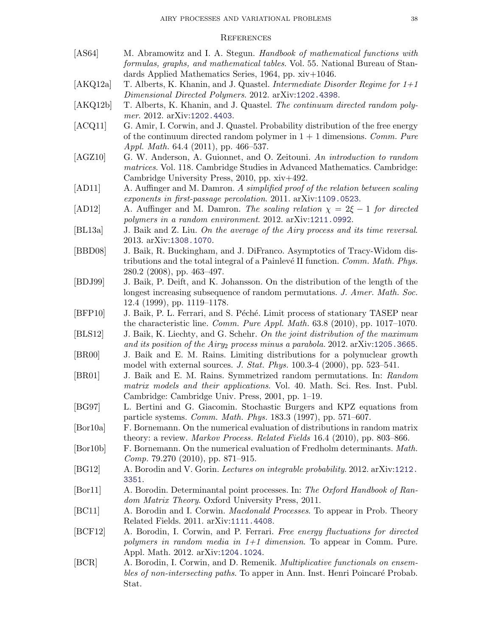#### <span id="page-37-0"></span>**REFERENCES**

<span id="page-37-17"></span>

| [AS64] | M. Abramowitz and I. A. Stegun. Handbook of mathematical functions with      |
|--------|------------------------------------------------------------------------------|
|        | formulas, graphs, and mathematical tables. Vol. 55. National Bureau of Stan- |
|        | dards Applied Mathematics Series, $1964$ , pp. $xiv+1046$ .                  |

- <span id="page-37-14"></span> $[AKQ12a]$  T. Alberts, K. Khanin, and J. Quastel. *Intermediate Disorder Regime for*  $1+1$ Dimensional Directed Polymers. 2012. arXiv:[1202.4398](http://arxiv.org/abs/1202.4398).
- <span id="page-37-13"></span>[AKQ12b] T. Alberts, K. Khanin, and J. Quastel. The continuum directed random polymer. 2012. arXiv:[1202.4403](http://arxiv.org/abs/1202.4403).
- <span id="page-37-7"></span>[ACQ11] G. Amir, I. Corwin, and J. Quastel. Probability distribution of the free energy of the continuum directed random polymer in  $1 + 1$  dimensions. Comm. Pure Appl. Math. 64.4 (2011), pp. 466–537.
- <span id="page-37-3"></span>[AGZ10] G. W. Anderson, A. Guionnet, and O. Zeitouni. An introduction to random matrices. Vol. 118. Cambridge Studies in Advanced Mathematics. Cambridge: Cambridge University Press, 2010, pp. xiv+492.
- <span id="page-37-1"></span>[AD11] A. Auffinger and M. Damron. A simplified proof of the relation between scaling exponents in first-passage percolation. 2011. arXiv:[1109.0523](http://arxiv.org/abs/1109.0523).
- <span id="page-37-2"></span>[AD12] A. Auffinger and M. Damron. The scaling relation  $\chi = 2\xi - 1$  for directed polymers in a random environment. 2012. arXiv:[1211.0992](http://arxiv.org/abs/1211.0992).
- <span id="page-37-15"></span>[BL13a] J. Baik and Z. Liu. On the average of the Airy process and its time reversal. 2013. arXiv:[1308.1070](http://arxiv.org/abs/1308.1070).
- <span id="page-37-18"></span>[BBD08] J. Baik, R. Buckingham, and J. DiFranco. Asymptotics of Tracy-Widom distributions and the total integral of a Painlevé II function. Comm. Math. Phys. 280.2 (2008), pp. 463–497.
- <span id="page-37-4"></span>[BDJ99] J. Baik, P. Deift, and K. Johansson. On the distribution of the length of the longest increasing subsequence of random permutations. J. Amer. Math. Soc. 12.4 (1999), pp. 1119–1178.
- <span id="page-37-10"></span>[BFP10] J. Baik, P. L. Ferrari, and S. Péché. Limit process of stationary TASEP near the characteristic line. *Comm. Pure Appl. Math.*  $63.8$  (2010), pp. 1017–1070.
- <span id="page-37-22"></span>[BLS12] J. Baik, K. Liechty, and G. Schehr. On the joint distribution of the maximum and its position of the Airy<sub>2</sub> process minus a parabola. 2012. arXiv:[1205.3665](http://arxiv.org/abs/1205.3665).
- <span id="page-37-11"></span>[BR00] J. Baik and E. M. Rains. Limiting distributions for a polynuclear growth model with external sources. J. Stat. Phys. 100.3-4 (2000), pp. 523–541.
- <span id="page-37-5"></span>[BR01] J. Baik and E. M. Rains. Symmetrized random permutations. In: Random matrix models and their applications. Vol. 40. Math. Sci. Res. Inst. Publ. Cambridge: Cambridge Univ. Press, 2001, pp. 1–19.
- <span id="page-37-12"></span>[BG97] L. Bertini and G. Giacomin. Stochastic Burgers and KPZ equations from particle systems. Comm. Math. Phys. 183.3 (1997), pp. 571–607.
- <span id="page-37-20"></span>[Bor10a] F. Bornemann. On the numerical evaluation of distributions in random matrix theory: a review. Markov Process. Related Fields 16.4 (2010), pp. 803–866.
- <span id="page-37-21"></span>[Bor10b] F. Bornemann. On the numerical evaluation of Fredholm determinants. Math.  $Comp. 79.270 (2010), pp. 871-915.$
- <span id="page-37-6"></span>[BG12] A. Borodin and V. Gorin. Lectures on integrable probability. 2012. arXiv:[1212.](http://arxiv.org/abs/1212.3351) [3351](http://arxiv.org/abs/1212.3351).
- <span id="page-37-16"></span>[Bor11] A. Borodin. Determinantal point processes. In: The Oxford Handbook of Random Matrix Theory. Oxford University Press, 2011.
- <span id="page-37-8"></span>[BC11] A. Borodin and I. Corwin. Macdonald Processes. To appear in Prob. Theory Related Fields. 2011. arXiv:[1111.4408](http://arxiv.org/abs/1111.4408).
- <span id="page-37-9"></span>[BCF12] A. Borodin, I. Corwin, and P. Ferrari. Free energy fluctuations for directed polymers in random media in  $1+1$  dimension. To appear in Comm. Pure. Appl. Math. 2012. arXiv:[1204.1024](http://arxiv.org/abs/1204.1024).
- <span id="page-37-19"></span>[BCR] A. Borodin, I. Corwin, and D. Remenik. Multiplicative functionals on ensembles of non-intersecting paths. To apper in Ann. Inst. Henri Poincaré Probab. Stat.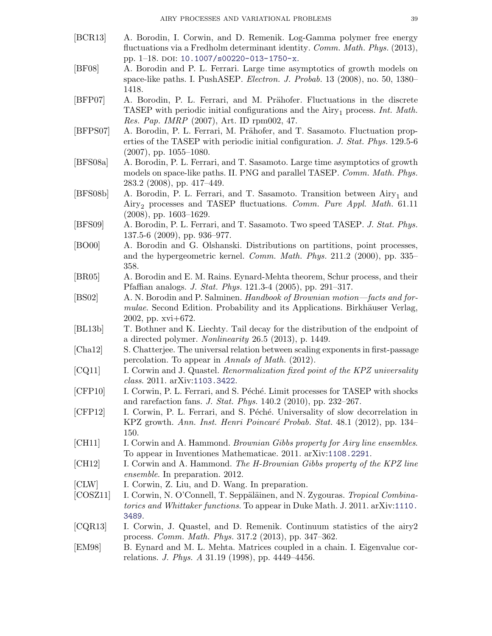- <span id="page-38-4"></span>[BCR13] A. Borodin, I. Corwin, and D. Remenik. Log-Gamma polymer free energy fluctuations via a Fredholm determinant identity. Comm. Math. Phys. (2013), pp. 1–18. doi: [10.1007/s00220-013-1750-x](http://dx.doi.org/10.1007/s00220-013-1750-x).
- <span id="page-38-11"></span>[BF08] A. Borodin and P. L. Ferrari. Large time asymptotics of growth models on space-like paths. I. PushASEP. Electron. J. Probab. 13 (2008), no. 50, 1380– 1418.
- <span id="page-38-2"></span>[BFP07] A. Borodin, P. L. Ferrari, and M. Prähofer. Fluctuations in the discrete TASEP with periodic initial configurations and the  $Airy_1$  process. Int. Math. Res. Pap. IMRP (2007), Art. ID rpm002, 47.
- <span id="page-38-1"></span>[BFPS07] A. Borodin, P. L. Ferrari, M. Prähofer, and T. Sasamoto. Fluctuation properties of the TASEP with periodic initial configuration. J. Stat. Phys. 129.5-6 (2007), pp. 1055–1080.
- <span id="page-38-7"></span>[BFS08a] A. Borodin, P. L. Ferrari, and T. Sasamoto. Large time asymptotics of growth models on space-like paths. II. PNG and parallel TASEP. Comm. Math. Phys. 283.2 (2008), pp. 417–449.
- <span id="page-38-10"></span>[BFS08b] A. Borodin, P. L. Ferrari, and T. Sasamoto. Transition between  $Airy_1$  and Airy<sub>2</sub> processes and TASEP fluctuations. Comm. Pure Appl. Math. 61.11 (2008), pp. 1603–1629.
- <span id="page-38-9"></span>[BFS09] A. Borodin, P. L. Ferrari, and T. Sasamoto. Two speed TASEP. J. Stat. Phys. 137.5-6 (2009), pp. 936–977.
- <span id="page-38-14"></span>[BO00] A. Borodin and G. Olshanski. Distributions on partitions, point processes, and the hypergeometric kernel. Comm. Math. Phys. 211.2 (2000), pp. 335– 358.
- <span id="page-38-15"></span>[BR05] A. Borodin and E. M. Rains. Eynard-Mehta theorem, Schur process, and their Pfaffian analogs. J. Stat. Phys. 121.3-4 (2005), pp. 291–317.
- <span id="page-38-17"></span>[BS02] A. N. Borodin and P. Salminen. Handbook of Brownian motion—facts and formulae. Second Edition. Probability and its Applications. Birkhäuser Verlag, 2002, pp. xvi+672.
- <span id="page-38-20"></span>[BL13b] T. Bothner and K. Liechty. Tail decay for the distribution of the endpoint of a directed polymer. Nonlinearity 26.5 (2013), p. 1449.
- <span id="page-38-0"></span>[Cha12] S. Chatterjee. The universal relation between scaling exponents in first-passage percolation. To appear in Annals of Math. (2012).
- <span id="page-38-12"></span>[CQ11] I. Corwin and J. Quastel. Renormalization fixed point of the KPZ universality class. 2011. arXiv:[1103.3422](http://arxiv.org/abs/1103.3422).
- <span id="page-38-6"></span>[CFP10] I. Corwin, P. L. Ferrari, and S. P´ech´e. Limit processes for TASEP with shocks and rarefaction fans. J. Stat. Phys. 140.2 (2010), pp. 232–267.
- <span id="page-38-5"></span>[CFP12] I. Corwin, P. L. Ferrari, and S. Péché. Universality of slow decorrelation in KPZ growth. Ann. Inst. Henri Poincaré Probab. Stat. 48.1 (2012), pp. 134– 150.
- <span id="page-38-19"></span>[CH11] I. Corwin and A. Hammond. Brownian Gibbs property for Airy line ensembles. To appear in Inventiones Mathematicae. 2011. arXiv:[1108.2291](http://arxiv.org/abs/1108.2291).
- <span id="page-38-18"></span>[CH12] I. Corwin and A. Hammond. The H-Brownian Gibbs property of the KPZ line ensemble. In preparation. 2012.
- <span id="page-38-13"></span>[CLW] I. Corwin, Z. Liu, and D. Wang. In preparation.
- <span id="page-38-3"></span>[COSZ11] I. Corwin, N. O'Connell, T. Seppäläinen, and N. Zygouras. Tropical Combinatorics and Whittaker functions. To appear in Duke Math. J. 2011. arXiv:[1110.](http://arxiv.org/abs/1110.3489) [3489](http://arxiv.org/abs/1110.3489).
- <span id="page-38-8"></span>[CQR13] I. Corwin, J. Quastel, and D. Remenik. Continuum statistics of the airy2 process. Comm. Math. Phys. 317.2 (2013), pp. 347–362.
- <span id="page-38-16"></span>[EM98] B. Eynard and M. L. Mehta. Matrices coupled in a chain. I. Eigenvalue correlations. J. Phys. A 31.19 (1998), pp. 4449–4456.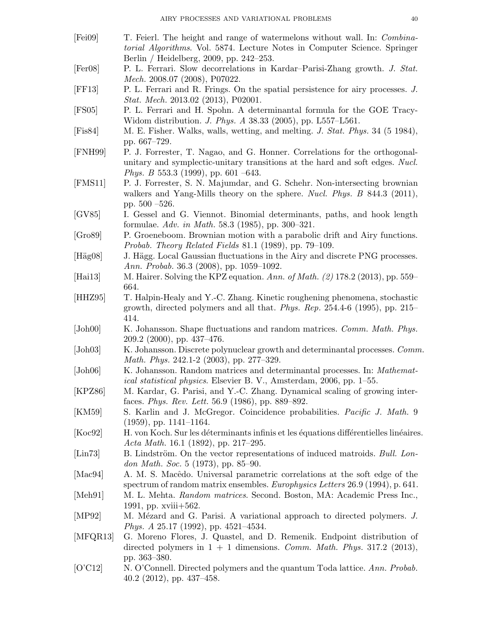<span id="page-39-23"></span><span id="page-39-22"></span><span id="page-39-21"></span><span id="page-39-20"></span><span id="page-39-18"></span><span id="page-39-17"></span><span id="page-39-15"></span><span id="page-39-14"></span><span id="page-39-9"></span><span id="page-39-8"></span><span id="page-39-6"></span><span id="page-39-2"></span>

| [Fei09]                      | T. Feierl. The height and range of watermelons without wall. In: <i>Combina</i> -                                                                         |
|------------------------------|-----------------------------------------------------------------------------------------------------------------------------------------------------------|
|                              | torial Algorithms. Vol. 5874. Lecture Notes in Computer Science. Springer                                                                                 |
|                              | Berlin / Heidelberg, 2009, pp. 242–253.                                                                                                                   |
| $[{\rm Fer}08]$              | P. L. Ferrari. Slow decorrelations in Kardar–Parisi-Zhang growth. J. Stat.                                                                                |
|                              | Mech. 2008.07 (2008), P07022.                                                                                                                             |
| [FF13]                       | P. L. Ferrari and R. Frings. On the spatial persistence for airy processes. J.                                                                            |
|                              | Stat. Mech. 2013.02 (2013), P02001.                                                                                                                       |
| [FS05]                       | P. L. Ferrari and H. Spohn. A determinantal formula for the GOE Tracy-                                                                                    |
|                              | Widom distribution. <i>J. Phys. A</i> 38.33 (2005), pp. L557–L561.                                                                                        |
| [Fis84]                      | M. E. Fisher. Walks, walls, wetting, and melting. J. Stat. Phys. 34 (5 1984),                                                                             |
|                              | pp. 667–729.                                                                                                                                              |
| [FNH99]                      | P. J. Forrester, T. Nagao, and G. Honner. Correlations for the orthogonal-                                                                                |
|                              | unitary and symplectic-unitary transitions at the hard and soft edges. Nucl.                                                                              |
|                              | <i>Phys. B</i> 553.3 (1999), pp. 601 -643.                                                                                                                |
| [FMS11]                      | P. J. Forrester, S. N. Majumdar, and G. Schehr. Non-intersecting brownian                                                                                 |
|                              | walkers and Yang-Mills theory on the sphere. Nucl. Phys. B 844.3 (2011),                                                                                  |
|                              | pp. $500 - 526$ .                                                                                                                                         |
| [GV85]                       | I. Gessel and G. Viennot. Binomial determinants, paths, and hook length                                                                                   |
|                              | formulae. Adv. in Math. 58.3 (1985), pp. 300-321.                                                                                                         |
| [Gro89]                      | P. Groeneboom. Brownian motion with a parabolic drift and Airy functions.                                                                                 |
|                              | Probab. Theory Related Fields 81.1 (1989), pp. 79–109.                                                                                                    |
| $[\text{Häg08}]$             | J. Hägg. Local Gaussian fluctuations in the Airy and discrete PNG processes.                                                                              |
|                              | Ann. Probab. 36.3 (2008), pp. 1059–1092.                                                                                                                  |
| [Hai13]                      | M. Hairer. Solving the KPZ equation. Ann. of Math. (2) 178.2 (2013), pp. 559-                                                                             |
|                              | 664.                                                                                                                                                      |
| [HHZ95]                      | T. Halpin-Healy and Y.-C. Zhang. Kinetic roughening phenomena, stochastic                                                                                 |
|                              | growth, directed polymers and all that. Phys. Rep. 254.4-6 (1995), pp. 215–                                                                               |
|                              | 414.                                                                                                                                                      |
| [John0]                      | K. Johansson. Shape fluctuations and random matrices. Comm. Math. Phys.                                                                                   |
|                              | $209.2$ (2000), pp. 437-476.                                                                                                                              |
| [John3]                      | K. Johansson. Discrete polynuclear growth and determinantal processes. Comm.                                                                              |
|                              | Math. Phys. 242.1-2 (2003), pp. 277-329.                                                                                                                  |
| [John06]                     | K. Johansson. Random matrices and determinantal processes. In: Mathemat-                                                                                  |
|                              |                                                                                                                                                           |
|                              | <i>ical statistical physics.</i> Elsevier B. V., Amsterdam, 2006, pp. 1–55.<br>M. Kardar, G. Parisi, and Y.-C. Zhang. Dynamical scaling of growing inter- |
| [KPZ86]                      |                                                                                                                                                           |
|                              | faces. Phys. Rev. Lett. 56.9 (1986), pp. 889–892.                                                                                                         |
| [KM59]                       | S. Karlin and J. McGregor. Coincidence probabilities. <i>Pacific J. Math.</i> 9                                                                           |
|                              | $(1959)$ , pp. 1141–1164.                                                                                                                                 |
| [Koc92]                      | H. von Koch. Sur les déterminants infinis et les équations différentielles linéaires.                                                                     |
|                              | Acta Math. 16.1 (1892), pp. 217–295.                                                                                                                      |
| $\left[ \text{Lin}73\right]$ | B. Lindström. On the vector representations of induced matroids. Bull. Lon-                                                                               |
|                              | don Math. Soc. 5 (1973), pp. 85–90.                                                                                                                       |
| [Mac94]                      | A. M. S. Macêdo. Universal parametric correlations at the soft edge of the                                                                                |
|                              | spectrum of random matrix ensembles. Europhysics Letters 26.9 (1994), p. 641.                                                                             |
| [Meh91]                      | M. L. Mehta. Random matrices. Second. Boston, MA: Academic Press Inc.,                                                                                    |
|                              | 1991, pp. $xviii+562$ .                                                                                                                                   |
| [MP92]                       | M. Mézard and G. Parisi. A variational approach to directed polymers. J.                                                                                  |
|                              | Phys. A 25.17 (1992), pp. 4521-4534.                                                                                                                      |
| [MFQR13]                     | G. Moreno Flores, J. Quastel, and D. Remenik. Endpoint distribution of                                                                                    |
|                              | directed polymers in $1 + 1$ dimensions. <i>Comm. Math. Phys.</i> 317.2 (2013),                                                                           |
|                              | pp. 363-380.                                                                                                                                              |
| [O <sub>C12</sub> ]          | N. O'Connell. Directed polymers and the quantum Toda lattice. Ann. Probab.                                                                                |

<span id="page-39-19"></span><span id="page-39-16"></span><span id="page-39-13"></span><span id="page-39-12"></span><span id="page-39-11"></span><span id="page-39-10"></span><span id="page-39-7"></span><span id="page-39-5"></span><span id="page-39-4"></span><span id="page-39-3"></span><span id="page-39-1"></span><span id="page-39-0"></span>40.2 (2012), pp. 437–458.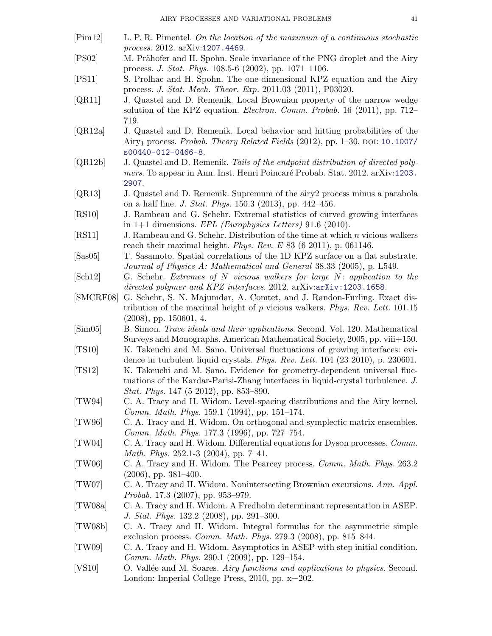<span id="page-40-23"></span><span id="page-40-22"></span><span id="page-40-21"></span><span id="page-40-20"></span><span id="page-40-19"></span><span id="page-40-18"></span><span id="page-40-17"></span><span id="page-40-16"></span><span id="page-40-15"></span><span id="page-40-14"></span><span id="page-40-13"></span><span id="page-40-12"></span><span id="page-40-11"></span><span id="page-40-10"></span><span id="page-40-9"></span><span id="page-40-8"></span><span id="page-40-7"></span><span id="page-40-6"></span><span id="page-40-5"></span><span id="page-40-4"></span><span id="page-40-3"></span><span id="page-40-2"></span><span id="page-40-1"></span><span id="page-40-0"></span>[Pim12] L. P. R. Pimentel. On the location of the maximum of a continuous stochastic process. 2012. arXiv:[1207.4469](http://arxiv.org/abs/1207.4469). [PS02] M. Prähofer and H. Spohn. Scale invariance of the PNG droplet and the Airy process. J. Stat. Phys. 108.5-6 (2002), pp. 1071–1106. [PS11] S. Prolhac and H. Spohn. The one-dimensional KPZ equation and the Airy process. J. Stat. Mech. Theor. Exp. 2011.03 (2011), P03020. [QR11] J. Quastel and D. Remenik. Local Brownian property of the narrow wedge solution of the KPZ equation. Electron. Comm. Probab. 16 (2011), pp. 712– 719. [QR12a] J. Quastel and D. Remenik. Local behavior and hitting probabilities of the Airy<sub>1</sub> process. Probab. Theory Related Fields  $(2012)$ , pp. 1–30. DOI: [10.1007/](http://dx.doi.org/10.1007/s00440-012-0466-8) [s00440-012-0466-8](http://dx.doi.org/10.1007/s00440-012-0466-8). [QR12b] J. Quastel and D. Remenik. Tails of the endpoint distribution of directed poly-mers. To appear in Ann. Inst. Henri Poincaré Probab. Stat. 2012. arXiv:[1203.](http://arxiv.org/abs/1203.2907) [2907](http://arxiv.org/abs/1203.2907). [QR13] J. Quastel and D. Remenik. Supremum of the airy2 process minus a parabola on a half line. J. Stat. Phys. 150.3 (2013), pp. 442–456. [RS10] J. Rambeau and G. Schehr. Extremal statistics of curved growing interfaces in 1+1 dimensions.  $EPL$  (Europhysics Letters) 91.6 (2010). [RS11] J. Rambeau and G. Schehr. Distribution of the time at which n vicious walkers reach their maximal height. Phys. Rev. E  $83$  (6 2011), p. 061146. [Sas05] T. Sasamoto. Spatial correlations of the 1D KPZ surface on a flat substrate. Journal of Physics A: Mathematical and General 38.33 (2005), p. L549. [Sch12] G. Schehr. Extremes of N vicious walkers for large N: application to the directed polymer and KPZ interfaces. 2012. arXiv:[arXiv:1203.1658](http://arxiv.org/abs/arXiv:1203.1658). [SMCRF08] G. Schehr, S. N. Majumdar, A. Comtet, and J. Randon-Furling. Exact distribution of the maximal height of p vicious walkers. Phys. Rev. Lett.  $101.15$ (2008), pp. 150601, 4. [Sim05] B. Simon. Trace ideals and their applications. Second. Vol. 120. Mathematical Surveys and Monographs. American Mathematical Society, 2005, pp. viii+150. [TS10] K. Takeuchi and M. Sano. Universal fluctuations of growing interfaces: evidence in turbulent liquid crystals. Phys. Rev. Lett. 104 (23 2010), p. 230601. [TS12] K. Takeuchi and M. Sano. Evidence for geometry-dependent universal fluctuations of the Kardar-Parisi-Zhang interfaces in liquid-crystal turbulence. J. Stat. Phys. 147 (5 2012), pp. 853–890. [TW94] C. A. Tracy and H. Widom. Level-spacing distributions and the Airy kernel. Comm. Math. Phys. 159.1 (1994), pp. 151–174. [TW96] C. A. Tracy and H. Widom. On orthogonal and symplectic matrix ensembles. Comm. Math. Phys. 177.3 (1996), pp. 727–754. [TW04] C. A. Tracy and H. Widom. Differential equations for Dyson processes. Comm. Math. Phys. 252.1-3 (2004), pp. 7–41. [TW06] C. A. Tracy and H. Widom. The Pearcey process. Comm. Math. Phys. 263.2 (2006), pp. 381–400. [TW07] C. A. Tracy and H. Widom. Nonintersecting Brownian excursions. Ann. Appl. Probab. 17.3 (2007), pp. 953–979. [TW08a] C. A. Tracy and H. Widom. A Fredholm determinant representation in ASEP. J. Stat. Phys. 132.2 (2008), pp. 291–300. [TW08b] C. A. Tracy and H. Widom. Integral formulas for the asymmetric simple exclusion process. Comm. Math. Phys. 279.3 (2008), pp. 815–844. [TW09] C. A. Tracy and H. Widom. Asymptotics in ASEP with step initial condition. Comm. Math. Phys. 290.1 (2009), pp. 129–154. [VS10] O. Vallée and M. Soares. Airy functions and applications to physics. Second. London: Imperial College Press, 2010, pp. x+202.